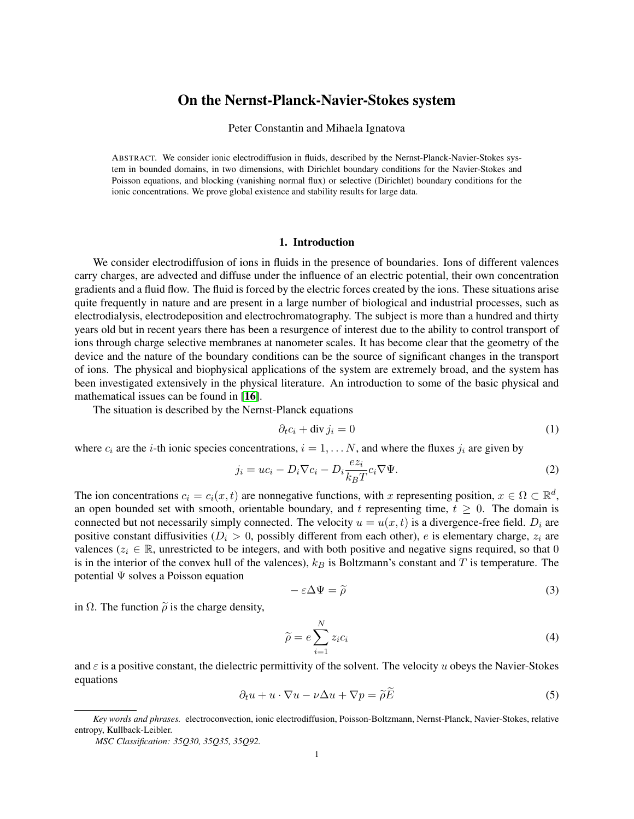# On the Nernst-Planck-Navier-Stokes system

#### Peter Constantin and Mihaela Ignatova

ABSTRACT. We consider ionic electrodiffusion in fluids, described by the Nernst-Planck-Navier-Stokes system in bounded domains, in two dimensions, with Dirichlet boundary conditions for the Navier-Stokes and Poisson equations, and blocking (vanishing normal flux) or selective (Dirichlet) boundary conditions for the ionic concentrations. We prove global existence and stability results for large data.

#### 1. Introduction

We consider electrodiffusion of ions in fluids in the presence of boundaries. Ions of different valences carry charges, are advected and diffuse under the influence of an electric potential, their own concentration gradients and a fluid flow. The fluid is forced by the electric forces created by the ions. These situations arise quite frequently in nature and are present in a large number of biological and industrial processes, such as electrodialysis, electrodeposition and electrochromatography. The subject is more than a hundred and thirty years old but in recent years there has been a resurgence of interest due to the ability to control transport of ions through charge selective membranes at nanometer scales. It has become clear that the geometry of the device and the nature of the boundary conditions can be the source of significant changes in the transport of ions. The physical and biophysical applications of the system are extremely broad, and the system has been investigated extensively in the physical literature. An introduction to some of the basic physical and mathematical issues can be found in [[16](#page-35-0)].

The situation is described by the Nernst-Planck equations

$$
\partial_t c_i + \operatorname{div} j_i = 0 \tag{1}
$$

where  $c_i$  are the *i*-th ionic species concentrations,  $i = 1, \dots N$ , and where the fluxes  $j_i$  are given by

$$
j_i = uc_i - D_i \nabla c_i - D_i \frac{ez_i}{k_B T} c_i \nabla \Psi.
$$
\n(2)

The ion concentrations  $c_i = c_i(x, t)$  are nonnegative functions, with x representing position,  $x \in \Omega \subset \mathbb{R}^d$ , an open bounded set with smooth, orientable boundary, and t representing time,  $t \geq 0$ . The domain is connected but not necessarily simply connected. The velocity  $u = u(x, t)$  is a divergence-free field.  $D_i$  are positive constant diffusivities ( $D_i > 0$ , possibly different from each other), e is elementary charge,  $z_i$  are valences ( $z_i \in \mathbb{R}$ , unrestricted to be integers, and with both positive and negative signs required, so that 0 is in the interior of the convex hull of the valences),  $k_B$  is Boltzmann's constant and T is temperature. The potential Ψ solves a Poisson equation

$$
-\varepsilon \Delta \Psi = \widetilde{\rho} \tag{3}
$$

in  $\Omega$ . The function  $\tilde{\rho}$  is the charge density,

$$
\widetilde{\rho} = e \sum_{i=1}^{N} z_i c_i \tag{4}
$$

and  $\varepsilon$  is a positive constant, the dielectric permittivity of the solvent. The velocity u obeys the Navier-Stokes equations

$$
\partial_t u + u \cdot \nabla u - \nu \Delta u + \nabla p = \tilde{\rho} \tilde{E}
$$
 (5)

*Key words and phrases.* electroconvection, ionic electrodiffusion, Poisson-Boltzmann, Nernst-Planck, Navier-Stokes, relative entropy, Kullback-Leibler.

*MSC Classification: 35Q30, 35Q35, 35Q92.*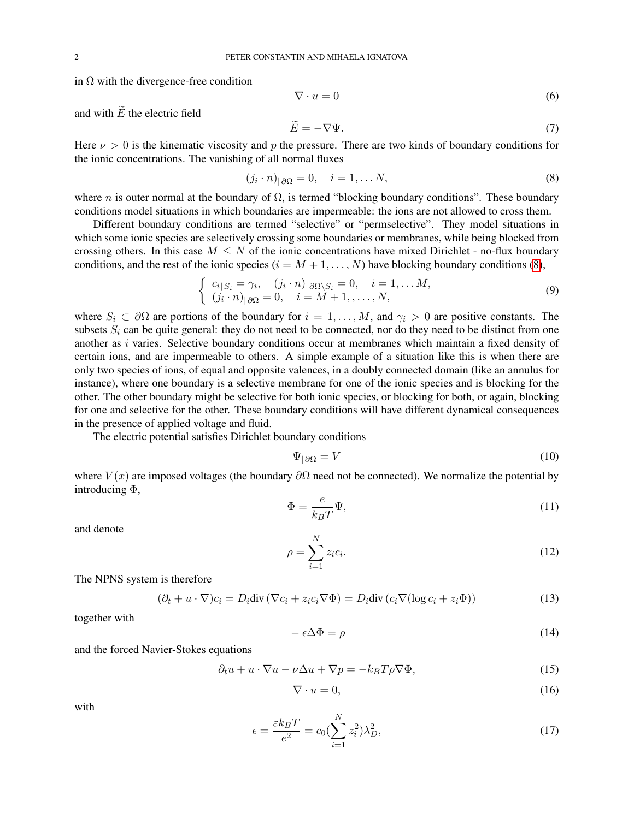#### 2 PETER CONSTANTIN AND MIHAELA IGNATOVA

in  $\Omega$  with the divergence-free condition

$$
\nabla \cdot u = 0 \tag{6}
$$

and with  $\widetilde{E}$  the electric field

$$
\widetilde{E} = -\nabla \Psi. \tag{7}
$$

Here  $\nu > 0$  is the kinematic viscosity and p the pressure. There are two kinds of boundary conditions for the ionic concentrations. The vanishing of all normal fluxes

<span id="page-1-0"></span>
$$
(j_i \cdot n)_{|\partial\Omega} = 0, \quad i = 1, \dots N,
$$
\n(8)

where n is outer normal at the boundary of  $\Omega$ , is termed "blocking boundary conditions". These boundary conditions model situations in which boundaries are impermeable: the ions are not allowed to cross them.

Different boundary conditions are termed "selective" or "permselective". They model situations in which some ionic species are selectively crossing some boundaries or membranes, while being blocked from crossing others. In this case  $M \leq N$  of the ionic concentrations have mixed Dirichlet - no-flux boundary conditions, and the rest of the ionic species ( $i = M + 1, \ldots, N$ ) have blocking boundary conditions [\(8\)](#page-1-0),

<span id="page-1-6"></span>
$$
\begin{cases}\nc_{i|S_i} = \gamma_i, & (j_i \cdot n)|_{\partial\Omega \setminus S_i} = 0, \quad i = 1, \dots M, \\
(j_i \cdot n)|_{\partial\Omega} = 0, & i = M + 1, \dots, N,\n\end{cases}\n\tag{9}
$$

where  $S_i \subset \partial\Omega$  are portions of the boundary for  $i = 1, ..., M$ , and  $\gamma_i > 0$  are positive constants. The subsets  $S_i$  can be quite general: they do not need to be connected, nor do they need to be distinct from one another as i varies. Selective boundary conditions occur at membranes which maintain a fixed density of certain ions, and are impermeable to others. A simple example of a situation like this is when there are only two species of ions, of equal and opposite valences, in a doubly connected domain (like an annulus for instance), where one boundary is a selective membrane for one of the ionic species and is blocking for the other. The other boundary might be selective for both ionic species, or blocking for both, or again, blocking for one and selective for the other. These boundary conditions will have different dynamical consequences in the presence of applied voltage and fluid.

The electric potential satisfies Dirichlet boundary conditions

$$
\Psi_{|\partial\Omega} = V \tag{10}
$$

where  $V(x)$  are imposed voltages (the boundary  $\partial\Omega$  need not be connected). We normalize the potential by introducing Φ,

$$
\Phi = \frac{e}{k_B T} \Psi,\tag{11}
$$

and denote

<span id="page-1-3"></span>
$$
\rho = \sum_{i=1}^{N} z_i c_i. \tag{12}
$$

The NPNS system is therefore

<span id="page-1-2"></span>
$$
(\partial_t + u \cdot \nabla)c_i = D_i \text{div}(\nabla c_i + z_i c_i \nabla \Phi) = D_i \text{div}(c_i \nabla (\log c_i + z_i \Phi))
$$
\n(13)

together with

<span id="page-1-4"></span>
$$
-\epsilon \Delta \Phi = \rho \tag{14}
$$

and the forced Navier-Stokes equations

<span id="page-1-1"></span>
$$
\partial_t u + u \cdot \nabla u - \nu \Delta u + \nabla p = -k_B T \rho \nabla \Phi,\tag{15}
$$

<span id="page-1-5"></span>
$$
\nabla \cdot u = 0,\tag{16}
$$

with

$$
\epsilon = \frac{\varepsilon k_B T}{e^2} = c_0 (\sum_{i=1}^N z_i^2) \lambda_D^2,\tag{17}
$$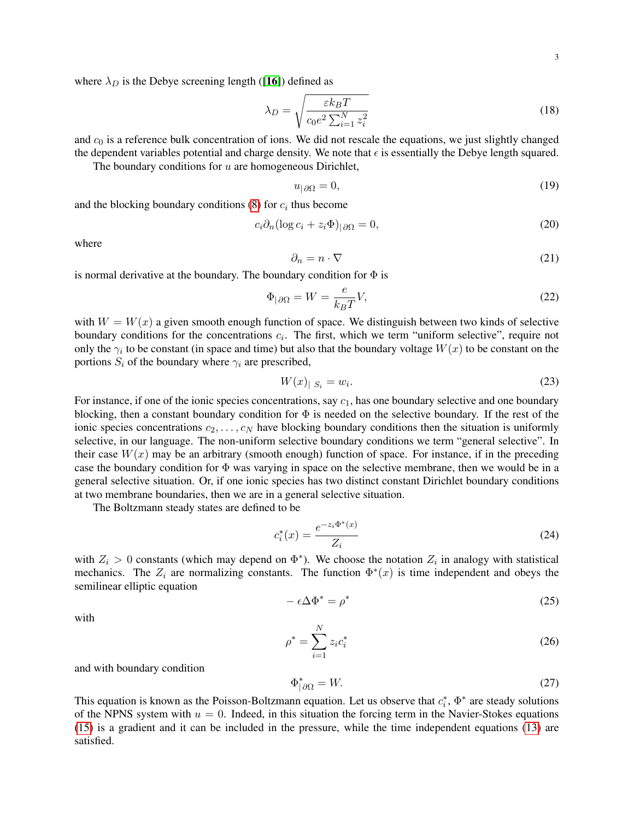where  $\lambda_D$  is the Debye screening length ([[16](#page-35-0)]) defined as

$$
\lambda_D = \sqrt{\frac{\varepsilon k_B T}{c_0 e^2 \sum_{i=1}^N z_i^2}}
$$
\n(18)

and  $c_0$  is a reference bulk concentration of ions. We did not rescale the equations, we just slightly changed the dependent variables potential and charge density. We note that  $\epsilon$  is essentially the Debye length squared.

The boundary conditions for  $u$  are homogeneous Dirichlet,

<span id="page-2-4"></span>
$$
u_{|\partial\Omega} = 0,\t\t(19)
$$

and the blocking boundary conditions  $(8)$  for  $c_i$  thus become

$$
c_i \partial_n (\log c_i + z_i \Phi)|_{\partial \Omega} = 0,\tag{20}
$$

where

$$
\partial_n = n \cdot \nabla \tag{21}
$$

is normal derivative at the boundary. The boundary condition for  $\Phi$  is

<span id="page-2-3"></span>
$$
\Phi_{|\partial\Omega} = W = \frac{e}{k_B T} V,\tag{22}
$$

with  $W = W(x)$  a given smooth enough function of space. We distinguish between two kinds of selective boundary conditions for the concentrations  $c_i$ . The first, which we term "uniform selective", require not only the  $\gamma_i$  to be constant (in space and time) but also that the boundary voltage  $W(x)$  to be constant on the portions  $S_i$  of the boundary where  $\gamma_i$  are prescribed,

$$
W(x)_{|S_i} = w_i. \tag{23}
$$

For instance, if one of the ionic species concentrations, say  $c_1$ , has one boundary selective and one boundary blocking, then a constant boundary condition for  $\Phi$  is needed on the selective boundary. If the rest of the ionic species concentrations  $c_2, \ldots, c_N$  have blocking boundary conditions then the situation is uniformly selective, in our language. The non-uniform selective boundary conditions we term "general selective". In their case  $W(x)$  may be an arbitrary (smooth enough) function of space. For instance, if in the preceding case the boundary condition for  $\Phi$  was varying in space on the selective membrane, then we would be in a general selective situation. Or, if one ionic species has two distinct constant Dirichlet boundary conditions at two membrane boundaries, then we are in a general selective situation.

The Boltzmann steady states are defined to be

<span id="page-2-5"></span>
$$
c_i^*(x) = \frac{e^{-z_i \Phi^*(x)}}{Z_i}
$$
 (24)

with  $Z_i > 0$  constants (which may depend on  $\Phi^*$ ). We choose the notation  $Z_i$  in analogy with statistical mechanics. The  $Z_i$  are normalizing constants. The function  $\Phi^*(x)$  is time independent and obeys the semilinear elliptic equation

<span id="page-2-0"></span>
$$
-\epsilon \Delta \Phi^* = \rho^* \tag{25}
$$

with

<span id="page-2-2"></span>
$$
\rho^* = \sum_{i=1}^N z_i c_i^* \tag{26}
$$

and with boundary condition

<span id="page-2-1"></span>
$$
\Phi_{|\partial\Omega}^* = W.\tag{27}
$$

This equation is known as the Poisson-Boltzmann equation. Let us observe that  $c_i^*$ ,  $\Phi^*$  are steady solutions of the NPNS system with  $u = 0$ . Indeed, in this situation the forcing term in the Navier-Stokes equations [\(15\)](#page-1-1) is a gradient and it can be included in the pressure, while the time independent equations [\(13\)](#page-1-2) are satisfied.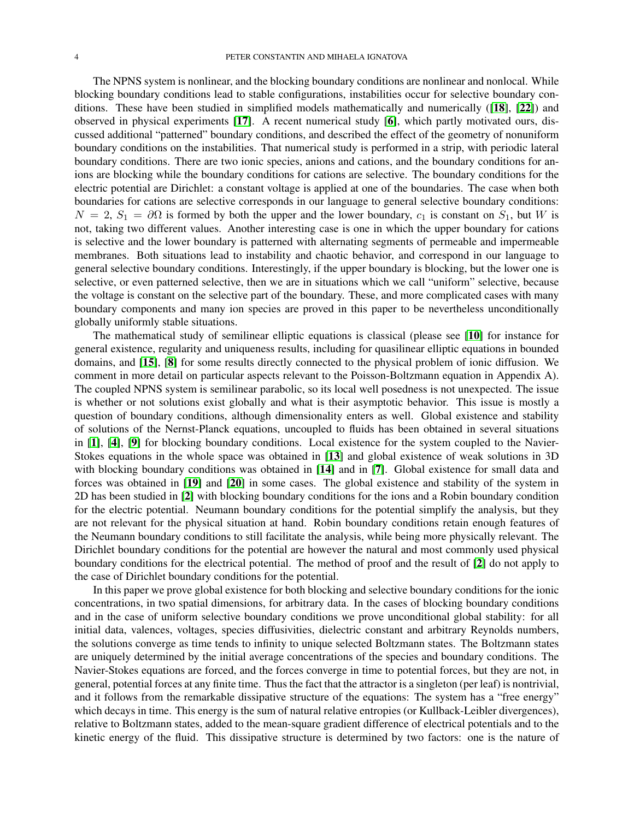The NPNS system is nonlinear, and the blocking boundary conditions are nonlinear and nonlocal. While blocking boundary conditions lead to stable configurations, instabilities occur for selective boundary conditions. These have been studied in simplified models mathematically and numerically ([[18](#page-35-1)], [[22](#page-35-2)]) and observed in physical experiments [[17](#page-35-3)]. A recent numerical study [[6](#page-34-0)], which partly motivated ours, discussed additional "patterned" boundary conditions, and described the effect of the geometry of nonuniform boundary conditions on the instabilities. That numerical study is performed in a strip, with periodic lateral boundary conditions. There are two ionic species, anions and cations, and the boundary conditions for anions are blocking while the boundary conditions for cations are selective. The boundary conditions for the electric potential are Dirichlet: a constant voltage is applied at one of the boundaries. The case when both boundaries for cations are selective corresponds in our language to general selective boundary conditions:  $N = 2$ ,  $S_1 = \partial\Omega$  is formed by both the upper and the lower boundary,  $c_1$  is constant on  $S_1$ , but W is not, taking two different values. Another interesting case is one in which the upper boundary for cations is selective and the lower boundary is patterned with alternating segments of permeable and impermeable membranes. Both situations lead to instability and chaotic behavior, and correspond in our language to general selective boundary conditions. Interestingly, if the upper boundary is blocking, but the lower one is selective, or even patterned selective, then we are in situations which we call "uniform" selective, because the voltage is constant on the selective part of the boundary. These, and more complicated cases with many boundary components and many ion species are proved in this paper to be nevertheless unconditionally globally uniformly stable situations.

The mathematical study of semilinear elliptic equations is classical (please see [[10](#page-34-1)] for instance for general existence, regularity and uniqueness results, including for quasilinear elliptic equations in bounded domains, and [[15](#page-35-4)], [[8](#page-34-2)] for some results directly connected to the physical problem of ionic diffusion. We comment in more detail on particular aspects relevant to the Poisson-Boltzmann equation in Appendix A). The coupled NPNS system is semilinear parabolic, so its local well posedness is not unexpected. The issue is whether or not solutions exist globally and what is their asymptotic behavior. This issue is mostly a question of boundary conditions, although dimensionality enters as well. Global existence and stability of solutions of the Nernst-Planck equations, uncoupled to fluids has been obtained in several situations in [[1](#page-34-3)], [[4](#page-34-4)], [[9](#page-34-5)] for blocking boundary conditions. Local existence for the system coupled to the Navier-Stokes equations in the whole space was obtained in [[13](#page-35-5)] and global existence of weak solutions in 3D with blocking boundary conditions was obtained in [[14](#page-35-6)] and in [[7](#page-34-6)]. Global existence for small data and forces was obtained in [[19](#page-35-7)] and [[20](#page-35-8)] in some cases. The global existence and stability of the system in 2D has been studied in [[2](#page-34-7)] with blocking boundary conditions for the ions and a Robin boundary condition for the electric potential. Neumann boundary conditions for the potential simplify the analysis, but they are not relevant for the physical situation at hand. Robin boundary conditions retain enough features of the Neumann boundary conditions to still facilitate the analysis, while being more physically relevant. The Dirichlet boundary conditions for the potential are however the natural and most commonly used physical boundary conditions for the electrical potential. The method of proof and the result of [[2](#page-34-7)] do not apply to the case of Dirichlet boundary conditions for the potential.

In this paper we prove global existence for both blocking and selective boundary conditions for the ionic concentrations, in two spatial dimensions, for arbitrary data. In the cases of blocking boundary conditions and in the case of uniform selective boundary conditions we prove unconditional global stability: for all initial data, valences, voltages, species diffusivities, dielectric constant and arbitrary Reynolds numbers, the solutions converge as time tends to infinity to unique selected Boltzmann states. The Boltzmann states are uniquely determined by the initial average concentrations of the species and boundary conditions. The Navier-Stokes equations are forced, and the forces converge in time to potential forces, but they are not, in general, potential forces at any finite time. Thus the fact that the attractor is a singleton (per leaf) is nontrivial, and it follows from the remarkable dissipative structure of the equations: The system has a "free energy" which decays in time. This energy is the sum of natural relative entropies (or Kullback-Leibler divergences), relative to Boltzmann states, added to the mean-square gradient difference of electrical potentials and to the kinetic energy of the fluid. This dissipative structure is determined by two factors: one is the nature of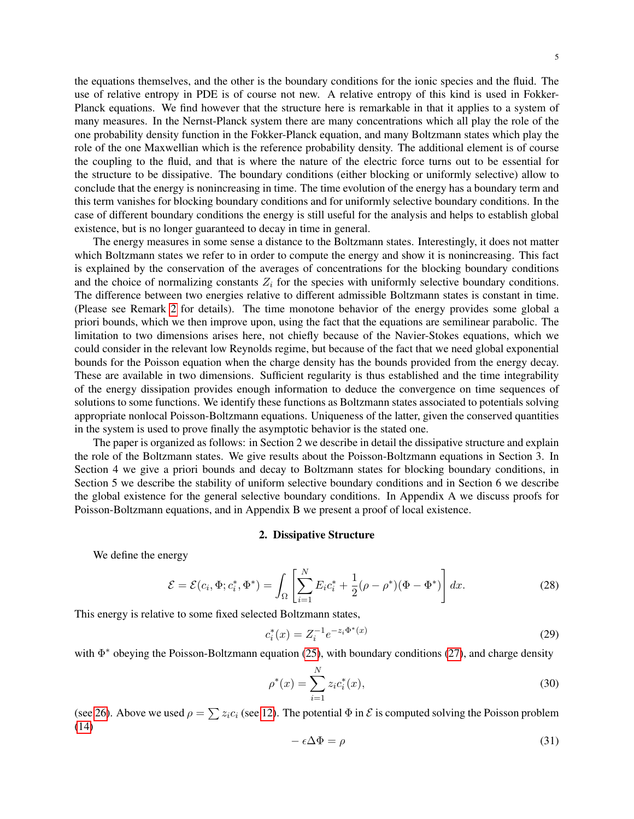the equations themselves, and the other is the boundary conditions for the ionic species and the fluid. The use of relative entropy in PDE is of course not new. A relative entropy of this kind is used in Fokker-Planck equations. We find however that the structure here is remarkable in that it applies to a system of many measures. In the Nernst-Planck system there are many concentrations which all play the role of the one probability density function in the Fokker-Planck equation, and many Boltzmann states which play the role of the one Maxwellian which is the reference probability density. The additional element is of course the coupling to the fluid, and that is where the nature of the electric force turns out to be essential for the structure to be dissipative. The boundary conditions (either blocking or uniformly selective) allow to conclude that the energy is nonincreasing in time. The time evolution of the energy has a boundary term and this term vanishes for blocking boundary conditions and for uniformly selective boundary conditions. In the case of different boundary conditions the energy is still useful for the analysis and helps to establish global existence, but is no longer guaranteed to decay in time in general.

The energy measures in some sense a distance to the Boltzmann states. Interestingly, it does not matter which Boltzmann states we refer to in order to compute the energy and show it is nonincreasing. This fact is explained by the conservation of the averages of concentrations for the blocking boundary conditions and the choice of normalizing constants  $Z_i$  for the species with uniformly selective boundary conditions. The difference between two energies relative to different admissible Boltzmann states is constant in time. (Please see Remark [2](#page-8-0) for details). The time monotone behavior of the energy provides some global a priori bounds, which we then improve upon, using the fact that the equations are semilinear parabolic. The limitation to two dimensions arises here, not chiefly because of the Navier-Stokes equations, which we could consider in the relevant low Reynolds regime, but because of the fact that we need global exponential bounds for the Poisson equation when the charge density has the bounds provided from the energy decay. These are available in two dimensions. Sufficient regularity is thus established and the time integrability of the energy dissipation provides enough information to deduce the convergence on time sequences of solutions to some functions. We identify these functions as Boltzmann states associated to potentials solving appropriate nonlocal Poisson-Boltzmann equations. Uniqueness of the latter, given the conserved quantities in the system is used to prove finally the asymptotic behavior is the stated one.

The paper is organized as follows: in Section 2 we describe in detail the dissipative structure and explain the role of the Boltzmann states. We give results about the Poisson-Boltzmann equations in Section 3. In Section 4 we give a priori bounds and decay to Boltzmann states for blocking boundary conditions, in Section 5 we describe the stability of uniform selective boundary conditions and in Section 6 we describe the global existence for the general selective boundary conditions. In Appendix A we discuss proofs for Poisson-Boltzmann equations, and in Appendix B we present a proof of local existence.

## 2. Dissipative Structure

We define the energy

<span id="page-4-0"></span>
$$
\mathcal{E} = \mathcal{E}(c_i, \Phi; c_i^*, \Phi^*) = \int_{\Omega} \left[ \sum_{i=1}^{N} E_i c_i^* + \frac{1}{2} (\rho - \rho^*) (\Phi - \Phi^*) \right] dx.
$$
 (28)

This energy is relative to some fixed selected Boltzmann states,

<span id="page-4-1"></span>
$$
c_i^*(x) = Z_i^{-1} e^{-z_i \Phi^*(x)}
$$
\n(29)

with  $\Phi^*$  obeying the Poisson-Boltzmann equation [\(25\)](#page-2-0), with boundary conditions [\(27\)](#page-2-1), and charge density

<span id="page-4-2"></span>
$$
\rho^*(x) = \sum_{i=1}^N z_i c_i^*(x),\tag{30}
$$

(see [26\)](#page-2-2). Above we used  $\rho = \sum z_i c_i$  (see [12\)](#page-1-3). The potential  $\Phi$  in  $\mathcal E$  is computed solving the Poisson problem [\(14\)](#page-1-4)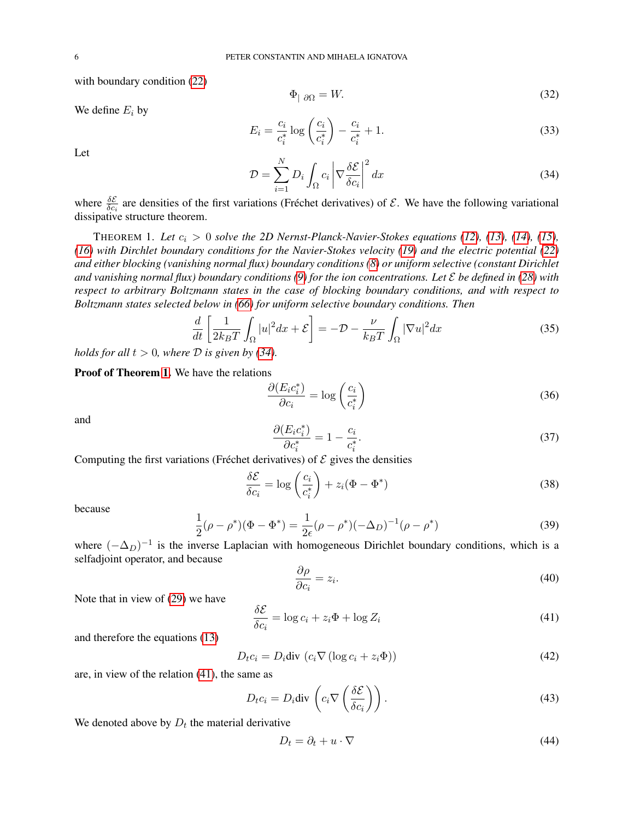with boundary condition [\(22\)](#page-2-3)

$$
\Phi_{\parallel\partial\Omega} = W.\tag{32}
$$

We define  $E_i$  by

$$
E_i = \frac{c_i}{c_i^*} \log \left(\frac{c_i}{c_i^*}\right) - \frac{c_i}{c_i^*} + 1.
$$
\n(33)

Let

<span id="page-5-0"></span>
$$
\mathcal{D} = \sum_{i=1}^{N} D_i \int_{\Omega} c_i \left| \nabla \frac{\delta \mathcal{E}}{\delta c_i} \right|^2 dx \tag{34}
$$

where  $\frac{\delta \mathcal{E}}{\delta c_i}$  are densities of the first variations (Fréchet derivatives) of  $\mathcal{E}$ . We have the following variational dissipative structure theorem.

<span id="page-5-1"></span>THEOREM 1. Let  $c_i > 0$  *solve the 2D Nernst-Planck-Navier-Stokes equations [\(12\)](#page-1-3), [\(13\)](#page-1-2), [\(14\)](#page-1-4), [\(15\)](#page-1-1), [\(16\)](#page-1-5) with Dirchlet boundary conditions for the Navier-Stokes velocity [\(19\)](#page-2-4) and the electric potential [\(22\)](#page-2-3) and either blocking (vanishing normal flux) boundary conditions [\(8\)](#page-1-0) or uniform selective (constant Dirichlet and vanishing normal flux) boundary conditions [\(9\)](#page-1-6) for the ion concentrations. Let*  $\mathcal E$  *be defined in [\(28\)](#page-4-0) with respect to arbitrary Boltzmann states in the case of blocking boundary conditions, and with respect to Boltzmann states selected below in [\(66\)](#page-7-0) for uniform selective boundary conditions. Then*

<span id="page-5-7"></span>
$$
\frac{d}{dt}\left[\frac{1}{2k_BT}\int_{\Omega}|u|^2dx+\mathcal{E}\right] = -\mathcal{D} - \frac{\nu}{k_BT}\int_{\Omega}|\nabla u|^2dx\tag{35}
$$

*holds for all*  $t > 0$ *, where*  $D$  *is given by [\(34\)](#page-5-0).* 

Proof of Theorem [1.](#page-5-1) We have the relations

<span id="page-5-4"></span>
$$
\frac{\partial (E_i c_i^*)}{\partial c_i} = \log \left( \frac{c_i}{c_i^*} \right) \tag{36}
$$

and

<span id="page-5-5"></span>
$$
\frac{\partial (E_i c_i^*)}{\partial c_i^*} = 1 - \frac{c_i}{c_i^*}.\tag{37}
$$

Computing the first variations (Fréchet derivatives) of  $\mathcal E$  gives the densities

<span id="page-5-6"></span>
$$
\frac{\delta \mathcal{E}}{\delta c_i} = \log \left( \frac{c_i}{c_i^*} \right) + z_i (\Phi - \Phi^*)
$$
\n(38)

because

$$
\frac{1}{2}(\rho - \rho^*)(\Phi - \Phi^*) = \frac{1}{2\epsilon}(\rho - \rho^*)(-\Delta_D)^{-1}(\rho - \rho^*)
$$
\n(39)

where  $(-\Delta_D)^{-1}$  is the inverse Laplacian with homogeneous Dirichlet boundary conditions, which is a selfadjoint operator, and because

$$
\frac{\partial \rho}{\partial c_i} = z_i. \tag{40}
$$

Note that in view of [\(29\)](#page-4-1) we have

<span id="page-5-2"></span>
$$
\frac{\delta \mathcal{E}}{\delta c_i} = \log c_i + z_i \Phi + \log Z_i \tag{41}
$$

and therefore the equations [\(13\)](#page-1-2)

<span id="page-5-8"></span>
$$
D_t c_i = D_i \text{div} \left( c_i \nabla \left( \log c_i + z_i \Phi \right) \right) \tag{42}
$$

are, in view of the relation [\(41\)](#page-5-2), the same as

<span id="page-5-3"></span>
$$
D_t c_i = D_i \text{div} \left( c_i \nabla \left( \frac{\delta \mathcal{E}}{\delta c_i} \right) \right). \tag{43}
$$

We denoted above by  $D_t$  the material derivative

$$
D_t = \partial_t + u \cdot \nabla \tag{44}
$$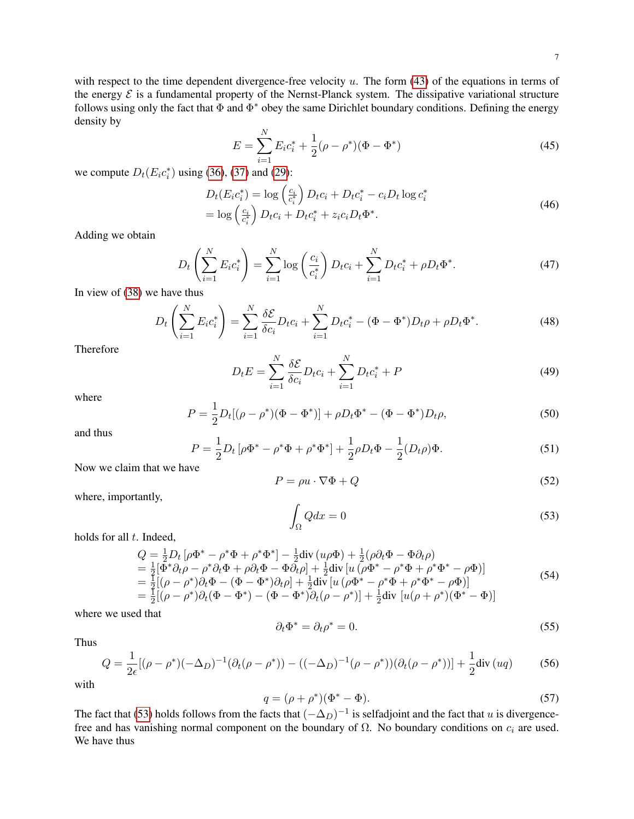with respect to the time dependent divergence-free velocity  $u$ . The form [\(43\)](#page-5-3) of the equations in terms of the energy  $\mathcal E$  is a fundamental property of the Nernst-Planck system. The dissipative variational structure follows using only the fact that  $\Phi$  and  $\Phi^*$  obey the same Dirichlet boundary conditions. Defining the energy density by  $\lambda$ 

<span id="page-6-1"></span>
$$
E = \sum_{i=1}^{N} E_i c_i^* + \frac{1}{2} (\rho - \rho^*) (\Phi - \Phi^*)
$$
\n(45)

we compute  $D_t(E_i c_i^*)$  using [\(36\)](#page-5-4), [\(37\)](#page-5-5) and [\(29\)](#page-4-1):

$$
D_t(E_i c_i^*) = \log\left(\frac{c_i}{c_i^*}\right) D_t c_i + D_t c_i^* - c_i D_t \log c_i^*
$$
  
= 
$$
\log\left(\frac{c_i}{c_i^*}\right) D_t c_i + D_t c_i^* + z_i c_i D_t \Phi^*.
$$
 (46)

Adding we obtain

$$
D_t\left(\sum_{i=1}^N E_i c_i^*\right) = \sum_{i=1}^N \log\left(\frac{c_i}{c_i^*}\right) D_t c_i + \sum_{i=1}^N D_t c_i^* + \rho D_t \Phi^*.
$$
 (47)

In view of [\(38\)](#page-5-6) we have thus

$$
D_t\left(\sum_{i=1}^N E_i c_i^*\right) = \sum_{i=1}^N \frac{\delta \mathcal{E}}{\delta c_i} D_t c_i + \sum_{i=1}^N D_t c_i^* - (\Phi - \Phi^*) D_t \rho + \rho D_t \Phi^*.
$$
 (48)

Therefore

$$
D_t E = \sum_{i=1}^{N} \frac{\delta \mathcal{E}}{\delta c_i} D_t c_i + \sum_{i=1}^{N} D_t c_i^* + P
$$
\n(49)

where

$$
P = \frac{1}{2}D_t[(\rho - \rho^*)(\Phi - \Phi^*)] + \rho D_t \Phi^* - (\Phi - \Phi^*)D_t \rho,
$$
\n(50)

and thus

$$
P = \frac{1}{2}D_t\left[\rho\Phi^* - \rho^*\Phi + \rho^*\Phi^*\right] + \frac{1}{2}\rho D_t\Phi - \frac{1}{2}(D_t\rho)\Phi.
$$
\n(51)

Now we claim that we have

$$
P = \rho u \cdot \nabla \Phi + Q \tag{52}
$$

where, importantly,

<span id="page-6-0"></span>
$$
\int_{\Omega} Q dx = 0 \tag{53}
$$

holds for all  $t$ . Indeed,

$$
Q = \frac{1}{2}D_t [\rho \Phi^* - \rho^* \Phi + \rho^* \Phi^*] - \frac{1}{2} \text{div} (\mu \rho \Phi) + \frac{1}{2} (\rho \partial_t \Phi - \Phi \partial_t \rho) = \frac{1}{2} [\Phi^* \partial_t \rho - \rho^* \partial_t \Phi + \rho \partial_t \Phi - \Phi \partial_t \rho] + \frac{1}{2} \text{div} [\mu (\rho \Phi^* - \rho^* \Phi + \rho^* \Phi^* - \rho \Phi)] = \frac{1}{2} [(\rho - \rho^*) \partial_t \Phi - (\Phi - \Phi^*) \partial_t \rho] + \frac{1}{2} \text{div} [\mu (\rho \Phi^* - \rho^* \Phi + \rho^* \Phi^* - \rho \Phi)] = \frac{1}{2} [(\rho - \rho^*) \partial_t (\Phi - \Phi^*) - (\Phi - \Phi^*) \partial_t (\rho - \rho^*)] + \frac{1}{2} \text{div} [\mu (\rho + \rho^*) (\Phi^* - \Phi)]
$$
(54)

where we used that

$$
\partial_t \Phi^* = \partial_t \rho^* = 0. \tag{55}
$$

Thus

$$
Q = \frac{1}{2\epsilon} [(\rho - \rho^*) (-\Delta_D)^{-1} (\partial_t (\rho - \rho^*)) - ((-\Delta_D)^{-1} (\rho - \rho^*)) (\partial_t (\rho - \rho^*))] + \frac{1}{2} \text{div} (uq) \tag{56}
$$

with

$$
q = (\rho + \rho^*)(\Phi^* - \Phi). \tag{57}
$$

The fact that [\(53\)](#page-6-0) holds follows from the facts that  $(-\Delta_D)^{-1}$  is selfadjoint and the fact that u is divergencefree and has vanishing normal component on the boundary of  $\Omega$ . No boundary conditions on  $c_i$  are used. We have thus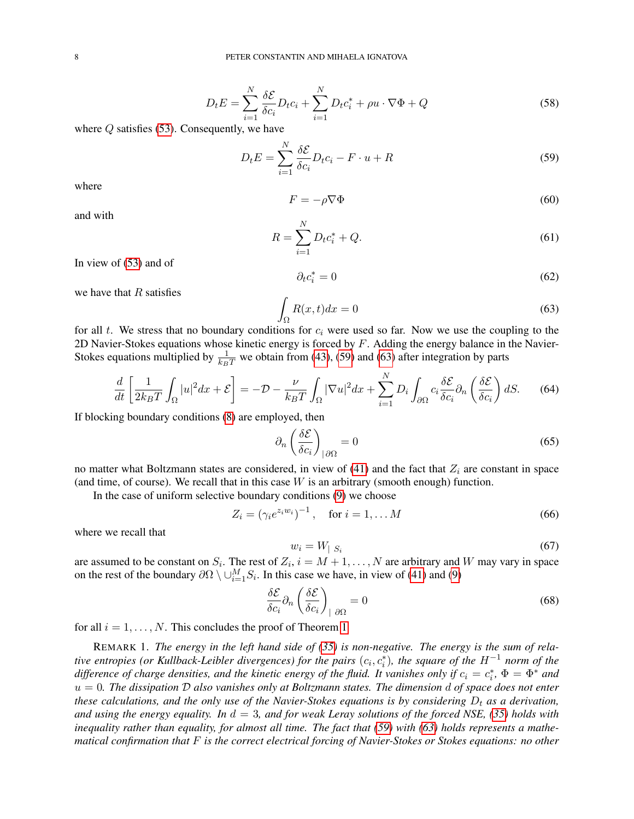$$
D_t E = \sum_{i=1}^N \frac{\delta \mathcal{E}}{\delta c_i} D_t c_i + \sum_{i=1}^N D_t c_i^* + \rho u \cdot \nabla \Phi + Q \tag{58}
$$

where  $Q$  satisfies [\(53\)](#page-6-0). Consequently, we have

<span id="page-7-1"></span>
$$
D_t E = \sum_{i=1}^{N} \frac{\delta \mathcal{E}}{\delta c_i} D_t c_i - F \cdot u + R \tag{59}
$$

where

$$
F = -\rho \nabla \Phi \tag{60}
$$

and with

$$
R = \sum_{i=1}^{N} D_t c_i^* + Q.
$$
\n(61)

In view of [\(53\)](#page-6-0) and of

$$
\partial_t c_i^* = 0 \tag{62}
$$

we have that  $R$  satisfies

<span id="page-7-2"></span>
$$
\int_{\Omega} R(x,t)dx = 0 \tag{63}
$$

for all t. We stress that no boundary conditions for  $c_i$  were used so far. Now we use the coupling to the 2D Navier-Stokes equations whose kinetic energy is forced by F. Adding the energy balance in the Navier-Stokes equations multiplied by  $\frac{1}{k_BT}$  we obtain from [\(43\)](#page-5-3), [\(59\)](#page-7-1) and [\(63\)](#page-7-2) after integration by parts

$$
\frac{d}{dt}\left[\frac{1}{2k_BT}\int_{\Omega}|u|^2dx+\mathcal{E}\right] = -\mathcal{D} - \frac{\nu}{k_BT}\int_{\Omega}|\nabla u|^2dx+\sum_{i=1}^N D_i\int_{\partial\Omega}c_i\frac{\delta\mathcal{E}}{\delta c_i}\partial_n\left(\frac{\delta\mathcal{E}}{\delta c_i}\right)dS. \tag{64}
$$

If blocking boundary conditions [\(8\)](#page-1-0) are employed, then

$$
\partial_n \left( \frac{\delta \mathcal{E}}{\delta c_i} \right)_{|\partial \Omega} = 0 \tag{65}
$$

no matter what Boltzmann states are considered, in view of  $(41)$  and the fact that  $Z_i$  are constant in space (and time, of course). We recall that in this case  $W$  is an arbitrary (smooth enough) function.

In the case of uniform selective boundary conditions [\(9\)](#page-1-6) we choose

<span id="page-7-0"></span>
$$
Z_i = (\gamma_i e^{z_i w_i})^{-1}, \quad \text{for } i = 1, \dots M
$$
 (66)

where we recall that

$$
w_i = W_{|S_i} \tag{67}
$$

are assumed to be constant on  $S_i$ . The rest of  $Z_i$ ,  $i = M + 1, \ldots, N$  are arbitrary and W may vary in space on the rest of the boundary  $\partial\Omega \setminus \cup_{i=1}^M S_i$ . In this case we have, in view of [\(41\)](#page-5-2) and [\(9\)](#page-1-6)

$$
\frac{\delta \mathcal{E}}{\delta c_i} \partial_n \left( \frac{\delta \mathcal{E}}{\delta c_i} \right)_{| \partial \Omega} = 0 \tag{68}
$$

for all  $i = 1, \ldots, N$  $i = 1, \ldots, N$  $i = 1, \ldots, N$ . This concludes the proof of Theorem 1

REMARK 1. *The energy in the left hand side of [\(35\)](#page-5-7) is non-negative. The energy is the sum of relative entropies (or Kullback-Leibler divergences) for the pairs*  $(c_i, c_i^*)$ *, the square of the*  $H^{-1}$  *norm of the difference of charge densities, and the kinetic energy of the fluid. It vanishes only if*  $c_i = c_i^*$ ,  $\Phi = \Phi^*$  and u = 0*. The dissipation* D *also vanishes only at Boltzmann states. The dimension* d *of space does not enter these calculations, and the only use of the Navier-Stokes equations is by considering*  $D_t$  *as a derivation,* and using the energy equality. In  $d = 3$ , and for weak Leray solutions of the forced NSE, [\(35\)](#page-5-7) holds with inequality rather than equality, for almost all time. The fact that [\(59\)](#page-7-1) with [\(63\)](#page-7-2) holds represents a mathe*matical confirmation that* F *is the correct electrical forcing of Navier-Stokes or Stokes equations: no other*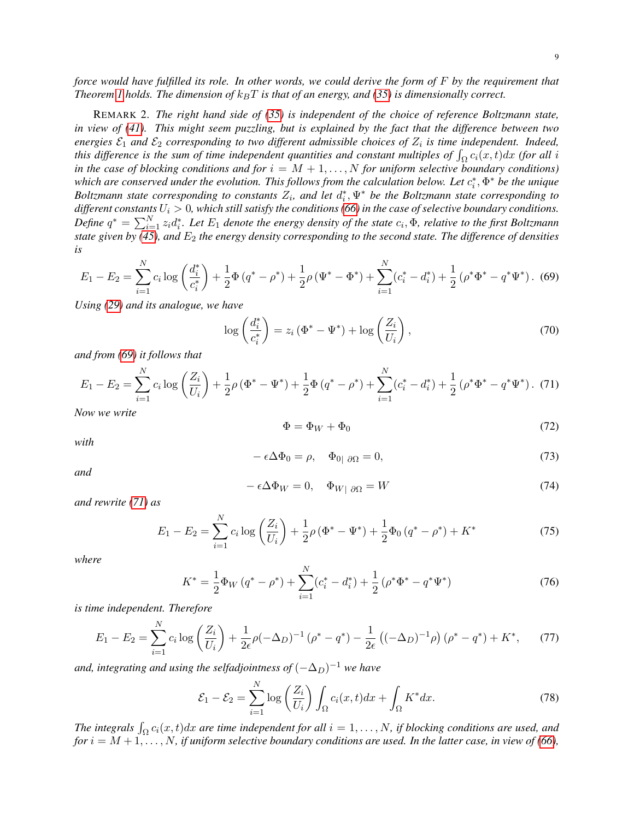*force would have fulfilled its role. In other words, we could derive the form of* F *by the requirement that Theorem [1](#page-5-1) holds. The dimension of*  $k_B T$  *is that of an energy, and [\(35\)](#page-5-7) is dimensionally correct.* 

<span id="page-8-0"></span>REMARK 2. *The right hand side of [\(35\)](#page-5-7) is independent of the choice of reference Boltzmann state, in view of [\(41\)](#page-5-2). This might seem puzzling, but is explained by the fact that the difference between two* energies  $\mathcal{E}_1$  and  $\mathcal{E}_2$  corresponding to two different admissible choices of  $Z_i$  is time independent. Indeed, this difference is the sum of time independent quantities and constant multiples of  $\int_\Omega c_i(x,t)dx$  (for all  $i$ *in the case of blocking conditions and for*  $i = M + 1, ..., N$  *for uniform selective boundary conditions*) *which are conserved under the evolution. This follows from the calculation below. Let*  $c_i^*, \Phi^*$  *be the unique Boltzmann state corresponding to constants*  $Z_i$ , and let  $d_i^*, \Psi^*$  be the Boltzmann state corresponding to *different constants*  $U_i > 0$ , which still satisfy the conditions [\(66\)](#page-7-0) in the case of selective boundary conditions. *Define*  $q^* = \sum_{i=1}^N z_i d_i^*$ . Let  $E_1$  denote the energy density of the state  $c_i, \Phi$ , relative to the first Boltzmann *state given by [\(45\)](#page-6-1), and*  $E_2$  *the energy density corresponding to the second state. The difference of densities is*

<span id="page-8-1"></span>
$$
E_1 - E_2 = \sum_{i=1}^{N} c_i \log \left(\frac{d_i^*}{c_i^*}\right) + \frac{1}{2} \Phi \left(q^* - \rho^*\right) + \frac{1}{2} \rho \left(\Psi^* - \Phi^*\right) + \sum_{i=1}^{N} \left(c_i^* - d_i^*\right) + \frac{1}{2} \left(\rho^* \Phi^* - q^* \Psi^*\right). \tag{69}
$$

*Using [\(29\)](#page-4-1) and its analogue, we have*

$$
\log\left(\frac{d_i^*}{c_i^*}\right) = z_i \left(\Phi^* - \Psi^*\right) + \log\left(\frac{Z_i}{U_i}\right),\tag{70}
$$

*and from [\(69\)](#page-8-1) it follows that*

<span id="page-8-2"></span>
$$
E_1 - E_2 = \sum_{i=1}^{N} c_i \log \left( \frac{Z_i}{U_i} \right) + \frac{1}{2} \rho \left( \Phi^* - \Psi^* \right) + \frac{1}{2} \Phi \left( q^* - \rho^* \right) + \sum_{i=1}^{N} (c_i^* - d_i^*) + \frac{1}{2} \left( \rho^* \Phi^* - q^* \Psi^* \right). \tag{71}
$$

*Now we write*

$$
\Phi = \Phi_W + \Phi_0 \tag{72}
$$

*with*

$$
-\epsilon \Delta \Phi_0 = \rho, \quad \Phi_{0| \partial \Omega} = 0,
$$
\n(73)

*and*

$$
-\epsilon \Delta \Phi_W = 0, \quad \Phi_{W| \partial \Omega} = W \tag{74}
$$

*and rewrite [\(71\)](#page-8-2) as*

$$
E_1 - E_2 = \sum_{i=1}^{N} c_i \log \left( \frac{Z_i}{U_i} \right) + \frac{1}{2} \rho \left( \Phi^* - \Psi^* \right) + \frac{1}{2} \Phi_0 \left( q^* - \rho^* \right) + K^* \tag{75}
$$

*where*

$$
K^* = \frac{1}{2} \Phi_W \left( q^* - \rho^* \right) + \sum_{i=1}^N (c_i^* - d_i^*) + \frac{1}{2} \left( \rho^* \Phi^* - q^* \Psi^* \right) \tag{76}
$$

*is time independent. Therefore*

$$
E_1 - E_2 = \sum_{i=1}^{N} c_i \log \left( \frac{Z_i}{U_i} \right) + \frac{1}{2\epsilon} \rho (-\Delta_D)^{-1} \left( \rho^* - q^* \right) - \frac{1}{2\epsilon} \left( (-\Delta_D)^{-1} \rho \right) \left( \rho^* - q^* \right) + K^*,\tag{77}
$$

and, integrating and using the selfadjointness of  $(-\Delta_D)^{-1}$  we have

$$
\mathcal{E}_1 - \mathcal{E}_2 = \sum_{i=1}^N \log \left( \frac{Z_i}{U_i} \right) \int_{\Omega} c_i(x, t) dx + \int_{\Omega} K^* dx. \tag{78}
$$

The integrals  $\int_{\Omega} c_i(x, t) dx$  are time independent for all  $i = 1, \ldots, N$ , if blocking conditions are used, and *for*  $i = M + 1, \ldots, N$ , if uniform selective boundary conditions are used. In the latter case, in view of [\(66\)](#page-7-0),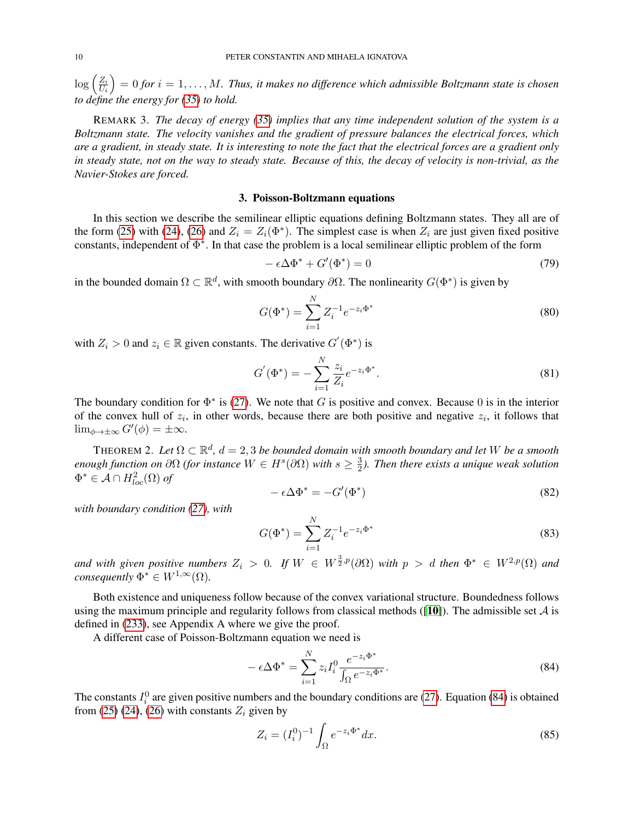$\log\left(\frac{Z_i}{U}\right)$  $\overline{U_i}$  $\hat{p}_1 = 0$  *for*  $i = 1, \ldots, M$ . Thus, it makes no difference which admissible Boltzmann state is chosen *to define the energy for [\(35\)](#page-5-7) to hold.*

REMARK 3. *The decay of energy [\(35\)](#page-5-7) implies that any time independent solution of the system is a Boltzmann state. The velocity vanishes and the gradient of pressure balances the electrical forces, which are a gradient, in steady state. It is interesting to note the fact that the electrical forces are a gradient only in steady state, not on the way to steady state. Because of this, the decay of velocity is non-trivial, as the Navier-Stokes are forced.*

## 3. Poisson-Boltzmann equations

In this section we describe the semilinear elliptic equations defining Boltzmann states. They all are of the form [\(25\)](#page-2-0) with [\(24\)](#page-2-5), [\(26\)](#page-2-2) and  $Z_i = Z_i(\Phi^*)$ . The simplest case is when  $Z_i$  are just given fixed positive constants, independent of  $\Phi^*$ . In that case the problem is a local semilinear elliptic problem of the form

<span id="page-9-5"></span>
$$
- \epsilon \Delta \Phi^* + G'(\Phi^*) = 0 \tag{79}
$$

in the bounded domain  $\Omega \subset \mathbb{R}^d$ , with smooth boundary  $\partial\Omega$ . The nonlinearity  $G(\Phi^*)$  is given by

$$
G(\Phi^*) = \sum_{i=1}^{N} Z_i^{-1} e^{-z_i \Phi^*}
$$
\n(80)

with  $Z_i > 0$  and  $z_i \in \mathbb{R}$  given constants. The derivative  $G'(\Phi^*)$  is

$$
G'(\Phi^*) = -\sum_{i=1}^{N} \frac{z_i}{Z_i} e^{-z_i \Phi^*}.
$$
\n(81)

The boundary condition for  $\Phi^*$  is [\(27\)](#page-2-1). We note that G is positive and convex. Because 0 is in the interior of the convex hull of  $z_i$ , in other words, because there are both positive and negative  $z_i$ , it follows that  $\lim_{\phi \to \pm \infty} G'(\phi) = \pm \infty.$ 

<span id="page-9-3"></span>THEOREM 2. Let  $\Omega \subset \mathbb{R}^d$ ,  $d = 2, 3$  be bounded domain with smooth boundary and let W be a smooth *enough function on*  $\partial\Omega$  (for instance  $W \in H^s(\partial\Omega)$  with  $s \geq \frac{3}{2}$ 2 *). Then there exists a unique weak solution*  $\Phi^* \in \mathcal{A} \cap H^2_{loc}(\Omega)$  of

<span id="page-9-1"></span>
$$
- \epsilon \Delta \Phi^* = -G'(\Phi^*) \tag{82}
$$

*with boundary condition [\(27\)](#page-2-1), with*

<span id="page-9-2"></span>
$$
G(\Phi^*) = \sum_{i=1}^{N} Z_i^{-1} e^{-z_i \Phi^*}
$$
\n(83)

and with given positive numbers  $Z_i > 0$ . If  $W \in W^{\frac{3}{2},p}(\partial \Omega)$  with  $p > d$  then  $\Phi^* \in W^{2,p}(\Omega)$  and *consequently*  $\Phi^* \in W^{1,\infty}(\Omega)$ *.* 

Both existence and uniqueness follow because of the convex variational structure. Boundedness follows using the maximum principle and regularity follows from classical methods ([[10](#page-34-1)]). The admissible set  $\mathcal A$  is defined in [\(233\)](#page-24-0), see Appendix A where we give the proof.

A different case of Poisson-Boltzmann equation we need is

<span id="page-9-0"></span>
$$
-\epsilon \Delta \Phi^* = \sum_{i=1}^N z_i I_i^0 \frac{e^{-z_i \Phi^*}}{\int_{\Omega} e^{-z_i \Phi^*}}.
$$
\n(84)

The constants  $I_i^0$  are given positive numbers and the boundary conditions are [\(27\)](#page-2-1). Equation [\(84\)](#page-9-0) is obtained from [\(25\)](#page-2-0) [\(24\)](#page-2-5), [\(26\)](#page-2-2) with constants  $Z_i$  given by

<span id="page-9-4"></span>
$$
Z_i = (I_i^0)^{-1} \int_{\Omega} e^{-z_i \Phi^*} dx.
$$
 (85)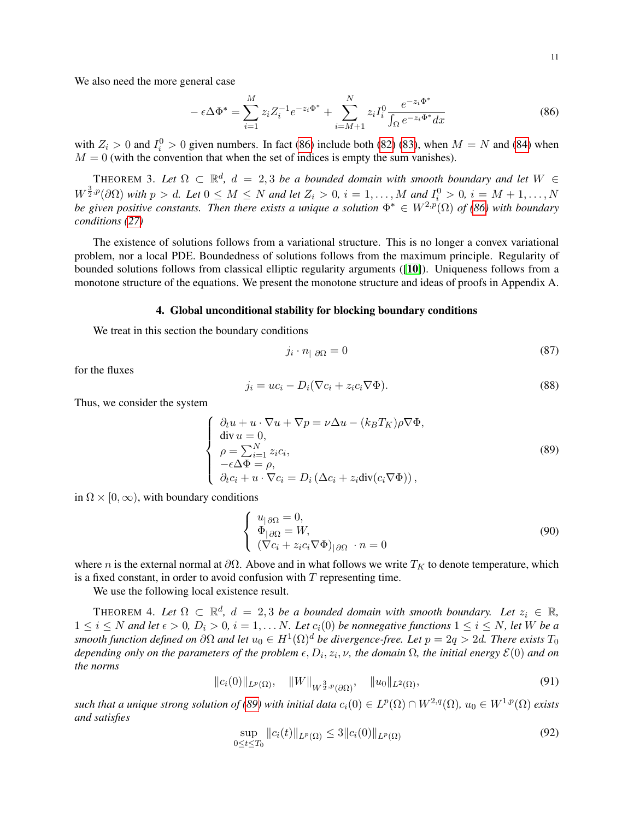We also need the more general case

<span id="page-10-0"></span>
$$
-\epsilon \Delta \Phi^* = \sum_{i=1}^M z_i Z_i^{-1} e^{-z_i \Phi^*} + \sum_{i=M+1}^N z_i I_i^0 \frac{e^{-z_i \Phi^*}}{\int_{\Omega} e^{-z_i \Phi^*} dx}
$$
(86)

with  $Z_i > 0$  and  $I_i^0 > 0$  given numbers. In fact [\(86\)](#page-10-0) include both [\(82\)](#page-9-1) [\(83\)](#page-9-2), when  $M = N$  and [\(84\)](#page-9-0) when  $M = 0$  (with the convention that when the set of indices is empty the sum vanishes).

<span id="page-10-6"></span>THEOREM 3. Let  $\Omega \subset \mathbb{R}^d$ ,  $d = 2, 3$  be a bounded domain with smooth boundary and let  $W \in$  $W^{\frac{3}{2},p}(\partial\Omega)$  with  $p > d$ . Let  $0 \leq M \leq N$  and let  $Z_i > 0$ ,  $i = 1, \ldots, M$  and  $I_i^0 > 0$ ,  $i = M + 1, \ldots, N$ *be given positive constants. Then there exists a unique a solution*  $\Phi^* \in W^{2,p}(\Omega)$  *of* [\(86\)](#page-10-0) with boundary *conditions [\(27\)](#page-2-1)*

The existence of solutions follows from a variational structure. This is no longer a convex variational problem, nor a local PDE. Boundedness of solutions follows from the maximum principle. Regularity of bounded solutions follows from classical elliptic regularity arguments ([[10](#page-34-1)]). Uniqueness follows from a monotone structure of the equations. We present the monotone structure and ideas of proofs in Appendix A.

#### 4. Global unconditional stability for blocking boundary conditions

We treat in this section the boundary conditions

<span id="page-10-3"></span>
$$
j_i \cdot n_{\mid \partial \Omega} = 0 \tag{87}
$$

for the fluxes

$$
j_i = uc_i - D_i(\nabla c_i + z_i c_i \nabla \Phi). \tag{88}
$$

Thus, we consider the system

<span id="page-10-1"></span>
$$
\begin{cases}\n\partial_t u + u \cdot \nabla u + \nabla p = \nu \Delta u - (k_B T_K) \rho \nabla \Phi, \\
\text{div } u = 0, \\
\rho = \sum_{i=1}^N z_i c_i, \\
-\epsilon \Delta \Phi = \rho, \\
\partial_t c_i + u \cdot \nabla c_i = D_i \left(\Delta c_i + z_i \text{div}(c_i \nabla \Phi)\right),\n\end{cases} (89)
$$

in  $\Omega \times [0, \infty)$ , with boundary conditions

<span id="page-10-4"></span>
$$
\begin{cases} u_{|\partial\Omega} = 0, \\ \Phi_{|\partial\Omega} = W, \\ (\nabla c_i + z_i c_i \nabla \Phi)_{|\partial\Omega} \cdot n = 0 \end{cases}
$$
 (90)

where n is the external normal at  $\partial\Omega$ . Above and in what follows we write  $T_K$  to denote temperature, which is a fixed constant, in order to avoid confusion with  $T$  representing time.

We use the following local existence result.

<span id="page-10-5"></span>THEOREM 4. Let  $\Omega \subset \mathbb{R}^d$ ,  $d = 2, 3$  be a bounded domain with smooth boundary. Let  $z_i \in \mathbb{R}$ ,  $1 \leq i \leq N$  and let  $\epsilon > 0$ ,  $D_i > 0$ ,  $i = 1, \ldots N$ . Let  $c_i(0)$  be nonnegative functions  $1 \leq i \leq N$ , let W be a  $\emph{smooth function defined on $\partial\Omega$ and let $u_0\in H^1(\Omega)^d$ be divergence-free. Let $p=2q>2d$. There exists $T_0$$  $d$ epending only on the parameters of the problem  $\epsilon, D_i, z_i, \nu$ , the domain  $\Omega$ , the initial energy  $\mathcal{E}(0)$  and on *the norms*

<span id="page-10-2"></span>
$$
||c_i(0)||_{L^p(\Omega)}, \quad ||W||_{W^{\frac{3}{2},p}(\partial\Omega)}, \quad ||u_0||_{L^2(\Omega)}, \tag{91}
$$

 $such$  that a unique strong solution of [\(89\)](#page-10-1) with initial data  $c_i(0)\in L^p(\Omega)\cap W^{2,q}(\Omega)$ ,  $u_0\in W^{1,p}(\Omega)$  exists *and satisfies*

$$
\sup_{0 \le t \le T_0} ||c_i(t)||_{L^p(\Omega)} \le 3||c_i(0)||_{L^p(\Omega)}
$$
\n(92)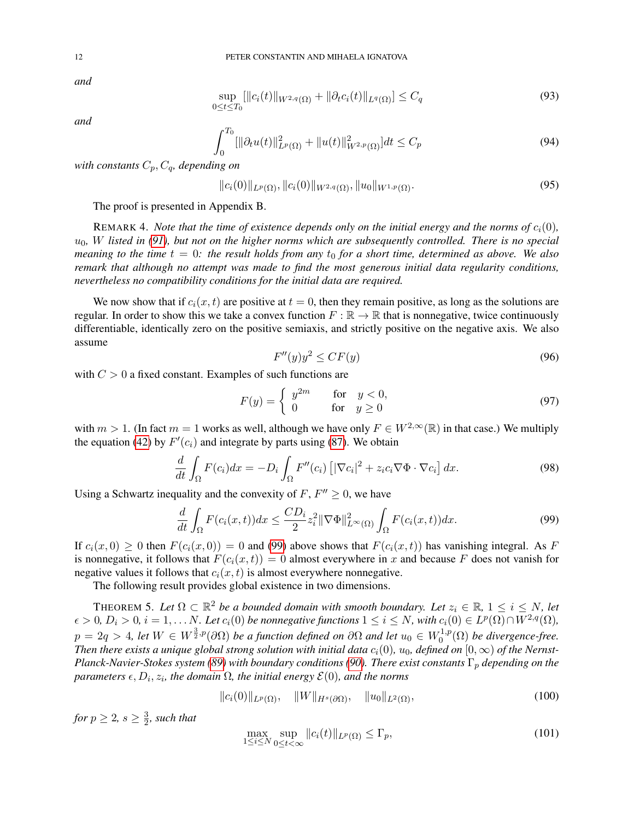*and*

$$
\sup_{0 \le t \le T_0} [\|c_i(t)\|_{W^{2,q}(\Omega)} + \|\partial_t c_i(t)\|_{L^q(\Omega)}] \le C_q
$$
\n(93)

*and*

$$
\int_0^{T_0} [||\partial_t u(t)||^2_{L^p(\Omega)} + ||u(t)||^2_{W^{2,p}(\Omega)}] dt \le C_p
$$
\n(94)

*with constants*  $C_p$ ,  $C_q$ , depending on

$$
||c_i(0)||_{L^p(\Omega)}, ||c_i(0)||_{W^{2,q}(\Omega)}, ||u_0||_{W^{1,p}(\Omega)}.
$$
\n(95)

The proof is presented in Appendix B.

REMARK 4. *Note that the time of existence depends only on the initial energy and the norms of*  $c_i(0)$ , u0*,* W *listed in [\(91\)](#page-10-2), but not on the higher norms which are subsequently controlled. There is no special meaning to the time*  $t = 0$ : the result holds from any  $t_0$  for a short time, determined as above. We also *remark that although no attempt was made to find the most generous initial data regularity conditions, nevertheless no compatibility conditions for the initial data are required.*

We now show that if  $c_i(x, t)$  are positive at  $t = 0$ , then they remain positive, as long as the solutions are regular. In order to show this we take a convex function  $F : \mathbb{R} \to \mathbb{R}$  that is nonnegative, twice continuously differentiable, identically zero on the positive semiaxis, and strictly positive on the negative axis. We also assume

$$
F''(y)y^2 \le CF(y) \tag{96}
$$

with  $C > 0$  a fixed constant. Examples of such functions are

$$
F(y) = \begin{cases} y^{2m} & \text{for } y < 0, \\ 0 & \text{for } y \ge 0 \end{cases}
$$
 (97)

with  $m > 1$ . (In fact  $m = 1$  works as well, although we have only  $F \in W^{2,\infty}(\mathbb{R})$  in that case.) We multiply the equation [\(42\)](#page-5-8) by  $F'(c_i)$  and integrate by parts using [\(87\)](#page-10-3). We obtain

<span id="page-11-2"></span>
$$
\frac{d}{dt} \int_{\Omega} F(c_i) dx = -D_i \int_{\Omega} F''(c_i) \left[ |\nabla c_i|^2 + z_i c_i \nabla \Phi \cdot \nabla c_i \right] dx.
$$
\n(98)

Using a Schwartz inequality and the convexity of F,  $F'' \geq 0$ , we have

<span id="page-11-0"></span>
$$
\frac{d}{dt} \int_{\Omega} F(c_i(x,t)) dx \leq \frac{CD_i}{2} z_i^2 \|\nabla \Phi\|_{L^\infty(\Omega)}^2 \int_{\Omega} F(c_i(x,t)) dx.
$$
\n(99)

If  $c_i(x, 0) \ge 0$  then  $F(c_i(x, 0)) = 0$  and [\(99\)](#page-11-0) above shows that  $F(c_i(x, t))$  has vanishing integral. As F is nonnegative, it follows that  $F(c_i(x, t)) = 0$  almost everywhere in x and because F does not vanish for negative values it follows that  $c_i(x, t)$  is almost everywhere nonnegative.

The following result provides global existence in two dimensions.

<span id="page-11-1"></span>THEOREM 5. Let  $\Omega \subset \mathbb{R}^2$  be a bounded domain with smooth boundary. Let  $z_i \in \mathbb{R}$ ,  $1 \leq i \leq N$ , let  $\epsilon > 0$ ,  $D_i > 0$ ,  $i = 1, \ldots N$ . Let  $c_i(0)$  be nonnegative functions  $1 \leq i \leq N$ , with  $c_i(0) \in L^p(\Omega) \cap W^{2,q}(\Omega)$ ,  $p = 2q > 4$ , let  $W \in W^{\frac{3}{2}, p}(\partial \Omega)$  be a function defined on  $\partial \Omega$  and let  $u_0 \in W_0^{1, p}$  $C_0^{1,p}(\Omega)$  *be divergence-free. Then there exists a unique global strong solution with initial data*  $c_i(0)$ ,  $u_0$ , defined on  $[0, \infty)$  of the Nernst-*Planck-Navier-Stokes system [\(89\)](#page-10-1) with boundary conditions [\(90\)](#page-10-4). There exist constants* Γ<sup>p</sup> *depending on the*  $\emph{parameters}$   $\epsilon, D_i, z_i$ , the domain  $\Omega$ , the initial energy  $\mathcal{E}(0)$ , and the norms

$$
||c_i(0)||_{L^p(\Omega)}, \quad ||W||_{H^s(\partial\Omega)}, \quad ||u_0||_{L^2(\Omega)}, \tag{100}
$$

*for*  $p \geq 2$ ,  $s \geq \frac{3}{2}$  $\frac{3}{2}$ , such that

<span id="page-11-3"></span>
$$
\max_{1 \le i \le N} \sup_{0 \le t < \infty} \|c_i(t)\|_{L^p(\Omega)} \le \Gamma_p,\tag{101}
$$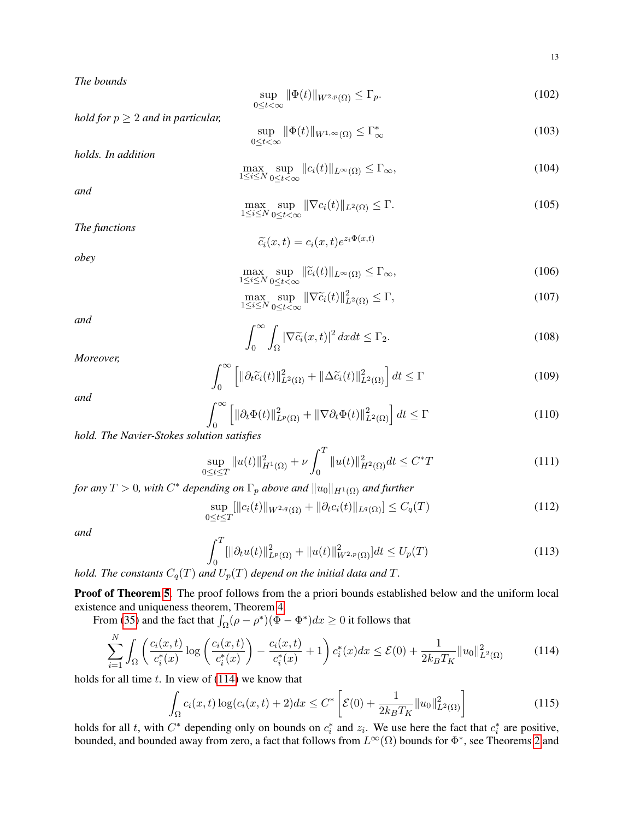$$
\sup_{0 \le t < \infty} \|\Phi(t)\|_{W^{2,p}(\Omega)} \le \Gamma_p. \tag{102}
$$

hold for 
$$
p \ge 2
$$
 and in particular,  
\n
$$
\sup_{0 \le t < \infty} \|\Phi(t)\|_{W^{1,\infty}(\Omega)} \le \Gamma_{\infty}^*
$$
\n(103)

*holds. In addition*

$$
\max_{1 \le i \le N} \sup_{0 \le t < \infty} \|c_i(t)\|_{L^\infty(\Omega)} \le \Gamma_\infty,\tag{104}
$$

*and*

*The functions*

 $\widetilde{c}_i(x,t) = c_i(x,t)e^{z_i\Phi(x,t)}$ 

 $\max_{1 \leq i \leq N} \sup_{0 \leq t \leq c}$ 

$$
\max_{1 \le i \le N} \sup_{0 \le t < \infty} \|\tilde{c}_i(t)\|_{L^\infty(\Omega)} \le \Gamma_\infty,\tag{106}
$$

$$
\max_{1 \le i \le N} \sup_{0 \le t < \infty} \|\nabla \tilde{c}_i(t)\|_{L^2(\Omega)}^2 \le \Gamma,\tag{107}
$$

 $\sup_{0 \le t < \infty} \|\nabla c_i(t)\|_{L^2(\Omega)} \le \Gamma.$  (105)

*and*

*obey*

<span id="page-12-3"></span>
$$
\int_0^\infty \int_{\Omega} |\nabla \widetilde{c}_i(x,t)|^2 dx dt \le \Gamma_2. \tag{108}
$$

*Moreover,*

<span id="page-12-2"></span>
$$
\int_0^\infty \left[ \|\partial_t \widetilde{c}_i(t)\|_{L^2(\Omega)}^2 + \|\Delta \widetilde{c}_i(t)\|_{L^2(\Omega)}^2 \right] dt \le \Gamma \tag{109}
$$

*and*

$$
\int_0^\infty \left[ \|\partial_t \Phi(t)\|_{L^p(\Omega)}^2 + \|\nabla \partial_t \Phi(t)\|_{L^2(\Omega)}^2 \right] dt \le \Gamma
$$
\n(110)

*hold. The Navier-Stokes solution satisfies*

$$
\sup_{0 \le t \le T} \|u(t)\|_{H^1(\Omega)}^2 + \nu \int_0^T \|u(t)\|_{H^2(\Omega)}^2 dt \le C^*T \tag{111}
$$

for any  $T > 0$ , with  $C^*$  depending on  $\Gamma_p$  above and  $||u_0||_{H^1(\Omega)}$  and further

$$
\sup_{0 \le t \le T} [\|c_i(t)\|_{W^{2,q}(\Omega)} + \|\partial_t c_i(t)\|_{L^q(\Omega)}] \le C_q(T) \tag{112}
$$

*and*

<span id="page-12-4"></span>
$$
\int_0^T [\|\partial_t u(t)\|_{L^p(\Omega)}^2 + \|u(t)\|_{W^{2,p}(\Omega)}^2] dt \le U_p(T) \tag{113}
$$

*hold. The constants*  $C_q(T)$  *and*  $U_p(T)$  *depend on the initial data and*  $T$ *.* 

Proof of Theorem [5](#page-11-1). The proof follows from the a priori bounds established below and the uniform local existence and uniqueness theorem, Theorem [4.](#page-10-5)

From [\(35\)](#page-5-7) and the fact that  $\int_{\Omega} (\rho - \rho^*) (\Phi - \Phi^*) dx \ge 0$  it follows that

<span id="page-12-0"></span>
$$
\sum_{i=1}^{N} \int_{\Omega} \left( \frac{c_i(x,t)}{c_i^*(x)} \log \left( \frac{c_i(x,t)}{c_i^*(x)} \right) - \frac{c_i(x,t)}{c_i^*(x)} + 1 \right) c_i^*(x) dx \le \mathcal{E}(0) + \frac{1}{2k_B T_K} \|u_0\|_{L^2(\Omega)}^2 \tag{114}
$$

holds for all time  $t$ . In view of [\(114\)](#page-12-0) we know that

<span id="page-12-1"></span>
$$
\int_{\Omega} c_i(x,t) \log(c_i(x,t) + 2) dx \le C^* \left[ \mathcal{E}(0) + \frac{1}{2k_B T_K} ||u_0||^2_{L^2(\Omega)} \right]
$$
\n(115)

holds for all t, with  $C^*$  depending only on bounds on  $c_i^*$  and  $z_i$ . We use here the fact that  $c_i^*$  are positive, bounded, and bounded away from zero, a fact that follows from  $L^{\infty}(\Omega)$  bounds for  $\Phi^*$ , see Theorems [2](#page-9-3) and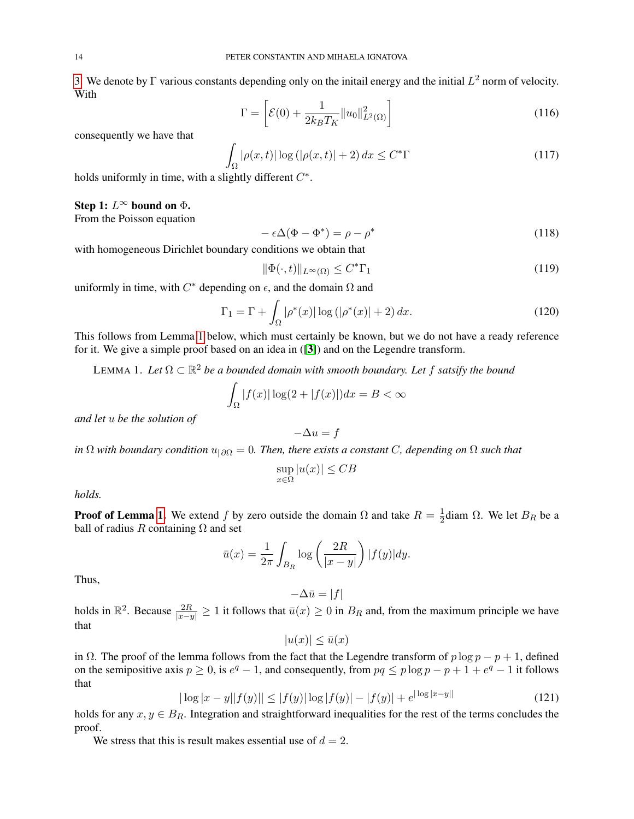[3.](#page-10-6) We denote by  $\Gamma$  various constants depending only on the initial energy and the initial  $L^2$  norm of velocity. With

$$
\Gamma = \left[ \mathcal{E}(0) + \frac{1}{2k_B T_K} ||u_0||_{L^2(\Omega)}^2 \right]
$$
\n(116)

consequently we have that

$$
\int_{\Omega} |\rho(x,t)| \log (|\rho(x,t)| + 2) dx \le C^* \Gamma
$$
\n(117)

holds uniformly in time, with a slightly different  $C^*$ .

## Step 1:  $L^{\infty}$  bound on  $\Phi$ .

From the Poisson equation

$$
-\epsilon\Delta(\Phi - \Phi^*) = \rho - \rho^*
$$
\n(118)

with homogeneous Dirichlet boundary conditions we obtain that

<span id="page-13-1"></span>
$$
\|\Phi(\cdot,t)\|_{L^{\infty}(\Omega)} \le C^{\ast}\Gamma_1\tag{119}
$$

uniformly in time, with  $C^*$  depending on  $\epsilon$ , and the domain  $\Omega$  and

$$
\Gamma_1 = \Gamma + \int_{\Omega} |\rho^*(x)| \log (|\rho^*(x)| + 2) dx.
$$
 (120)

This follows from Lemma [1](#page-13-0) below, which must certainly be known, but we do not have a ready reference for it. We give a simple proof based on an idea in ([[3](#page-34-8)]) and on the Legendre transform.

<span id="page-13-0"></span>LEMMA 1. Let  $\Omega \subset \mathbb{R}^2$  be a bounded domain with smooth boundary. Let f satsify the bound

$$
\int_{\Omega} |f(x)| \log(2 + |f(x)|) dx = B < \infty
$$

*and let* u *be the solution of*

$$
-\Delta u = f
$$

*in*  $\Omega$  *with boundary condition*  $u_{|\partial\Omega} = 0$ *. Then, there exists a constant* C, depending on  $\Omega$  *such that* 

$$
\sup_{x \in \Omega} |u(x)| \leq CB
$$

*holds.*

**Proof of Lemma [1.](#page-13-0)** We extend f by zero outside the domain  $\Omega$  and take  $R = \frac{1}{2}$  $\frac{1}{2}$ diam  $\Omega$ . We let  $B_R$  be a ball of radius  $R$  containing  $\Omega$  and set

$$
\bar{u}(x) = \frac{1}{2\pi} \int_{B_R} \log\left(\frac{2R}{|x-y|}\right) |f(y)| dy.
$$

Thus,

holds in  $\mathbb{R}^2$ . Because  $\frac{2R}{|x-y|} \ge 1$  it follows that  $\bar{u}(x) \ge 0$  in  $B_R$  and, from the maximum principle we have that

 $-\Delta \bar{u} = |f|$ 

$$
|u(x)| \le \bar{u}(x)
$$

in  $\Omega$ . The proof of the lemma follows from the fact that the Legendre transform of  $p \log p - p + 1$ , defined on the semipositive axis  $p \ge 0$ , is  $e^q - 1$ , and consequently, from  $pq \le p \log p - p + 1 + e^q - 1$  it follows that

$$
|\log|x - y||f(y)|| \le |f(y)|\log|f(y)| - |f(y)| + e^{|\log|x - y||} \tag{121}
$$

holds for any  $x, y \in B_R$ . Integration and straightforward inequalities for the rest of the terms concludes the proof.

We stress that this is result makes essential use of  $d = 2$ .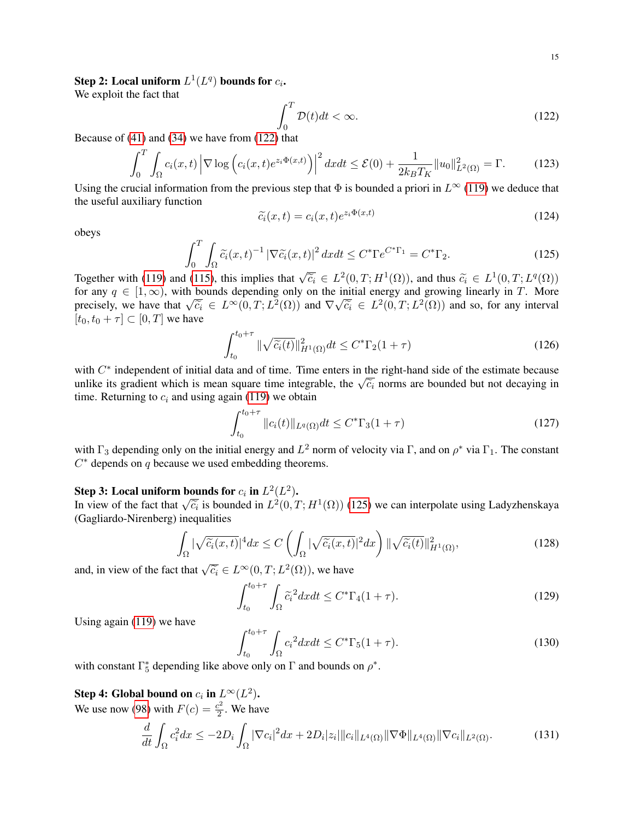# Step 2: Local uniform  $L^1(L^q)$  bounds for  $c_i$ .

We exploit the fact that

<span id="page-14-0"></span>
$$
\int_0^T \mathcal{D}(t)dt < \infty. \tag{122}
$$

Because of [\(41\)](#page-5-2) and [\(34\)](#page-5-0) we have from [\(122\)](#page-14-0) that

$$
\int_0^T \int_{\Omega} c_i(x,t) \left| \nabla \log \left( c_i(x,t) e^{z_i \Phi(x,t)} \right) \right|^2 dx dt \le \mathcal{E}(0) + \frac{1}{2k_B T_K} ||u_0||^2_{L^2(\Omega)} = \Gamma. \tag{123}
$$

Using the crucial information from the previous step that  $\Phi$  is bounded a priori in  $L^{\infty}$  [\(119\)](#page-13-1) we deduce that the useful auxiliary function

$$
\widetilde{c_i}(x,t) = c_i(x,t)e^{z_i\Phi(x,t)}\tag{124}
$$

obeys

<span id="page-14-1"></span>
$$
\int_0^T \int_{\Omega} \widetilde{c}_i(x,t)^{-1} \left| \nabla \widetilde{c}_i(x,t) \right|^2 dxdt \le C^* \Gamma e^{C^* \Gamma_1} = C^* \Gamma_2. \tag{125}
$$

Together with [\(119\)](#page-13-1) and [\(115\)](#page-12-1), this implies that  $\sqrt{\tilde{c}_i} \in L^2(0,T;H^1(\Omega))$ , and thus  $\tilde{c}_i \in L^1(0,T;L^q(\Omega))$ <br>for any  $\alpha \in [1,\infty)$ , with bounds depending only on the initial energy and growing linearly in T. More for any  $q \in [1, \infty)$ , with bounds depending only on the initial energy and growing linearly in T. More precisely, we have that  $\sqrt{\tilde{c}_i} \in L^{\infty}(0,T;L^2(\Omega))$  and  $\nabla \sqrt{\tilde{c}_i} \in L^2(0,T;L^2(\Omega))$  and so, for any interval<br>the test  $\pi \in [0,T]$  we have  $[t_0, t_0 + \tau] \subset [0, T]$  we have

$$
\int_{t_0}^{t_0+\tau} \|\sqrt{\widetilde{c}_i(t)}\|_{H^1(\Omega)}^2 dt \le C^* \Gamma_2(1+\tau) \tag{126}
$$

with  $C^*$  independent of initial data and of time. Time enters in the right-hand side of the estimate because with C Thaependent of mittal data and of time. The enters in the right-hand side of the estimate because<br>unlike its gradient which is mean square time integrable, the  $\sqrt{\tilde{c}_i}$  norms are bounded but not decaying in<br>tim time. Returning to  $c_i$  and using again [\(119\)](#page-13-1) we obtain

<span id="page-14-3"></span>
$$
\int_{t_0}^{t_0+\tau} \|c_i(t)\|_{L^q(\Omega)} dt \le C^* \Gamma_3(1+\tau) \tag{127}
$$

with  $\Gamma_3$  depending only on the initial energy and  $L^2$  norm of velocity via  $\Gamma$ , and on  $\rho^*$  via  $\Gamma_1$ . The constant  $C^*$  depends on  $q$  because we used embedding theorems.

# Step 3: Local uniform bounds for  $c_i$  in  $L^2(L^2)$ .

Step 5: Local uniform bounds for  $c_i$  in  $L^2(L^2)$ .<br>In view of the fact that  $\sqrt{\tilde{c}_i}$  is bounded in  $L^2(0,T;H^1(\Omega))$  [\(125\)](#page-14-1) we can interpolate using Ladyzhenskaya (Gagliardo-Nirenberg) inequalities

$$
\int_{\Omega} |\sqrt{\widetilde{c}_i(x,t)}|^4 dx \le C \left( \int_{\Omega} |\sqrt{\widetilde{c}_i(x,t)}|^2 dx \right) ||\sqrt{\widetilde{c}_i(t)}||_{H^1(\Omega)}^2, \tag{128}
$$

and, in view of the fact that  $\sqrt{\tilde{c}_i} \in L^{\infty}(0,T; L^2(\Omega))$ , we have

$$
\int_{t_0}^{t_0+\tau} \int_{\Omega} \tilde{c}_i^2 dx dt \le C^* \Gamma_4 (1+\tau). \tag{129}
$$

Using again [\(119\)](#page-13-1) we have

<span id="page-14-2"></span>
$$
\int_{t_0}^{t_0+\tau} \int_{\Omega} c_i^2 dx dt \le C^* \Gamma_5 (1+\tau). \tag{130}
$$

with constant  $\Gamma_5^*$  depending like above only on  $\Gamma$  and bounds on  $\rho^*$ .

Step 4: Global bound on  $c_i$  in  $L^{\infty}(L^2)$ . We use now [\(98\)](#page-11-2) with  $F(c) = \frac{c^2}{2}$  $\frac{2^2}{2}$ . We have

$$
\frac{d}{dt}\int_{\Omega}c_i^2dx \le -2D_i\int_{\Omega}|\nabla c_i|^2dx + 2D_i|z_i|\|c_i\|_{L^4(\Omega)}\|\nabla\Phi\|_{L^4(\Omega)}\|\nabla c_i\|_{L^2(\Omega)}.\tag{131}
$$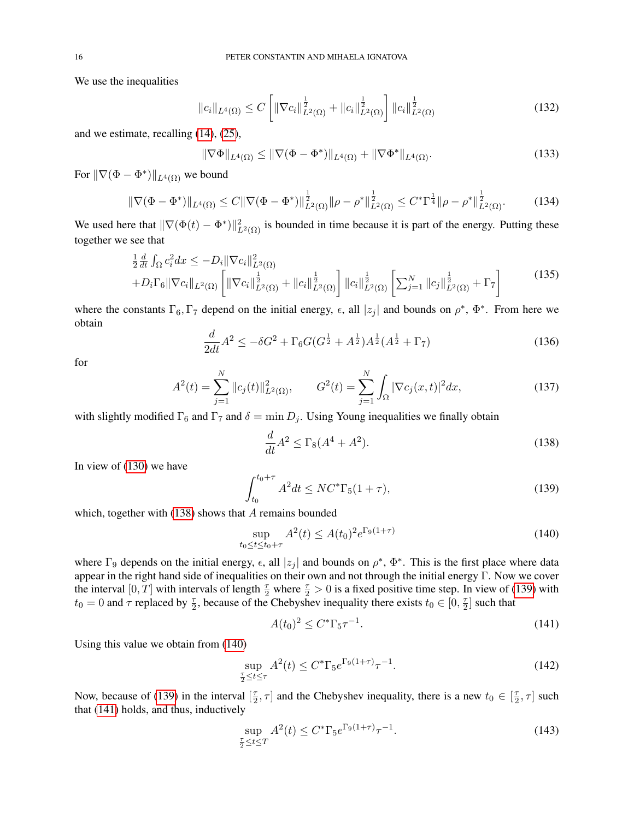We use the inequalities

$$
||c_i||_{L^4(\Omega)} \le C \left[ ||\nabla c_i||_{L^2(\Omega)}^{\frac{1}{2}} + ||c_i||_{L^2(\Omega)}^{\frac{1}{2}} \right] ||c_i||_{L^2(\Omega)}^{\frac{1}{2}} \tag{132}
$$

and we estimate, recalling [\(14\)](#page-1-4), [\(25\)](#page-2-0),

$$
\|\nabla\Phi\|_{L^{4}(\Omega)} \le \|\nabla(\Phi - \Phi^{*})\|_{L^{4}(\Omega)} + \|\nabla\Phi^{*}\|_{L^{4}(\Omega)}.
$$
\n(133)

For  $\|\nabla(\Phi - \Phi^*)\|_{L^4(\Omega)}$  we bound

<span id="page-15-5"></span>
$$
\|\nabla(\Phi - \Phi^*)\|_{L^4(\Omega)} \le C \|\nabla(\Phi - \Phi^*)\|_{L^2(\Omega)}^{\frac{1}{2}} \|\rho - \rho^*\|_{L^2(\Omega)}^{\frac{1}{2}} \le C^* \Gamma^{\frac{1}{4}} \|\rho - \rho^*\|_{L^2(\Omega)}^{\frac{1}{2}}.
$$
 (134)

We used here that  $\|\nabla(\Phi(t) - \Phi^*)\|_{L^2(\Omega)}^2$  is bounded in time because it is part of the energy. Putting these together we see that

$$
\frac{1}{2}\frac{d}{dt}\int_{\Omega}c_{i}^{2}dx \leq -D_{i} \|\nabla c_{i}\|_{L^{2}(\Omega)}^{2} + D_{i}\Gamma_{6} \|\nabla c_{i}\|_{L^{2}(\Omega)}^{2} + \|c_{i}\|_{L^{2}(\Omega)}^{\frac{1}{2}} + \|c_{i}\|_{L^{2}(\Omega)}^{\frac{1}{2}} \left\|c_{i}\|_{L^{2}(\Omega)}^{\frac{1}{2}} \left[\sum_{j=1}^{N} \|c_{j}\|_{L^{2}(\Omega)}^{\frac{1}{2}} + \Gamma_{7}\right] \right]
$$
\n(135)

where the constants  $\Gamma_6, \Gamma_7$  depend on the initial energy,  $\epsilon$ , all  $|z_j|$  and bounds on  $\rho^*$ ,  $\Phi^*$ . From here we obtain

<span id="page-15-4"></span>
$$
\frac{d}{2dt}A^2 \le -\delta G^2 + \Gamma_6 G (G^{\frac{1}{2}} + A^{\frac{1}{2}})A^{\frac{1}{2}} (A^{\frac{1}{2}} + \Gamma_7)
$$
\n(136)

for

$$
A^{2}(t) = \sum_{j=1}^{N} ||c_{j}(t)||_{L^{2}(\Omega)}^{2}, \qquad G^{2}(t) = \sum_{j=1}^{N} \int_{\Omega} |\nabla c_{j}(x, t)|^{2} dx,
$$
\n(137)

with slightly modified  $\Gamma_6$  and  $\Gamma_7$  and  $\delta = \min D_j$ . Using Young inequalities we finally obtain

<span id="page-15-0"></span>
$$
\frac{d}{dt}A^2 \le \Gamma_8(A^4 + A^2). \tag{138}
$$

In view of [\(130\)](#page-14-2) we have

<span id="page-15-1"></span>
$$
\int_{t_0}^{t_0+\tau} A^2 dt \le NC^* \Gamma_5(1+\tau),\tag{139}
$$

which, together with [\(138\)](#page-15-0) shows that A remains bounded

<span id="page-15-2"></span>
$$
\sup_{t_0 \le t \le t_0 + \tau} A^2(t) \le A(t_0)^2 e^{\Gamma_9(1+\tau)} \tag{140}
$$

where  $\Gamma_9$  depends on the initial energy,  $\epsilon$ , all  $|z_j|$  and bounds on  $\rho^*$ ,  $\Phi^*$ . This is the first place where data appear in the right hand side of inequalities on their own and not through the initial energy Γ. Now we cover the interval  $[0, T]$  with intervals of length  $\frac{\tau}{2}$  where  $\frac{\tau}{2} > 0$  is a fixed positive time step. In view of [\(139\)](#page-15-1) with  $t_0 = 0$  and  $\tau$  replaced by  $\frac{\tau}{2}$ , because of the Chebyshev inequality there exists  $t_0 \in [0, \frac{\tau}{2}]$  $\frac{\tau}{2}$  such that

<span id="page-15-3"></span>
$$
A(t_0)^2 \le C^* \Gamma_5 \tau^{-1}.
$$
\n(141)

Using this value we obtain from [\(140\)](#page-15-2)

$$
\sup_{\frac{\tau}{2} \le t \le \tau} A^2(t) \le C^* \Gamma_5 e^{\Gamma_9(1+\tau)} \tau^{-1}.
$$
\n(142)

Now, because of [\(139\)](#page-15-1) in the interval  $\left[\frac{7}{2}\right]$  $\left[\frac{\tau}{2}, \tau\right]$  and the Chebyshev inequality, there is a new  $t_0 \in \left[\frac{\tau}{2}\right]$  $\left[\frac{\tau}{2}, \tau\right]$  such that [\(141\)](#page-15-3) holds, and thus, inductively

$$
\sup_{\frac{\tau}{2} \le t \le T} A^2(t) \le C^* \Gamma_5 e^{\Gamma_9(1+\tau)} \tau^{-1}.
$$
\n(143)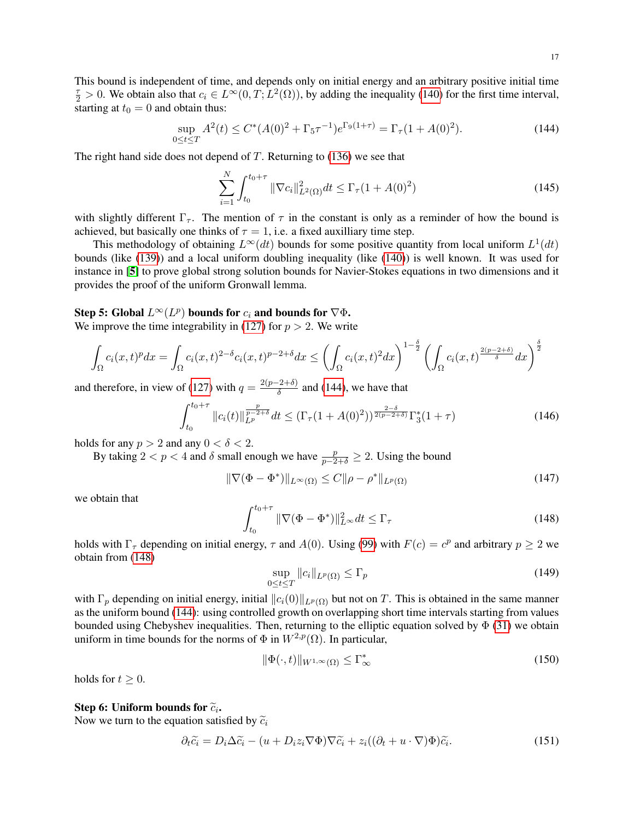This bound is independent of time, and depends only on initial energy and an arbitrary positive initial time  $\frac{\tau}{2} > 0$ . We obtain also that  $c_i \in L^{\infty}(0,T; L^2(\Omega))$ , by adding the inequality [\(140\)](#page-15-2) for the first time interval, starting at  $t_0 = 0$  and obtain thus:

<span id="page-16-0"></span>
$$
\sup_{0 \le t \le T} A^2(t) \le C^* (A(0)^2 + \Gamma_5 \tau^{-1}) e^{\Gamma_9(1+\tau)} = \Gamma_\tau (1 + A(0)^2). \tag{144}
$$

The right hand side does not depend of  $T$ . Returning to [\(136\)](#page-15-4) we see that

<span id="page-16-2"></span>
$$
\sum_{i=1}^{N} \int_{t_0}^{t_0+\tau} \|\nabla c_i\|_{L^2(\Omega)}^2 dt \le \Gamma_\tau (1 + A(0)^2)
$$
\n(145)

with slightly different  $\Gamma_{\tau}$ . The mention of  $\tau$  in the constant is only as a reminder of how the bound is achieved, but basically one thinks of  $\tau = 1$ , i.e. a fixed auxilliary time step.

This methodology of obtaining  $L^{\infty}(dt)$  bounds for some positive quantity from local uniform  $L^{1}(dt)$ bounds (like [\(139\)](#page-15-1)) and a local uniform doubling inequality (like [\(140\)](#page-15-2)) is well known. It was used for instance in [[5](#page-34-9)] to prove global strong solution bounds for Navier-Stokes equations in two dimensions and it provides the proof of the uniform Gronwall lemma.

# Step 5: Global  $L^\infty(L^p)$  bounds for  $c_i$  and bounds for  $\nabla \Phi$ .

We improve the time integrability in [\(127\)](#page-14-3) for  $p > 2$ . We write

$$
\int_{\Omega} c_i(x,t)^p dx = \int_{\Omega} c_i(x,t)^{2-\delta} c_i(x,t)^{p-2+\delta} dx \le \left(\int_{\Omega} c_i(x,t)^2 dx\right)^{1-\frac{\delta}{2}} \left(\int_{\Omega} c_i(x,t)^{2(p-2+\delta)} dx\right)^{\frac{\delta}{2}}
$$

and therefore, in view of [\(127\)](#page-14-3) with  $q = \frac{2(p-2+\delta)}{\delta}$  $\frac{f(z+6)}{\delta}$  and [\(144\)](#page-16-0), we have that

$$
\int_{t_0}^{t_0+\tau} \|c_i(t)\|_{L^p}^{\frac{p}{p-2+\delta}} dt \le (\Gamma_\tau (1+A(0)^2))^{\frac{2-\delta}{2(p-2+\delta)}} \Gamma_3^*(1+\tau)
$$
(146)

holds for any  $p > 2$  and any  $0 < \delta < 2$ .

By taking  $2 < p < 4$  and  $\delta$  small enough we have  $\frac{p}{p-2+\delta} \ge 2$ . Using the bound

$$
\|\nabla(\Phi - \Phi^*)\|_{L^{\infty}(\Omega)} \le C \|\rho - \rho^*\|_{L^p(\Omega)} \tag{147}
$$

we obtain that

<span id="page-16-1"></span>
$$
\int_{t_0}^{t_0+\tau} \|\nabla(\Phi - \Phi^*)\|_{L^\infty}^2 dt \le \Gamma_\tau
$$
\n(148)

holds with  $\Gamma_{\tau}$  depending on initial energy,  $\tau$  and  $A(0)$ . Using [\(99\)](#page-11-0) with  $F(c) = c^p$  and arbitrary  $p \ge 2$  we obtain from [\(148\)](#page-16-1)

<span id="page-16-5"></span>
$$
\sup_{0 \le t \le T} \|c_i\|_{L^p(\Omega)} \le \Gamma_p \tag{149}
$$

with  $\Gamma_p$  depending on initial energy, initial  $||c_i(0)||_{L^p(\Omega)}$  but not on T. This is obtained in the same manner as the uniform bound [\(144\)](#page-16-0): using controlled growth on overlapping short time intervals starting from values bounded using Chebyshev inequalities. Then, returning to the elliptic equation solved by  $\Phi$  [\(31\)](#page-4-2) we obtain uniform in time bounds for the norms of  $\Phi$  in  $W^{2,p}(\Omega)$ . In particular,

<span id="page-16-3"></span>
$$
\|\Phi(\cdot,t)\|_{W^{1,\infty}(\Omega)} \le \Gamma_{\infty}^* \tag{150}
$$

holds for  $t \geq 0$ .

# **Step 6: Uniform bounds for**  $\widetilde{c}_i$ **.**<br>Now we turn to the equation seti-

Now we turn to the equation satisfied by  $\tilde{c}_i$ 

<span id="page-16-4"></span>
$$
\partial_t \tilde{c}_i = D_i \Delta \tilde{c}_i - (u + D_i z_i \nabla \Phi) \nabla \tilde{c}_i + z_i ((\partial_t + u \cdot \nabla) \Phi) \tilde{c}_i.
$$
\n(151)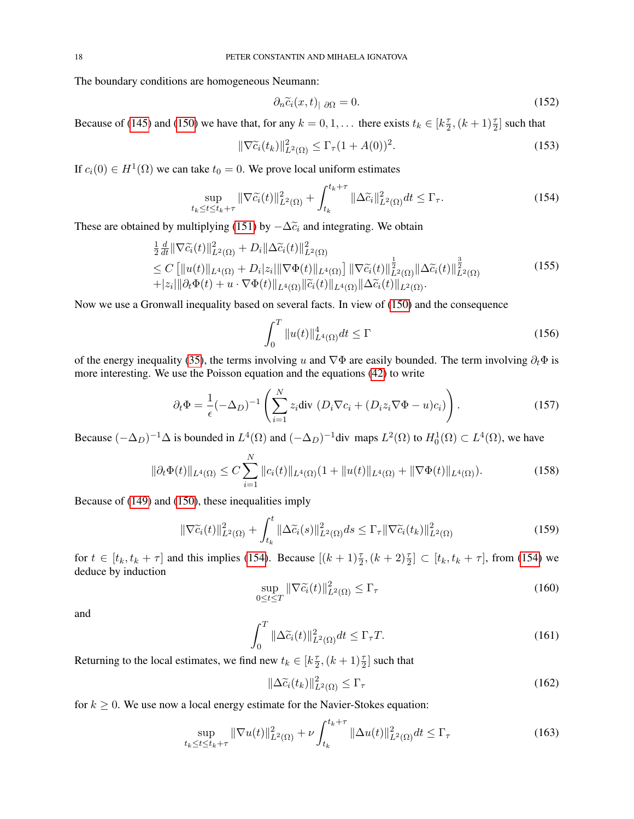The boundary conditions are homogeneous Neumann:

$$
\partial_n \tilde{c}_i(x,t)_{|\partial \Omega} = 0. \tag{152}
$$

Because of [\(145\)](#page-16-2) and [\(150\)](#page-16-3) we have that, for any  $k = 0, 1, \ldots$  there exists  $t_k \in [k\frac{7}{2}]$  $\frac{\tau}{2}$ ,  $(k+1)\frac{\tau}{2}$  such that

$$
\|\nabla \widetilde{c}_i(t_k)\|_{L^2(\Omega)}^2 \le \Gamma_\tau (1 + A(0))^2. \tag{153}
$$

If  $c_i(0) \in H^1(\Omega)$  we can take  $t_0 = 0$ . We prove local uniform estimates

<span id="page-17-0"></span>
$$
\sup_{t_k \le t \le t_k + \tau} \|\nabla \widetilde{c}_i(t)\|_{L^2(\Omega)}^2 + \int_{t_k}^{t_k + \tau} \|\Delta \widetilde{c}_i\|_{L^2(\Omega)}^2 dt \le \Gamma_\tau.
$$
 (154)

These are obtained by multiplying [\(151\)](#page-16-4) by  $-\Delta\tilde{c}_i$  and integrating. We obtain

$$
\frac{1}{2} \frac{d}{dt} \|\nabla \widetilde{c}_{i}(t)\|_{L^{2}(\Omega)}^{2} + D_{i} \|\Delta \widetilde{c}_{i}(t)\|_{L^{2}(\Omega)}^{2} \n\leq C \left[ \|u(t)\|_{L^{4}(\Omega)} + D_{i} |z_{i}| \|\nabla \Phi(t)\|_{L^{4}(\Omega)} \right] \|\nabla \widetilde{c}_{i}(t)\|_{L^{2}(\Omega)}^{\frac{1}{2}} \|\Delta \widetilde{c}_{i}(t)\|_{L^{2}(\Omega)}^{\frac{3}{2}} \n+|z_{i}| \|\partial_{t} \Phi(t) + u \cdot \nabla \Phi(t)\|_{L^{4}(\Omega)} \|\widetilde{c}_{i}(t)\|_{L^{4}(\Omega)} \|\Delta \widetilde{c}_{i}(t)\|_{L^{2}(\Omega)}.
$$
\n(155)

Now we use a Gronwall inequality based on several facts. In view of [\(150\)](#page-16-3) and the consequence

<span id="page-17-2"></span>
$$
\int_0^T \|u(t)\|_{L^4(\Omega)}^4 dt \le \Gamma \tag{156}
$$

of the energy inequality [\(35\)](#page-5-7), the terms involving u and  $\nabla \Phi$  are easily bounded. The term involving  $\partial_t \Phi$  is more interesting. We use the Poisson equation and the equations [\(42\)](#page-5-8) to write

<span id="page-17-1"></span>
$$
\partial_t \Phi = \frac{1}{\epsilon} (-\Delta_D)^{-1} \left( \sum_{i=1}^N z_i \text{div} \left( D_i \nabla c_i + (D_i z_i \nabla \Phi - u) c_i \right) \right). \tag{157}
$$

Because  $(-\Delta_D)^{-1}\Delta$  is bounded in  $L^4(\Omega)$  and  $(-\Delta_D)^{-1}$ div maps  $L^2(\Omega)$  to  $H_0^1(\Omega) \subset L^4(\Omega)$ , we have

$$
\|\partial_t \Phi(t)\|_{L^4(\Omega)} \le C \sum_{i=1}^N \|c_i(t)\|_{L^4(\Omega)} (1 + \|u(t)\|_{L^4(\Omega)} + \|\nabla \Phi(t)\|_{L^4(\Omega)}).
$$
 (158)

Because of [\(149\)](#page-16-5) and [\(150\)](#page-16-3), these inequalities imply

$$
\|\nabla \widetilde{c}_i(t)\|_{L^2(\Omega)}^2 + \int_{t_k}^t \|\Delta \widetilde{c}_i(s)\|_{L^2(\Omega)}^2 ds \le \Gamma_\tau \|\nabla \widetilde{c}_i(t_k)\|_{L^2(\Omega)}^2 \tag{159}
$$

for  $t \in [t_k, t_k + \tau]$  and this implies [\(154\)](#page-17-0). Because  $[(k+1)\frac{\tau}{2}, (k+2)\frac{\tau}{2}] \subset [t_k, t_k + \tau]$ , from (154) we deduce by induction

<span id="page-17-3"></span>
$$
\sup_{0 \le t \le T} \|\nabla \widetilde{c}_i(t)\|_{L^2(\Omega)}^2 \le \Gamma_\tau
$$
\n(160)

and

$$
\int_0^T \|\Delta \widetilde{c}_i(t)\|_{L^2(\Omega)}^2 dt \le \Gamma_\tau T. \tag{161}
$$

Returning to the local estimates, we find new  $t_k \in [k\frac{\pi}{2}]$  $\frac{\tau}{2}$ ,  $(k+1)\frac{\tau}{2}$  such that

$$
\|\Delta \widetilde{c}_i(t_k)\|_{L^2(\Omega)}^2 \le \Gamma_\tau \tag{162}
$$

for  $k \geq 0$ . We use now a local energy estimate for the Navier-Stokes equation:

$$
\sup_{t_k \le t \le t_k + \tau} \|\nabla u(t)\|_{L^2(\Omega)}^2 + \nu \int_{t_k}^{t_k + \tau} \|\Delta u(t)\|_{L^2(\Omega)}^2 dt \le \Gamma_\tau
$$
\n(163)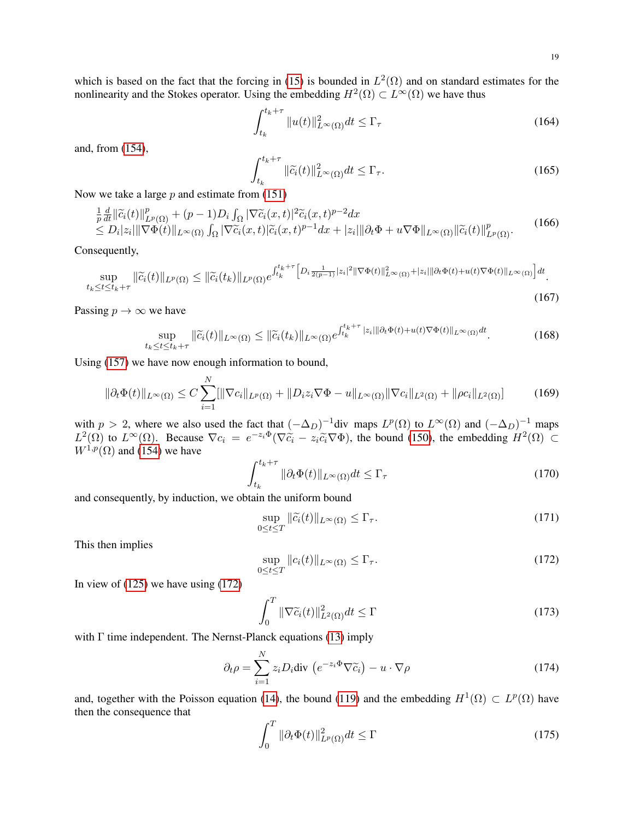$$
\int_{t_k}^{t_k+\tau} \|u(t)\|_{L^{\infty}(\Omega)}^2 dt \le \Gamma_{\tau}
$$
\n(164)

and, from [\(154\)](#page-17-0),

$$
\int_{t_k}^{t_k+\tau} \|\widetilde{c}_i(t)\|_{L^\infty(\Omega)}^2 dt \le \Gamma_\tau.
$$
\n(165)

Now we take a large  $p$  and estimate from [\(151\)](#page-16-4)

$$
\frac{1}{p}\frac{d}{dt}\|\tilde{c}_i(t)\|_{L^p(\Omega)}^p + (p-1)D_i \int_{\Omega} |\nabla \tilde{c}_i(x,t)|^2 \tilde{c}_i(x,t)^{p-2} dx \le D_i|z_i| \|\nabla \Phi(t)\|_{L^{\infty}(\Omega)} \int_{\Omega} |\nabla \tilde{c}_i(x,t)| \tilde{c}_i(x,t)^{p-1} dx + |z_i| \|\partial_t \Phi + u \nabla \Phi\|_{L^{\infty}(\Omega)} \|\tilde{c}_i(t)\|_{L^p(\Omega)}^p.
$$
\n(166)

Consequently,

$$
\sup_{t_k \le t \le t_k + \tau} \|\widetilde{c}_i(t)\|_{L^p(\Omega)} \le \|\widetilde{c}_i(t_k)\|_{L^p(\Omega)} e^{\int_{t_k}^{t_k + \tau} \left[D_i \frac{1}{2(p-1)} |z_i|^2 \|\nabla \Phi(t)\|_{L^\infty(\Omega)}^2 + |z_i|\|\partial_t \Phi(t) + u(t)\nabla \Phi(t)\|_{L^\infty(\Omega)}\right] dt}.
$$
\n(167)

Passing  $p \to \infty$  we have

$$
\sup_{t_k \le t \le t_k + \tau} \|\widetilde{c}_i(t)\|_{L^{\infty}(\Omega)} \le \|\widetilde{c}_i(t_k)\|_{L^{\infty}(\Omega)} e^{\int_{t_k}^{t_k + \tau} |z_i| \|\partial_t \Phi(t) + u(t) \nabla \Phi(t)\|_{L^{\infty}(\Omega)} dt}.
$$
\n(168)

Using [\(157\)](#page-17-1) we have now enough information to bound,

$$
\|\partial_t \Phi(t)\|_{L^{\infty}(\Omega)} \le C \sum_{i=1}^N [\|\nabla c_i\|_{L^p(\Omega)} + \|D_i z_i \nabla \Phi - u\|_{L^{\infty}(\Omega)} \|\nabla c_i\|_{L^2(\Omega)} + \|\rho c_i\|_{L^2(\Omega)}] \tag{169}
$$

with  $p > 2$ , where we also used the fact that  $(-\Delta_D)^{-1}$ div maps  $L^p(\Omega)$  to  $L^{\infty}(\Omega)$  and  $(-\Delta_D)^{-1}$  maps  $L^2(\Omega)$  to  $L^{\infty}(\Omega)$ . Because  $\nabla c_i = e^{-z_i \Phi}(\nabla \tilde{c}_i - z_i \tilde{c}_i \nabla \Phi)$ , the bound [\(150\)](#page-16-3), the embedding  $H^2(\Omega) \subset$ <br> $W^{1,p}(\Omega)$  and (154) we have  $W^{1,p}(\Omega)$  and [\(154\)](#page-17-0) we have

$$
\int_{t_k}^{t_k+\tau} \|\partial_t \Phi(t)\|_{L^\infty(\Omega)} dt \le \Gamma_\tau \tag{170}
$$

and consequently, by induction, we obtain the uniform bound

<span id="page-18-1"></span>
$$
\sup_{0 \le t \le T} \|\tilde{c}_i(t)\|_{L^\infty(\Omega)} \le \Gamma_\tau. \tag{171}
$$

This then implies

<span id="page-18-0"></span>
$$
\sup_{0 \le t \le T} \|c_i(t)\|_{L^\infty(\Omega)} \le \Gamma_\tau. \tag{172}
$$

In view of  $(125)$  we have using  $(172)$ 

<span id="page-18-2"></span>
$$
\int_0^T \|\nabla \widetilde{c}_i(t)\|_{L^2(\Omega)}^2 dt \le \Gamma \tag{173}
$$

with  $\Gamma$  time independent. The Nernst-Planck equations [\(13\)](#page-1-2) imply

$$
\partial_t \rho = \sum_{i=1}^N z_i D_i \text{div} \left( e^{-z_i \Phi} \nabla \tilde{c}_i \right) - u \cdot \nabla \rho \tag{174}
$$

and, together with the Poisson equation [\(14\)](#page-1-4), the bound [\(119\)](#page-13-1) and the embedding  $H^1(\Omega) \subset L^p(\Omega)$  have then the consequence that

<span id="page-18-3"></span>
$$
\int_{0}^{T} \|\partial_{t}\Phi(t)\|_{L^{p}(\Omega)}^{2} dt \leq \Gamma
$$
\n(175)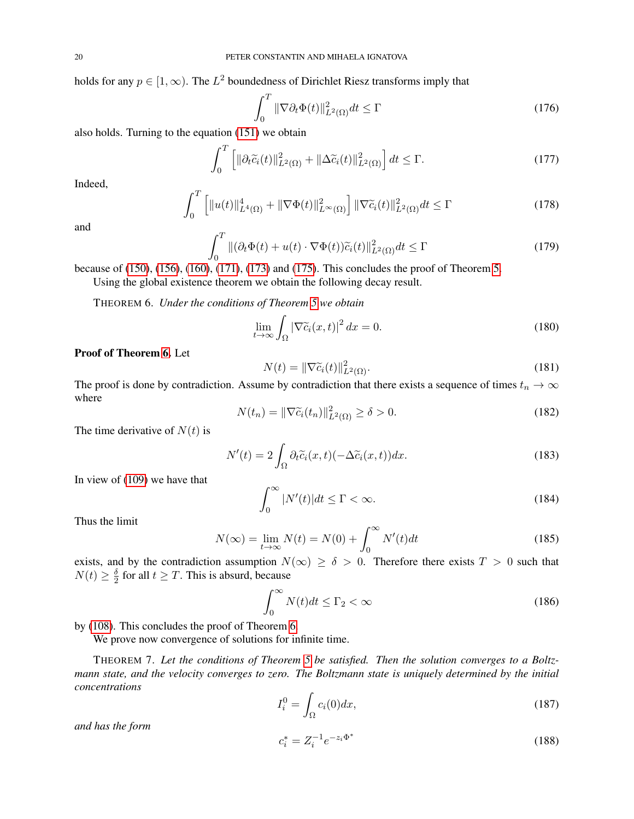holds for any  $p \in [1,\infty)$ . The  $L^2$  boundedness of Dirichlet Riesz transforms imply that

$$
\int_0^T \|\nabla \partial_t \Phi(t)\|_{L^2(\Omega)}^2 dt \le \Gamma \tag{176}
$$

also holds. Turning to the equation [\(151\)](#page-16-4) we obtain

$$
\int_0^T \left[ \|\partial_t \widetilde{c}_i(t)\|_{L^2(\Omega)}^2 + \|\Delta \widetilde{c}_i(t)\|_{L^2(\Omega)}^2 \right] dt \le \Gamma. \tag{177}
$$

Indeed,

$$
\int_0^T \left[ ||u(t)||^4_{L^4(\Omega)} + ||\nabla \Phi(t)||^2_{L^\infty(\Omega)} \right] ||\nabla \tilde{c}_i(t)||^2_{L^2(\Omega)} dt \le \Gamma \tag{178}
$$

and

$$
\int_0^T \left\| (\partial_t \Phi(t) + u(t) \cdot \nabla \Phi(t)) \widetilde{c}_i(t) \right\|_{L^2(\Omega)}^2 dt \le \Gamma
$$
\n(179)

because of [\(150\)](#page-16-3), [\(156\)](#page-17-2), [\(160\)](#page-17-3), [\(171\)](#page-18-1), [\(173\)](#page-18-2) and [\(175\)](#page-18-3). This concludes the proof of Theorem [5.](#page-11-1)

Using the global existence theorem we obtain the following decay result.

<span id="page-19-0"></span>THEOREM 6. *Under the conditions of Theorem [5](#page-11-1) we obtain*

$$
\lim_{t \to \infty} \int_{\Omega} |\nabla \tilde{c}_i(x, t)|^2 dx = 0.
$$
\n(180)

## Proof of Theorem [6.](#page-19-0) Let

$$
N(t) = \|\nabla \tilde{c}_i(t)\|_{L^2(\Omega)}^2.
$$
\n(181)

The proof is done by contradiction. Assume by contradiction that there exists a sequence of times  $t_n \to \infty$ where

$$
N(t_n) = \|\nabla \tilde{c}_i(t_n)\|_{L^2(\Omega)}^2 \ge \delta > 0.
$$
\n(182)

The time derivative of  $N(t)$  is

$$
N'(t) = 2 \int_{\Omega} \partial_t \widetilde{c}_i(x, t) (-\Delta \widetilde{c}_i(x, t)) dx.
$$
 (183)

In view of [\(109\)](#page-12-2) we have that

$$
\int_0^\infty |N'(t)|dt \le \Gamma < \infty. \tag{184}
$$

Thus the limit

$$
N(\infty) = \lim_{t \to \infty} N(t) = N(0) + \int_0^\infty N'(t)dt
$$
\n(185)

exists, and by the contradiction assumption  $N(\infty) \ge \delta > 0$ . Therefore there exists  $T > 0$  such that  $N(t) \geq \frac{\delta}{2}$  $\frac{\delta}{2}$  for all  $t \geq T$ . This is absurd, because

$$
\int_0^\infty N(t)dt \le \Gamma_2 < \infty \tag{186}
$$

by [\(108\)](#page-12-3). This concludes the proof of Theorem [6.](#page-19-0)

We prove now convergence of solutions for infinite time.

<span id="page-19-1"></span>THEOREM 7. *Let the conditions of Theorem [5](#page-11-1) be satisfied. Then the solution converges to a Boltzmann state, and the velocity converges to zero. The Boltzmann state is uniquely determined by the initial concentrations*

<span id="page-19-2"></span>
$$
I_i^0 = \int_{\Omega} c_i(0) dx,\tag{187}
$$

*and has the form*

$$
c_i^* = Z_i^{-1} e^{-z_i \Phi^*}
$$
\n(188)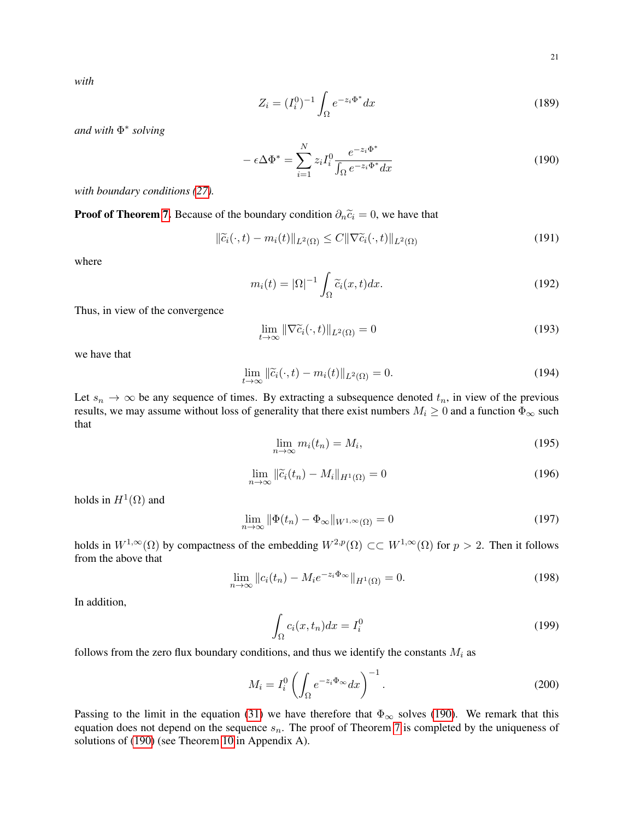*with*

<span id="page-20-1"></span>
$$
Z_i = (I_i^0)^{-1} \int_{\Omega} e^{-z_i \Phi^*} dx
$$
 (189)

*and with* Φ ∗ *solving*

<span id="page-20-0"></span>
$$
-\epsilon \Delta \Phi^* = \sum_{i=1}^N z_i I_i^0 \frac{e^{-z_i \Phi^*}}{\int_{\Omega} e^{-z_i \Phi^*} dx}
$$
(190)

*with boundary conditions [\(27\)](#page-2-1).*

**Proof of Theorem [7.](#page-19-1)** Because of the boundary condition  $\partial_n \tilde{c}_i = 0$ , we have that

$$
\|\widetilde{c}_i(\cdot,t) - m_i(t)\|_{L^2(\Omega)} \le C \|\nabla \widetilde{c}_i(\cdot,t)\|_{L^2(\Omega)}\tag{191}
$$

where

$$
m_i(t) = |\Omega|^{-1} \int_{\Omega} \widetilde{c}_i(x, t) dx.
$$
 (192)

Thus, in view of the convergence

$$
\lim_{t \to \infty} \|\nabla \tilde{c}_i(\cdot, t)\|_{L^2(\Omega)} = 0 \tag{193}
$$

we have that

$$
\lim_{t \to \infty} \|\widetilde{c}_i(\cdot, t) - m_i(t)\|_{L^2(\Omega)} = 0. \tag{194}
$$

Let  $s_n \to \infty$  be any sequence of times. By extracting a subsequence denoted  $t_n$ , in view of the previous results, we may assume without loss of generality that there exist numbers  $M_i \geq 0$  and a function  $\Phi_{\infty}$  such that

$$
\lim_{n \to \infty} m_i(t_n) = M_i,\tag{195}
$$

$$
\lim_{n \to \infty} \|\tilde{c}_i(t_n) - M_i\|_{H^1(\Omega)} = 0
$$
\n(196)

holds in  $H^1(\Omega)$  and

$$
\lim_{n \to \infty} \|\Phi(t_n) - \Phi_\infty\|_{W^{1,\infty}(\Omega)} = 0 \tag{197}
$$

holds in  $W^{1,\infty}(\Omega)$  by compactness of the embedding  $W^{2,p}(\Omega) \subset\subset W^{1,\infty}(\Omega)$  for  $p>2$ . Then it follows from the above that

$$
\lim_{n \to \infty} ||c_i(t_n) - M_i e^{-z_i \Phi_{\infty}}||_{H^1(\Omega)} = 0.
$$
\n(198)

In addition,

$$
\int_{\Omega} c_i(x, t_n) dx = I_i^0 \tag{199}
$$

follows from the zero flux boundary conditions, and thus we identify the constants  $M_i$  as

$$
M_i = I_i^0 \left( \int_{\Omega} e^{-z_i \Phi_{\infty}} dx \right)^{-1}.
$$
 (200)

Passing to the limit in the equation [\(31\)](#page-4-2) we have therefore that  $\Phi_{\infty}$  solves [\(190\)](#page-20-0). We remark that this equation does not depend on the sequence  $s_n$ . The proof of Theorem [7](#page-19-1) is completed by the uniqueness of solutions of [\(190\)](#page-20-0) (see Theorem [10](#page-28-0) in Appendix A).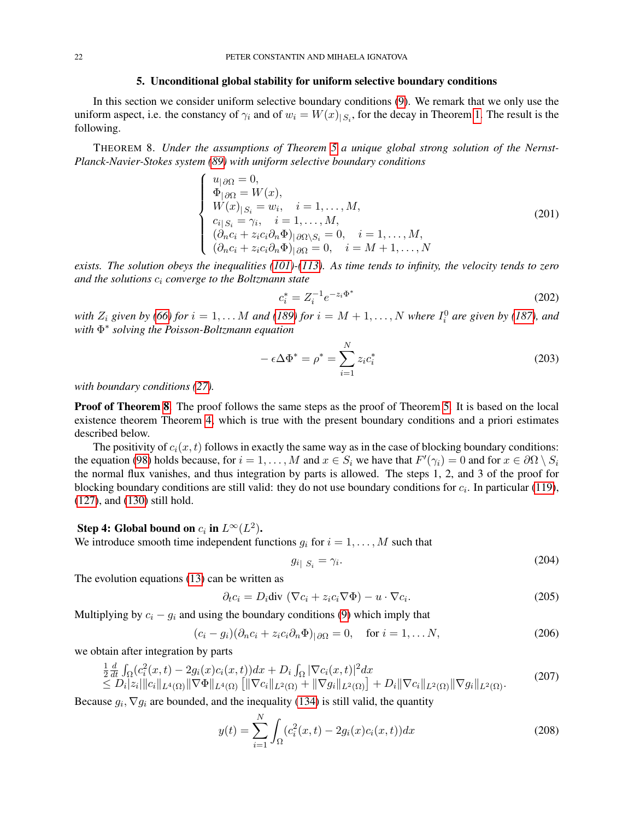#### 5. Unconditional global stability for uniform selective boundary conditions

In this section we consider uniform selective boundary conditions [\(9\)](#page-1-6). We remark that we only use the uniform aspect, i.e. the constancy of  $\gamma_i$  and of  $w_i = W(x)_{|S_i}$ , for the decay in Theorem [1.](#page-5-1) The result is the following.

<span id="page-21-0"></span>THEOREM 8. *Under the assumptions of Theorem [5](#page-11-1) a unique global strong solution of the Nernst-Planck-Navier-Stokes system [\(89\)](#page-10-1) with uniform selective boundary conditions*

$$
\begin{cases}\n u_{|\partial\Omega} = 0, \n \Phi_{|\partial\Omega} = W(x), \n W(x)_{|S_i} = w_i, \quad i = 1, ..., M, \n c_{i|S_i} = \gamma_i, \quad i = 1, ..., M, \n (\partial_n c_i + z_i c_i \partial_n \Phi)_{|\partial\Omega \setminus S_i} = 0, \quad i = 1, ..., M, \n (\partial_n c_i + z_i c_i \partial_n \Phi)_{|\partial\Omega} = 0, \quad i = M + 1, ..., N\n\end{cases}
$$
\n(201)

*exists. The solution obeys the inequalities [\(101\)](#page-11-3)-[\(113\)](#page-12-4). As time tends to infinity, the velocity tends to zero and the solutions* c<sup>i</sup> *converge to the Boltzmann state*

$$
c_i^* = Z_i^{-1} e^{-z_i \Phi^*}
$$
 (202)

*with*  $Z_i$  *given by* [\(66\)](#page-7-0) *for*  $i = 1, \ldots M$  *and* [\(189\)](#page-20-1) *for*  $i = M + 1, \ldots, N$  *where*  $I_i^0$  *are given by* [\(187\)](#page-19-2)*, and with* Φ ∗ *solving the Poisson-Boltzmann equation*

$$
-\epsilon \Delta \Phi^* = \rho^* = \sum_{i=1}^N z_i c_i^*
$$
\n(203)

*with boundary conditions [\(27\)](#page-2-1).*

**Proof of Theorem [8](#page-21-0).** The proof follows the same steps as the proof of Theorem [5.](#page-11-1) It is based on the local existence theorem Theorem [4,](#page-10-5) which is true with the present boundary conditions and a priori estimates described below.

The positivity of  $c_i(x, t)$  follows in exactly the same way as in the case of blocking boundary conditions: the equation [\(98\)](#page-11-2) holds because, for  $i = 1, ..., M$  and  $x \in S_i$  we have that  $F'(\gamma_i) = 0$  and for  $x \in \partial\Omega \setminus S_i$ the normal flux vanishes, and thus integration by parts is allowed. The steps 1, 2, and 3 of the proof for blocking boundary conditions are still valid: they do not use boundary conditions for  $c_i$ . In particular [\(119\)](#page-13-1), [\(127\)](#page-14-3), and [\(130\)](#page-14-2) still hold.

# Step 4: Global bound on  $c_i$  in  $L^{\infty}(L^2)$ .

We introduce smooth time independent functions  $g_i$  for  $i = 1, \ldots, M$  such that

$$
g_{i|S_i} = \gamma_i. \tag{204}
$$

The evolution equations [\(13\)](#page-1-2) can be written as

<span id="page-21-1"></span>
$$
\partial_t c_i = D_i \text{div} \left( \nabla c_i + z_i c_i \nabla \Phi \right) - u \cdot \nabla c_i. \tag{205}
$$

Multiplying by  $c_i - g_i$  and using the boundary conditions [\(9\)](#page-1-6) which imply that

$$
(c_i - g_i)(\partial_n c_i + z_i c_i \partial_n \Phi)|\partial \Omega = 0, \quad \text{for } i = 1, \dots N,
$$
\n(206)

we obtain after integration by parts

$$
\frac{1}{2}\frac{d}{dt}\int_{\Omega}(c_i^2(x,t)-2g_i(x)c_i(x,t))dx+D_i\int_{\Omega}|\nabla c_i(x,t)|^2dx\\ \leq D_i|z_i|\|c_i\|_{L^4(\Omega)}\|\nabla\Phi\|_{L^4(\Omega)}\left[\|\nabla c_i\|_{L^2(\Omega)}+\|\nabla g_i\|_{L^2(\Omega)}\right]+D_i\|\nabla c_i\|_{L^2(\Omega)}\|\nabla g_i\|_{L^2(\Omega)}.\tag{207}
$$

Because  $g_i$ ,  $\nabla g_i$  are bounded, and the inequality [\(134\)](#page-15-5) is still valid, the quantity

$$
y(t) = \sum_{i=1}^{N} \int_{\Omega} (c_i^2(x, t) - 2g_i(x)c_i(x, t))dx
$$
\n(208)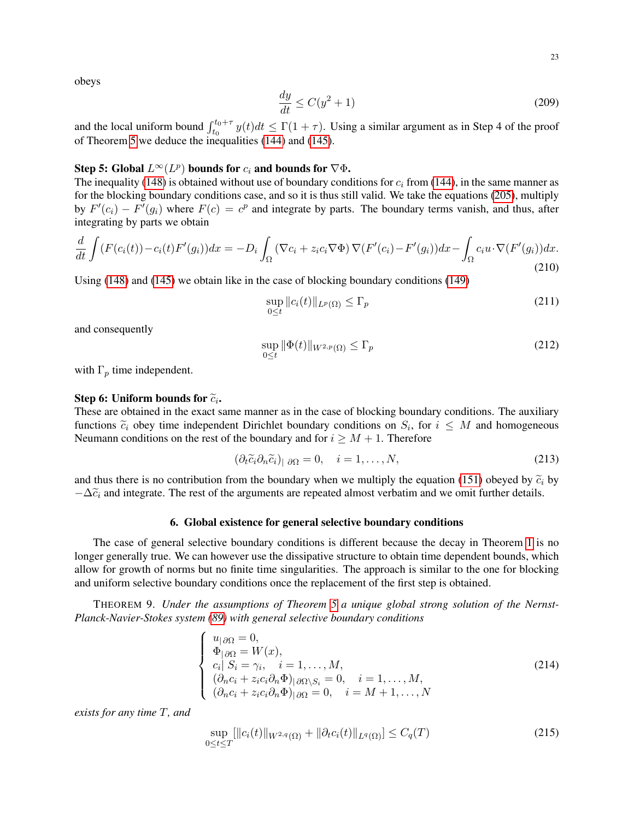$$
\frac{dy}{dt} \le C(y^2 + 1) \tag{209}
$$

and the local uniform bound  $\int_{t_0}^{t_0+\tau} y(t)dt \le \Gamma(1+\tau)$ . Using a similar argument as in Step 4 of the proof of Theorem [5](#page-11-1) we deduce the inequalities [\(144\)](#page-16-0) and [\(145\)](#page-16-2).

# Step 5: Global  $L^\infty(L^p)$  bounds for  $c_i$  and bounds for  $\nabla \Phi$ .

The inequality [\(148\)](#page-16-1) is obtained without use of boundary conditions for  $c_i$  from [\(144\)](#page-16-0), in the same manner as for the blocking boundary conditions case, and so it is thus still valid. We take the equations [\(205\)](#page-21-1), multiply by  $F'(c_i) - F'(g_i)$  where  $F(c) = c^p$  and integrate by parts. The boundary terms vanish, and thus, after integrating by parts we obtain

$$
\frac{d}{dt}\int (F(c_i(t)) - c_i(t)F'(g_i))dx = -D_i\int_{\Omega} (\nabla c_i + z_ic_i\nabla\Phi) \nabla (F'(c_i) - F'(g_i))dx - \int_{\Omega} c_i u \cdot \nabla (F'(g_i))dx.
$$
\n(210)

Using [\(148\)](#page-16-1) and [\(145\)](#page-16-2) we obtain like in the case of blocking boundary conditions [\(149\)](#page-16-5)

$$
\sup_{0\leq t} \|c_i(t)\|_{L^p(\Omega)} \leq \Gamma_p \tag{211}
$$

and consequently

$$
\sup_{0\leq t} \|\Phi(t)\|_{W^{2,p}(\Omega)} \leq \Gamma_p \tag{212}
$$

with  $\Gamma_p$  time independent.

# **Step 6: Uniform bounds for**  $\widetilde{c}_i$ **.**<br>These are obtained in the exact s

These are obtained in the exact same manner as in the case of blocking boundary conditions. The auxiliary functions  $\tilde{c}_i$  obey time independent Dirichlet boundary conditions on  $S_i$ , for  $i \leq M$  and homogeneous Neumann conditions on the rest of the boundary and for  $i > M + 1$ . Therefore Neumann conditions on the rest of the boundary and for  $i \geq M + 1$ . Therefore

$$
(\partial_t \tilde{c}_i \partial_n \tilde{c}_i)|_{\partial \Omega} = 0, \quad i = 1, \dots, N,
$$
\n(213)

and thus there is no contribution from the boundary when we multiply the equation [\(151\)](#page-16-4) obeyed by  $\tilde{c}_i$  by  $-\Delta\tilde{c}_i$  and integrate. The rest of the arguments are repeated almost verbatim and we omit further details.

## 6. Global existence for general selective boundary conditions

The case of general selective boundary conditions is different because the decay in Theorem [1](#page-5-1) is no longer generally true. We can however use the dissipative structure to obtain time dependent bounds, which allow for growth of norms but no finite time singularities. The approach is similar to the one for blocking and uniform selective boundary conditions once the replacement of the first step is obtained.

<span id="page-22-0"></span>THEOREM 9. *Under the assumptions of Theorem [5](#page-11-1) a unique global strong solution of the Nernst-Planck-Navier-Stokes system [\(89\)](#page-10-1) with general selective boundary conditions*

$$
\begin{cases}\n u_{|\partial\Omega} = 0, \n \Phi_{|\partial\Omega} = W(x), \n c_i | S_i = \gamma_i, \quad i = 1, ..., M, \n (\partial_n c_i + z_i c_i \partial_n \Phi)_{|\partial\Omega \setminus S_i} = 0, \quad i = 1, ..., M, \n (\partial_n c_i + z_i c_i \partial_n \Phi)_{|\partial\Omega} = 0, \quad i = M + 1, ..., N\n\end{cases}
$$
\n(214)

*exists for any time* T*, and*

$$
\sup_{0 \le t \le T} [\|c_i(t)\|_{W^{2,q}(\Omega)} + \|\partial_t c_i(t)\|_{L^q(\Omega)}] \le C_q(T) \tag{215}
$$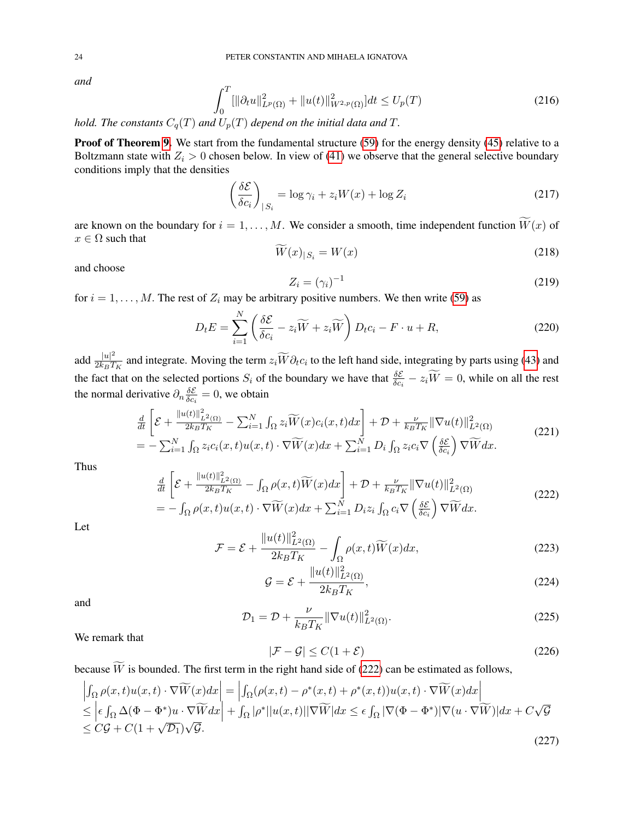*and*

$$
\int_0^T [\|\partial_t u\|_{L^p(\Omega)}^2 + \|u(t)\|_{W^{2,p}(\Omega)}^2] dt \le U_p(T)
$$
\n(216)

*hold. The constants*  $C_q(T)$  *and*  $U_p(T)$  *depend on the initial data and*  $T$ *.* 

Proof of Theorem [9.](#page-22-0) We start from the fundamental structure [\(59\)](#page-7-1) for the energy density [\(45\)](#page-6-1) relative to a Boltzmann state with  $Z_i > 0$  chosen below. In view of [\(41\)](#page-5-2) we observe that the general selective boundary conditions imply that the densities

$$
\left(\frac{\delta \mathcal{E}}{\delta c_i}\right)_{|S_i} = \log \gamma_i + z_i W(x) + \log Z_i \tag{217}
$$

are known on the boundary for  $i = 1, \ldots, M$ . We consider a smooth, time independent function  $\widetilde{W}(x)$  of  $x \in \Omega$  such that

$$
W(x)_{|S_i} = W(x) \tag{218}
$$

and choose

$$
Z_i = (\gamma_i)^{-1} \tag{219}
$$

for  $i = 1, \ldots, M$ . The rest of  $Z_i$  may be arbitrary positive numbers. We then write [\(59\)](#page-7-1) as

$$
D_t E = \sum_{i=1}^N \left( \frac{\delta \mathcal{E}}{\delta c_i} - z_i \widetilde{W} + z_i \widetilde{W} \right) D_t c_i - F \cdot u + R,\tag{220}
$$

add  $\frac{|u|^2}{2k_BT}$  $\frac{|\mathbf{u}|^2}{2k_BT_K}$  and integrate. Moving the term  $z_iW\partial_t c_i$  to the left hand side, integrating by parts using [\(43\)](#page-5-3) and the fact that on the selected portions  $S_i$  of the boundary we have that  $\frac{\delta \mathcal{E}}{\delta c_i} - z_i \widetilde{W} = 0$ , while on all the rest the normal derivative  $\partial_n \frac{\delta \mathcal{E}}{\delta c_n}$  $\frac{\partial \mathcal{E}}{\partial c_i} = 0$ , we obtain

$$
\frac{d}{dt} \left[ \mathcal{E} + \frac{\|u(t)\|_{L^2(\Omega)}^2}{2k_B T_K} - \sum_{i=1}^N \int_{\Omega} z_i \widetilde{W}(x) c_i(x, t) dx \right] + \mathcal{D} + \frac{\nu}{k_B T_K} \|\nabla u(t)\|_{L^2(\Omega)}^2 \n= - \sum_{i=1}^N \int_{\Omega} z_i c_i(x, t) u(x, t) \cdot \nabla \widetilde{W}(x) dx + \sum_{i=1}^N D_i \int_{\Omega} z_i c_i \nabla \left( \frac{\delta \mathcal{E}}{\delta c_i} \right) \nabla \widetilde{W} dx.
$$
\n(221)

Thus

<span id="page-23-0"></span>
$$
\frac{d}{dt}\left[\mathcal{E} + \frac{\|u(t)\|_{L^2(\Omega)}^2}{2k_B T_K} - \int_{\Omega} \rho(x, t) \widetilde{W}(x) dx\right] + \mathcal{D} + \frac{\nu}{k_B T_K} \|\nabla u(t)\|_{L^2(\Omega)}^2 \n= -\int_{\Omega} \rho(x, t) u(x, t) \cdot \nabla \widetilde{W}(x) dx + \sum_{i=1}^N D_i z_i \int_{\Omega} c_i \nabla \left(\frac{\delta \mathcal{E}}{\delta c_i}\right) \nabla \widetilde{W} dx.
$$
\n(222)

Let

$$
\mathcal{F} = \mathcal{E} + \frac{\|u(t)\|_{L^2(\Omega)}^2}{2k_B T_K} - \int_{\Omega} \rho(x, t) \widetilde{W}(x) dx,\tag{223}
$$

$$
\mathcal{G} = \mathcal{E} + \frac{\|u(t)\|_{L^2(\Omega)}^2}{2k_B T_K},\tag{224}
$$

and

$$
\mathcal{D}_1 = \mathcal{D} + \frac{\nu}{k_B T_K} \|\nabla u(t)\|_{L^2(\Omega)}^2.
$$
\n(225)

We remark that

$$
|\mathcal{F} - \mathcal{G}| \le C(1 + \mathcal{E})\tag{226}
$$

because  $\widetilde{W}$  is bounded. The first term in the right hand side of [\(222\)](#page-23-0) can be estimated as follows,

$$
\begin{aligned}\n\left| \int_{\Omega} \rho(x,t) u(x,t) \cdot \nabla \widetilde{W}(x) dx \right| &= \left| \int_{\Omega} (\rho(x,t) - \rho^*(x,t) + \rho^*(x,t)) u(x,t) \cdot \nabla \widetilde{W}(x) dx \right| \\
&\leq \left| \epsilon \int_{\Omega} \Delta(\Phi - \Phi^*) u \cdot \nabla \widetilde{W} dx \right| + \int_{\Omega} |\rho^*| |u(x,t)| |\nabla \widetilde{W}| dx \leq \epsilon \int_{\Omega} |\nabla(\Phi - \Phi^*)| \nabla(u \cdot \nabla \widetilde{W}) | dx + C \sqrt{\mathcal{G}} \\
&\leq C \mathcal{G} + C (1 + \sqrt{\mathcal{D}_1}) \sqrt{\mathcal{G}}.\n\end{aligned}
$$
\n(227)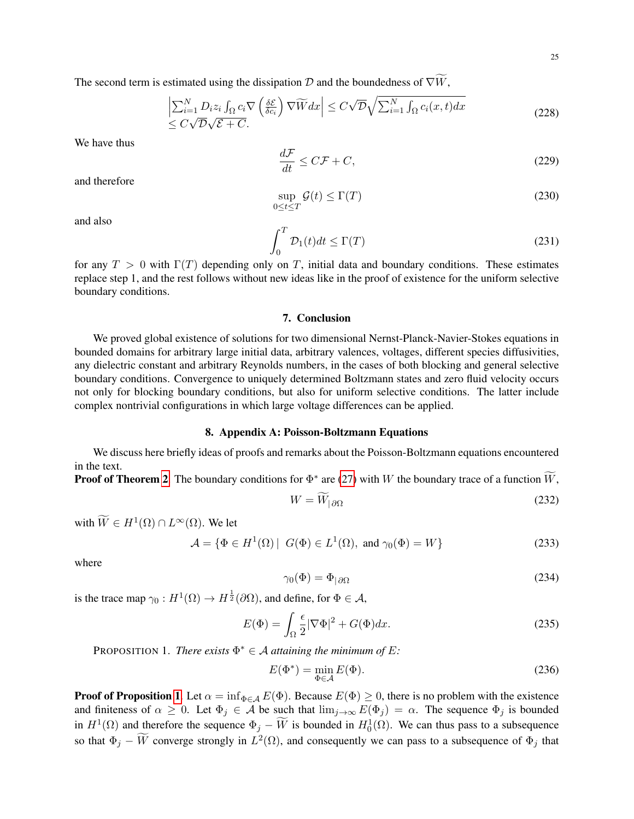The second term is estimated using the dissipation  $\mathcal D$  and the boundedness of  $\nabla \widetilde{W}$ ,

$$
\left| \sum_{i=1}^{N} D_{i} z_{i} \int_{\Omega} c_{i} \nabla \left( \frac{\delta \mathcal{E}}{\delta c_{i}} \right) \nabla \widetilde{W} dx \right| \leq C \sqrt{\mathcal{D}} \sqrt{\sum_{i=1}^{N} \int_{\Omega} c_{i}(x, t) dx}
$$
\n
$$
\leq C \sqrt{\mathcal{D}} \sqrt{\mathcal{E} + C}.
$$
\n(228)

We have thus

$$
\frac{d\mathcal{F}}{dt} \le C\mathcal{F} + C,\tag{229}
$$

and therefore

$$
\sup_{0 \le t \le T} \mathcal{G}(t) \le \Gamma(T) \tag{230}
$$

and also

$$
\int_{0}^{T} \mathcal{D}_{1}(t)dt \leq \Gamma(T) \tag{231}
$$

for any  $T > 0$  with  $\Gamma(T)$  depending only on T, initial data and boundary conditions. These estimates replace step 1, and the rest follows without new ideas like in the proof of existence for the uniform selective boundary conditions.

## 7. Conclusion

We proved global existence of solutions for two dimensional Nernst-Planck-Navier-Stokes equations in bounded domains for arbitrary large initial data, arbitrary valences, voltages, different species diffusivities, any dielectric constant and arbitrary Reynolds numbers, in the cases of both blocking and general selective boundary conditions. Convergence to uniquely determined Boltzmann states and zero fluid velocity occurs not only for blocking boundary conditions, but also for uniform selective conditions. The latter include complex nontrivial configurations in which large voltage differences can be applied.

## 8. Appendix A: Poisson-Boltzmann Equations

We discuss here briefly ideas of proofs and remarks about the Poisson-Boltzmann equations encountered in the text.

**Proof of Theorem [2](#page-9-3).** The boundary conditions for  $\Phi^*$  are [\(27\)](#page-2-1) with W the boundary trace of a function  $\widetilde{W}$ ,

$$
W = W_{|\partial\Omega} \tag{232}
$$

with  $\widetilde{W} \in H^1(\Omega) \cap L^\infty(\Omega)$ . We let

<span id="page-24-0"></span>
$$
\mathcal{A} = \{ \Phi \in H^1(\Omega) \mid G(\Phi) \in L^1(\Omega), \text{ and } \gamma_0(\Phi) = W \}
$$
\n(233)

where

$$
\gamma_0(\Phi) = \Phi_{|\partial\Omega} \tag{234}
$$

is the trace map  $\gamma_0: H^1(\Omega) \to H^{\frac{1}{2}}(\partial \Omega)$ , and define, for  $\Phi \in \mathcal{A}$ ,

$$
E(\Phi) = \int_{\Omega} \frac{\epsilon}{2} |\nabla \Phi|^2 + G(\Phi) dx.
$$
 (235)

<span id="page-24-1"></span>**PROPOSITION 1.** *There exists*  $\Phi^* \in \mathcal{A}$  *attaining the minimum of E:* 

$$
E(\Phi^*) = \min_{\Phi \in \mathcal{A}} E(\Phi). \tag{236}
$$

**Proof of Proposition [1](#page-24-1).** Let  $\alpha = \inf_{\Phi \in A} E(\Phi)$ . Because  $E(\Phi) \ge 0$ , there is no problem with the existence and finiteness of  $\alpha \geq 0$ . Let  $\Phi_j \in A$  be such that  $\lim_{j\to\infty} E(\Phi_j) = \alpha$ . The sequence  $\Phi_j$  is bounded in  $H^1(\Omega)$  and therefore the sequence  $\Phi_j - W$  is bounded in  $H_0^1(\Omega)$ . We can thus pass to a subsequence so that  $\Phi_j - \widetilde{W}$  converge strongly in  $L^2(\Omega)$ , and consequently we can pass to a subsequence of  $\Phi_j$  that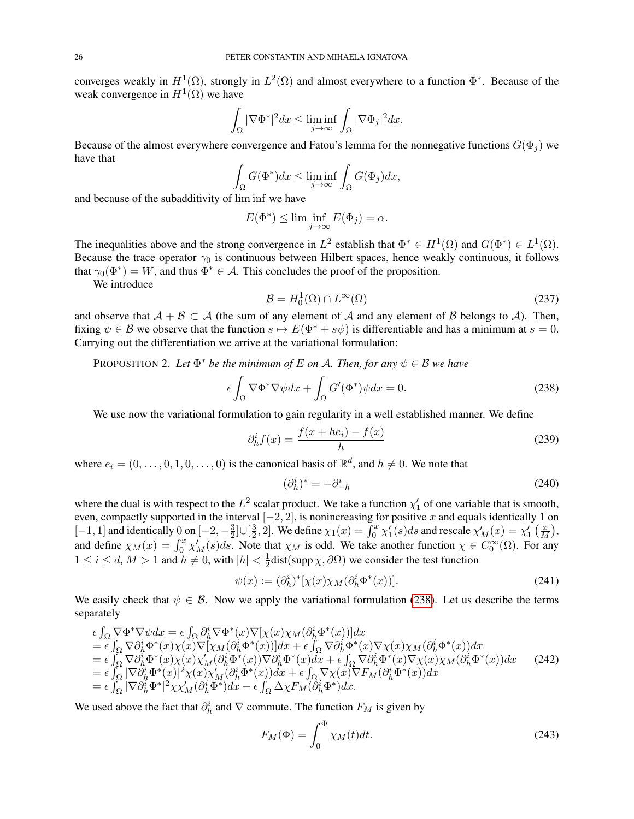converges weakly in  $H^1(\Omega)$ , strongly in  $L^2(\Omega)$  and almost everywhere to a function  $\Phi^*$ . Because of the weak convergence in  $H^1(\Omega)$  we have

$$
\int_{\Omega} |\nabla \Phi^*|^2 dx \le \liminf_{j \to \infty} \int_{\Omega} |\nabla \Phi_j|^2 dx.
$$

Because of the almost everywhere convergence and Fatou's lemma for the nonnegative functions  $G(\Phi_i)$  we have that

$$
\int_{\Omega} G(\Phi^*) dx \le \liminf_{j \to \infty} \int_{\Omega} G(\Phi_j) dx,
$$

and because of the subadditivity of lim inf we have

$$
E(\Phi^*) \le \liminf_{j \to \infty} E(\Phi_j) = \alpha.
$$

The inequalities above and the strong convergence in  $L^2$  establish that  $\Phi^* \in H^1(\Omega)$  and  $G(\Phi^*) \in L^1(\Omega)$ . Because the trace operator  $\gamma_0$  is continuous between Hilbert spaces, hence weakly continuous, it follows that  $\gamma_0(\Phi^*) = W$ , and thus  $\Phi^* \in \mathcal{A}$ . This concludes the proof of the proposition.

We introduce

$$
\mathcal{B} = H_0^1(\Omega) \cap L^\infty(\Omega) \tag{237}
$$

and observe that  $A + B \subset A$  (the sum of any element of A and any element of B belongs to A). Then, fixing  $\psi \in \mathcal{B}$  we observe that the function  $s \mapsto E(\Phi^* + s\psi)$  is differentiable and has a minimum at  $s = 0$ . Carrying out the differentiation we arrive at the variational formulation:

**PROPOSITION 2.** Let  $\Phi^*$  be the minimum of E on A. Then, for any  $\psi \in \mathcal{B}$  we have

<span id="page-25-0"></span>
$$
\epsilon \int_{\Omega} \nabla \Phi^* \nabla \psi dx + \int_{\Omega} G'(\Phi^*) \psi dx = 0.
$$
 (238)

We use now the variational formulation to gain regularity in a well established manner. We define

$$
\partial_h^i f(x) = \frac{f(x + he_i) - f(x)}{h} \tag{239}
$$

where  $e_i = (0, \ldots, 0, 1, 0, \ldots, 0)$  is the canonical basis of  $\mathbb{R}^d$ , and  $h \neq 0$ . We note that

$$
(\partial_h^i)^* = -\partial_{-h}^i \tag{240}
$$

where the dual is with respect to the  $L^2$  scalar product. We take a function  $\chi'_1$  of one variable that is smooth, even, compactly supported in the interval  $[-2, 2]$ , is nonincreasing for positive x and equals identically 1 on  $[-1, 1]$  and identically 0 on  $[-2, -\frac{3}{2}]$  $\frac{3}{2}$ ]∪[ $\frac{3}{2}$  $\frac{3}{2}$ , 2]. We define  $\chi_1(x) = \int_0^x \chi_1'(s)ds$  and rescale  $\chi_M'(x) = \chi_1'(\frac{x}{M})$  $\frac{x}{M}$ ), and define  $\chi_M(x) = \int_0^x \chi'_M(s)ds$ . Note that  $\chi_M$  is odd. We take another function  $\chi \in C_0^{\infty}(\Omega)$ . For any  $1 \leq i \leq d, M > 1$  and  $h \neq 0$ , with  $|h| < \frac{1}{2}$  $\frac{1}{2}$ dist(supp  $\chi, \partial \Omega$ ) we consider the test function

$$
\psi(x) := (\partial_h^i)^* [\chi(x) \chi_M(\partial_h^i \Phi^*(x))]. \tag{241}
$$

We easily check that  $\psi \in \mathcal{B}$ . Now we apply the variational formulation [\(238\)](#page-25-0). Let us describe the terms separately

$$
\epsilon \int_{\Omega} \nabla \Phi^* \nabla \psi dx = \epsilon \int_{\Omega} \partial_h^i \nabla \Phi^*(x) \nabla [\chi(x) \chi_M(\partial_h^i \Phi^*(x))] dx \n= \epsilon \int_{\Omega} \nabla \partial_h^i \Phi^*(x) \chi(x) \nabla [\chi_M(\partial_h^i \Phi^*(x))] dx + \epsilon \int_{\Omega} \nabla \partial_h^i \Phi^*(x) \nabla \chi(x) \chi_M(\partial_h^i \Phi^*(x)) dx \n= \epsilon \int_{\Omega} \nabla \partial_h^i \Phi^*(x) \chi(x) \chi'_M(\partial_h^i \Phi^*(x)) \nabla \partial_h^i \Phi^*(x) dx + \epsilon \int_{\Omega} \nabla \partial_h^i \Phi^*(x) \nabla \chi(x) \chi_M(\partial_h^i \Phi^*(x)) dx \n= \epsilon \int_{\Omega} |\nabla \partial_h^i \Phi^*(x)|^2 \chi(x) \chi'_M(\partial_h^i \Phi^*(x)) dx + \epsilon \int_{\Omega} \nabla \chi(x) \nabla F_M(\partial_h^i \Phi^*(x)) dx \n= \epsilon \int_{\Omega} |\nabla \partial_h^i \Phi^*|^2 \chi \chi'_M(\partial_h^i \Phi^*) dx - \epsilon \int_{\Omega} \Delta \chi F_M(\partial_h^i \Phi^*) dx.
$$
\n(242)

We used above the fact that  $\partial_h^i$  and  $\nabla$  commute. The function  $F_M$  is given by

$$
F_M(\Phi) = \int_0^{\Phi} \chi_M(t)dt.
$$
\n(243)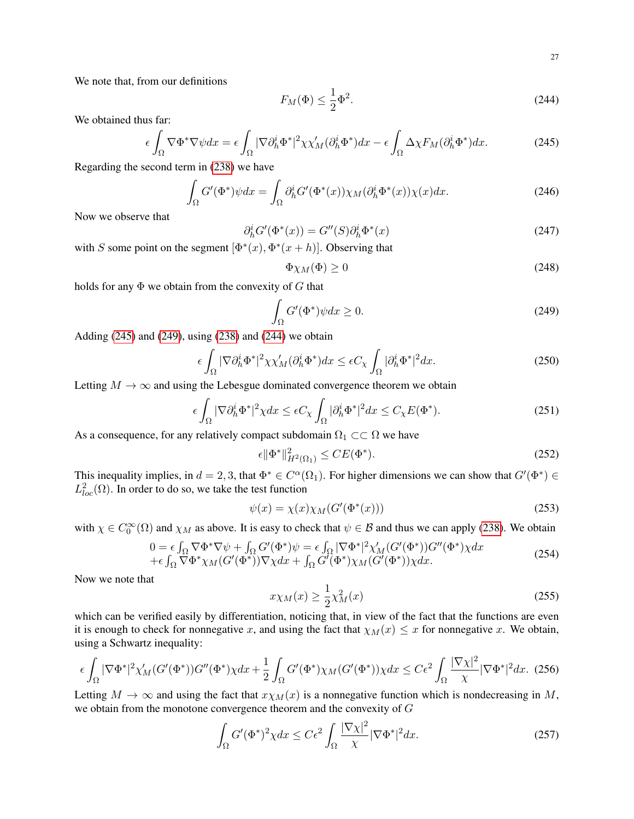We note that, from our definitions

<span id="page-26-2"></span>
$$
F_M(\Phi) \le \frac{1}{2}\Phi^2. \tag{244}
$$

We obtained thus far:

<span id="page-26-0"></span>
$$
\epsilon \int_{\Omega} \nabla \Phi^* \nabla \psi dx = \epsilon \int_{\Omega} |\nabla \partial_h^i \Phi^*|^2 \chi \chi'_M (\partial_h^i \Phi^*) dx - \epsilon \int_{\Omega} \Delta \chi F_M (\partial_h^i \Phi^*) dx. \tag{245}
$$

Regarding the second term in [\(238\)](#page-25-0) we have

$$
\int_{\Omega} G'(\Phi^*) \psi dx = \int_{\Omega} \partial_h^i G'(\Phi^*(x)) \chi_M(\partial_h^i \Phi^*(x)) \chi(x) dx.
$$
\n(246)

Now we observe that

$$
\partial_h^i G'(\Phi^*(x)) = G''(S)\partial_h^i \Phi^*(x)
$$
\n(247)

with S some point on the segment  $[\Phi^*(x), \Phi^*(x+h)]$ . Observing that

$$
\Phi \chi_M(\Phi) \ge 0 \tag{248}
$$

holds for any  $\Phi$  we obtain from the convexity of G that

<span id="page-26-1"></span>
$$
\int_{\Omega} G'(\Phi^*) \psi dx \ge 0. \tag{249}
$$

Adding [\(245\)](#page-26-0) and [\(249\)](#page-26-1), using [\(238\)](#page-25-0) and [\(244\)](#page-26-2) we obtain

$$
\epsilon \int_{\Omega} |\nabla \partial_h^i \Phi^*|^2 \chi \chi'_M (\partial_h^i \Phi^*) dx \le \epsilon C_\chi \int_{\Omega} |\partial_h^i \Phi^*|^2 dx. \tag{250}
$$

Letting  $M \to \infty$  and using the Lebesgue dominated convergence theorem we obtain

$$
\epsilon \int_{\Omega} |\nabla \partial_h^i \Phi^*|^2 \chi dx \le \epsilon C_{\chi} \int_{\Omega} |\partial_h^i \Phi^*|^2 dx \le C_{\chi} E(\Phi^*). \tag{251}
$$

As a consequence, for any relatively compact subdomain  $\Omega_1 \subset \subset \Omega$  we have

$$
\epsilon \|\Phi^*\|_{H^2(\Omega_1)}^2 \le CE(\Phi^*). \tag{252}
$$

This inequality implies, in  $d = 2, 3$ , that  $\Phi^* \in C^{\alpha}(\Omega_1)$ . For higher dimensions we can show that  $G'(\Phi^*) \in$  $L^2_{loc}(\Omega)$ . In order to do so, we take the test function

$$
\psi(x) = \chi(x)\chi_M(G'(\Phi^*(x)))\tag{253}
$$

with  $\chi \in C_0^{\infty}(\Omega)$  and  $\chi_M$  as above. It is easy to check that  $\psi \in \mathcal{B}$  and thus we can apply [\(238\)](#page-25-0). We obtain

$$
0 = \epsilon \int_{\Omega} \nabla \Phi^* \nabla \psi + \int_{\Omega} G'(\Phi^*) \psi = \epsilon \int_{\Omega} |\nabla \Phi^*|^2 \chi'_M (G'(\Phi^*)) G''(\Phi^*) \chi dx + \epsilon \int_{\Omega} \nabla \Phi^* \chi_M (G'(\Phi^*)) \nabla \chi dx + \int_{\Omega} G'(\Phi^*) \chi_M (G'(\Phi^*)) \chi dx.
$$
 (254)

Now we note that

$$
x\chi_M(x) \ge \frac{1}{2}\chi_M^2(x) \tag{255}
$$

which can be verified easily by differentiation, noticing that, in view of the fact that the functions are even it is enough to check for nonnegative x, and using the fact that  $\chi_M(x) \leq x$  for nonnegative x. We obtain, using a Schwartz inequality:

$$
\epsilon \int_{\Omega} |\nabla \Phi^*|^2 \chi'_M(G'(\Phi^*)) G''(\Phi^*) \chi dx + \frac{1}{2} \int_{\Omega} G'(\Phi^*) \chi_M(G'(\Phi^*)) \chi dx \leq C\epsilon^2 \int_{\Omega} \frac{|\nabla \chi|^2}{\chi} |\nabla \Phi^*|^2 dx. \tag{256}
$$

Letting  $M \to \infty$  and using the fact that  $x \chi_M(x)$  is a nonnegative function which is nondecreasing in M, we obtain from the monotone convergence theorem and the convexity of G

$$
\int_{\Omega} G'(\Phi^*)^2 \chi dx \le C\epsilon^2 \int_{\Omega} \frac{|\nabla \chi|^2}{\chi} |\nabla \Phi^*|^2 dx.
$$
 (257)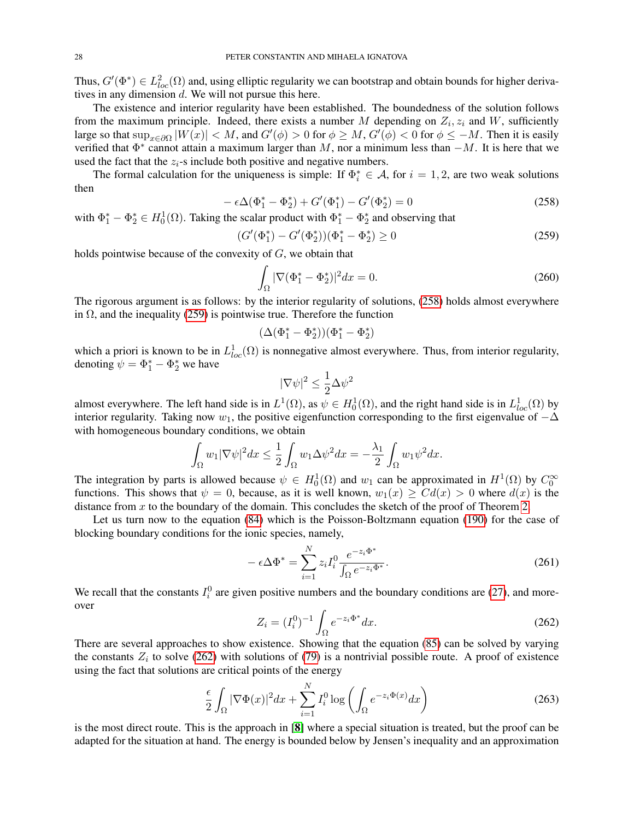Thus,  $G'(\Phi^*) \in L^2_{loc}(\Omega)$  and, using elliptic regularity we can bootstrap and obtain bounds for higher derivatives in any dimension d. We will not pursue this here.

The existence and interior regularity have been established. The boundedness of the solution follows from the maximum principle. Indeed, there exists a number M depending on  $Z_i$ ,  $z_i$  and W, sufficiently large so that  $\sup_{x \in \partial \Omega} |W(x)| < M$ , and  $G'(\phi) > 0$  for  $\phi \ge M$ ,  $G'(\phi) < 0$  for  $\phi \le -M$ . Then it is easily verified that  $\Phi^*$  cannot attain a maximum larger than M, nor a minimum less than  $-M$ . It is here that we used the fact that the  $z_i$ -s include both positive and negative numbers.

The formal calculation for the uniqueness is simple: If  $\Phi_i^* \in A$ , for  $i = 1, 2$ , are two weak solutions then

<span id="page-27-0"></span>
$$
- \epsilon \Delta (\Phi_1^* - \Phi_2^*) + G'(\Phi_1^*) - G'(\Phi_2^*) = 0 \tag{258}
$$

with  $\Phi_1^* - \Phi_2^* \in H_0^1(\Omega)$ . Taking the scalar product with  $\Phi_1^* - \Phi_2^*$  and observing that

<span id="page-27-1"></span>
$$
(G'(\Phi_1^*) - G'(\Phi_2^*)) (\Phi_1^* - \Phi_2^*) \ge 0
$$
\n(259)

holds pointwise because of the convexity of  $G$ , we obtain that

$$
\int_{\Omega} |\nabla (\Phi_1^* - \Phi_2^*)|^2 dx = 0.
$$
\n(260)

The rigorous argument is as follows: by the interior regularity of solutions, [\(258\)](#page-27-0) holds almost everywhere in  $\Omega$ , and the inequality [\(259\)](#page-27-1) is pointwise true. Therefore the function

$$
(\Delta(\Phi_1^*-\Phi_2^*)) (\Phi_1^*-\Phi_2^*)
$$

which a priori is known to be in  $L_{loc}^1(\Omega)$  is nonnegative almost everywhere. Thus, from interior regularity, denoting  $\psi = \Phi_1^* - \Phi_2^*$  we have

$$
|\nabla \psi|^2 \leq \frac{1}{2} \Delta \psi^2
$$

almost everywhere. The left hand side is in  $L^1(\Omega)$ , as  $\psi \in H_0^1(\Omega)$ , and the right hand side is in  $L^1_{loc}(\Omega)$  by interior regularity. Taking now  $w_1$ , the positive eigenfunction corresponding to the first eigenvalue of  $-\Delta$ with homogeneous boundary conditions, we obtain

$$
\int_{\Omega} w_1 |\nabla \psi|^2 dx \leq \frac{1}{2} \int_{\Omega} w_1 \Delta \psi^2 dx = -\frac{\lambda_1}{2} \int_{\Omega} w_1 \psi^2 dx.
$$

The integration by parts is allowed because  $\psi \in H_0^1(\Omega)$  and  $w_1$  can be approximated in  $H^1(\Omega)$  by  $C_0^{\infty}$ functions. This shows that  $\psi = 0$ , because, as it is well known,  $w_1(x) \geq Cd(x) > 0$  where  $d(x)$  is the distance from  $x$  to the boundary of the domain. This concludes the sketch of the proof of Theorem [2.](#page-9-3)

Let us turn now to the equation [\(84\)](#page-9-0) which is the Poisson-Boltzmann equation [\(190\)](#page-20-0) for the case of blocking boundary conditions for the ionic species, namely,

$$
-\epsilon \Delta \Phi^* = \sum_{i=1}^N z_i I_i^0 \frac{e^{-z_i \Phi^*}}{\int_{\Omega} e^{-z_i \Phi^*}}.
$$
\n(261)

We recall that the constants  $I_i^0$  are given positive numbers and the boundary conditions are [\(27\)](#page-2-1), and moreover

<span id="page-27-2"></span>
$$
Z_i = (I_i^0)^{-1} \int_{\Omega} e^{-z_i \Phi^*} dx.
$$
 (262)

There are several approaches to show existence. Showing that the equation [\(85\)](#page-9-4) can be solved by varying the constants  $Z_i$  to solve [\(262\)](#page-27-2) with solutions of [\(79\)](#page-9-5) is a nontrivial possible route. A proof of existence using the fact that solutions are critical points of the energy

$$
\frac{\epsilon}{2} \int_{\Omega} |\nabla \Phi(x)|^2 dx + \sum_{i=1}^{N} I_i^0 \log \left( \int_{\Omega} e^{-z_i \Phi(x)} dx \right) \tag{263}
$$

is the most direct route. This is the approach in [[8](#page-34-2)] where a special situation is treated, but the proof can be adapted for the situation at hand. The energy is bounded below by Jensen's inequality and an approximation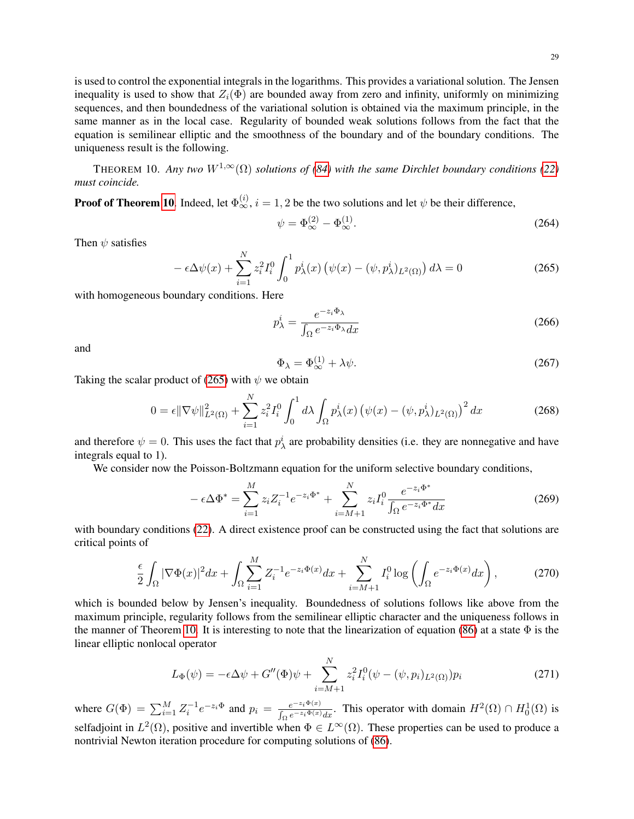is used to control the exponential integrals in the logarithms. This provides a variational solution. The Jensen inequality is used to show that  $Z_i(\Phi)$  are bounded away from zero and infinity, uniformly on minimizing sequences, and then boundedness of the variational solution is obtained via the maximum principle, in the same manner as in the local case. Regularity of bounded weak solutions follows from the fact that the equation is semilinear elliptic and the smoothness of the boundary and of the boundary conditions. The uniqueness result is the following.

<span id="page-28-0"></span>THEOREM 10. *Any two*  $W^{1,\infty}(\Omega)$  *solutions of [\(84\)](#page-9-0)* with the same Dirchlet boundary conditions [\(22\)](#page-2-3) *must coincide.*

**Proof of Theorem [10](#page-28-0)**. Indeed, let  $\Phi_{\infty}^{(i)}$ ,  $i = 1, 2$  be the two solutions and let  $\psi$  be their difference,

$$
\psi = \Phi_{\infty}^{(2)} - \Phi_{\infty}^{(1)}.\tag{264}
$$

Then  $\psi$  satisfies

<span id="page-28-1"></span>
$$
-\epsilon \Delta \psi(x) + \sum_{i=1}^{N} z_i^2 I_i^0 \int_0^1 p_\lambda^i(x) \left( \psi(x) - (\psi, p_\lambda^i)_{L^2(\Omega)} \right) d\lambda = 0 \tag{265}
$$

with homogeneous boundary conditions. Here

$$
p_{\lambda}^{i} = \frac{e^{-z_{i}\Phi_{\lambda}}}{\int_{\Omega} e^{-z_{i}\Phi_{\lambda}} dx}
$$
 (266)

and

$$
\Phi_{\lambda} = \Phi_{\infty}^{(1)} + \lambda \psi. \tag{267}
$$

Taking the scalar product of [\(265\)](#page-28-1) with  $\psi$  we obtain

$$
0 = \epsilon \|\nabla \psi\|_{L^2(\Omega)}^2 + \sum_{i=1}^N z_i^2 I_i^0 \int_0^1 d\lambda \int_{\Omega} p_\lambda^i(x) \left(\psi(x) - (\psi, p_\lambda^i)_{L^2(\Omega)}\right)^2 dx \tag{268}
$$

and therefore  $\psi = 0$ . This uses the fact that  $p_\lambda^i$  are probability densities (i.e. they are nonnegative and have integrals equal to 1).

We consider now the Poisson-Boltzmann equation for the uniform selective boundary conditions,

$$
-\epsilon \Delta \Phi^* = \sum_{i=1}^M z_i Z_i^{-1} e^{-z_i \Phi^*} + \sum_{i=M+1}^N z_i I_i^0 \frac{e^{-z_i \Phi^*}}{\int_{\Omega} e^{-z_i \Phi^*} dx}
$$
(269)

with boundary conditions [\(22\)](#page-2-3). A direct existence proof can be constructed using the fact that solutions are critical points of

$$
\frac{\epsilon}{2} \int_{\Omega} |\nabla \Phi(x)|^2 dx + \int_{\Omega} \sum_{i=1}^M Z_i^{-1} e^{-z_i \Phi(x)} dx + \sum_{i=M+1}^N I_i^0 \log \left( \int_{\Omega} e^{-z_i \Phi(x)} dx \right), \tag{270}
$$

which is bounded below by Jensen's inequality. Boundedness of solutions follows like above from the maximum principle, regularity follows from the semilinear elliptic character and the uniqueness follows in the manner of Theorem [10.](#page-28-0) It is interesting to note that the linearization of equation [\(86\)](#page-10-0) at a state  $\Phi$  is the linear elliptic nonlocal operator

$$
L_{\Phi}(\psi) = -\epsilon \Delta \psi + G''(\Phi)\psi + \sum_{i=M+1}^{N} z_i^2 I_i^0 (\psi - (\psi, p_i)_{L^2(\Omega)}) p_i
$$
\n(271)

where  $G(\Phi) = \sum_{i=1}^{M} Z_i^{-1} e^{-z_i \Phi}$  and  $p_i = \frac{e^{-z_i \Phi(x)}}{\int_{\Phi} e^{-z_i \Phi(x)}}$  $\frac{e^{-z_i\Phi(x)}}{\int_{\Omega}e^{-z_i\Phi(x)}dx}$ . This operator with domain  $H^2(\Omega) \cap H_0^1(\Omega)$  is selfadjoint in  $L^2(\Omega)$ , positive and invertible when  $\Phi \in L^{\infty}(\Omega)$ . These properties can be used to produce a nontrivial Newton iteration procedure for computing solutions of [\(86\)](#page-10-0).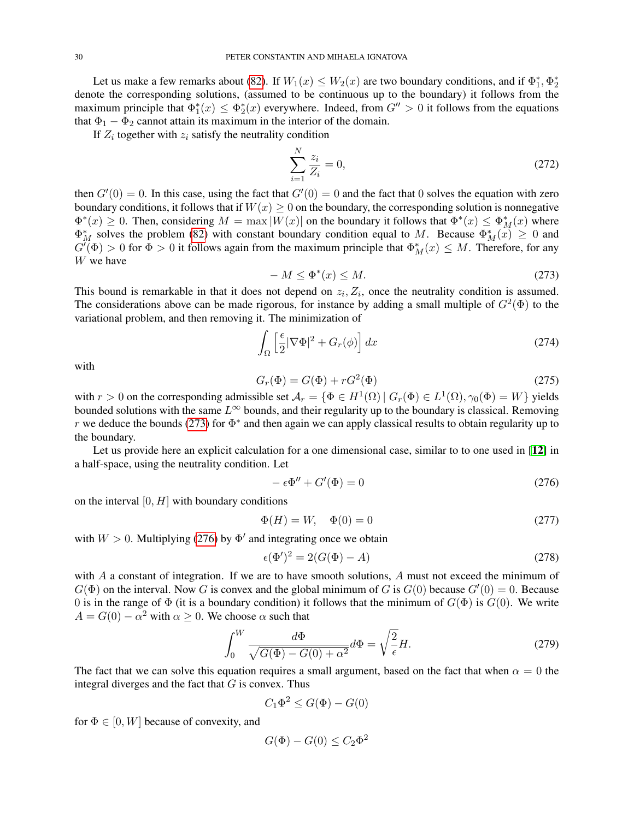Let us make a few remarks about [\(82\)](#page-9-1). If  $W_1(x) \le W_2(x)$  are two boundary conditions, and if  $\Phi_1^*, \Phi_2^*$ denote the corresponding solutions, (assumed to be continuous up to the boundary) it follows from the maximum principle that  $\Phi_1^*(x) \leq \Phi_2^*(x)$  everywhere. Indeed, from  $G'' > 0$  it follows from the equations that  $\Phi_1 - \Phi_2$  cannot attain its maximum in the interior of the domain.

If  $Z_i$  together with  $z_i$  satisfy the neutrality condition

$$
\sum_{i=1}^{N} \frac{z_i}{Z_i} = 0,
$$
\n(272)

then  $G'(0) = 0$ . In this case, using the fact that  $G'(0) = 0$  and the fact that 0 solves the equation with zero boundary conditions, it follows that if  $W(x) \geq 0$  on the boundary, the corresponding solution is nonnegative  $\Phi^*(x) \ge 0$ . Then, considering  $M = \max |W(x)|$  on the boundary it follows that  $\Phi^*(x) \le \Phi^*_M(x)$  where  $\Phi_M^*$  solves the problem [\(82\)](#page-9-1) with constant boundary condition equal to M. Because  $\Phi_M^*(x) \geq 0$  and  $G(\Phi) > 0$  for  $\Phi > 0$  it follows again from the maximum principle that  $\Phi_M^*(x) \leq M$ . Therefore, for any W we have

<span id="page-29-0"></span>
$$
-M \le \Phi^*(x) \le M. \tag{273}
$$

This bound is remarkable in that it does not depend on  $z_i$ ,  $Z_i$ , once the neutrality condition is assumed. The considerations above can be made rigorous, for instance by adding a small multiple of  $G^2(\Phi)$  to the variational problem, and then removing it. The minimization of

$$
\int_{\Omega} \left[ \frac{\epsilon}{2} |\nabla \Phi|^2 + G_r(\phi) \right] dx \tag{274}
$$

with

$$
G_r(\Phi) = G(\Phi) + rG^2(\Phi)
$$
\n(275)

with  $r > 0$  on the corresponding admissible set  $\mathcal{A}_r = \{ \Phi \in H^1(\Omega) \mid G_r(\Phi) \in L^1(\Omega), \gamma_0(\Phi) = W \}$  yields bounded solutions with the same  $L^{\infty}$  bounds, and their regularity up to the boundary is classical. Removing r we deduce the bounds [\(273\)](#page-29-0) for  $\Phi^*$  and then again we can apply classical results to obtain regularity up to the boundary.

Let us provide here an explicit calculation for a one dimensional case, similar to to one used in [[12](#page-35-9)] in a half-space, using the neutrality condition. Let

<span id="page-29-1"></span>
$$
- \epsilon \Phi'' + G'(\Phi) = 0 \tag{276}
$$

on the interval  $[0, H]$  with boundary conditions

$$
\Phi(H) = W, \quad \Phi(0) = 0 \tag{277}
$$

with  $W > 0$ . Multiplying [\(276\)](#page-29-1) by  $\Phi'$  and integrating once we obtain

$$
\epsilon(\Phi')^2 = 2(G(\Phi) - A) \tag{278}
$$

with  $A$  a constant of integration. If we are to have smooth solutions,  $A$  must not exceed the minimum of  $G(\Phi)$  on the interval. Now G is convex and the global minimum of G is  $G(0)$  because  $G'(0) = 0$ . Because 0 is in the range of  $\Phi$  (it is a boundary condition) it follows that the minimum of  $G(\Phi)$  is  $G(0)$ . We write  $A = G(0) - \alpha^2$  with  $\alpha \ge 0$ . We choose  $\alpha$  such that

<span id="page-29-2"></span>
$$
\int_0^W \frac{d\Phi}{\sqrt{G(\Phi) - G(0) + \alpha^2}} d\Phi = \sqrt{\frac{2}{\epsilon}} H.
$$
\n(279)

The fact that we can solve this equation requires a small argument, based on the fact that when  $\alpha = 0$  the integral diverges and the fact that  $G$  is convex. Thus

$$
C_1 \Phi^2 \le G(\Phi) - G(0)
$$

for  $\Phi \in [0, W]$  because of convexity, and

$$
G(\Phi) - G(0) \le C_2 \Phi^2
$$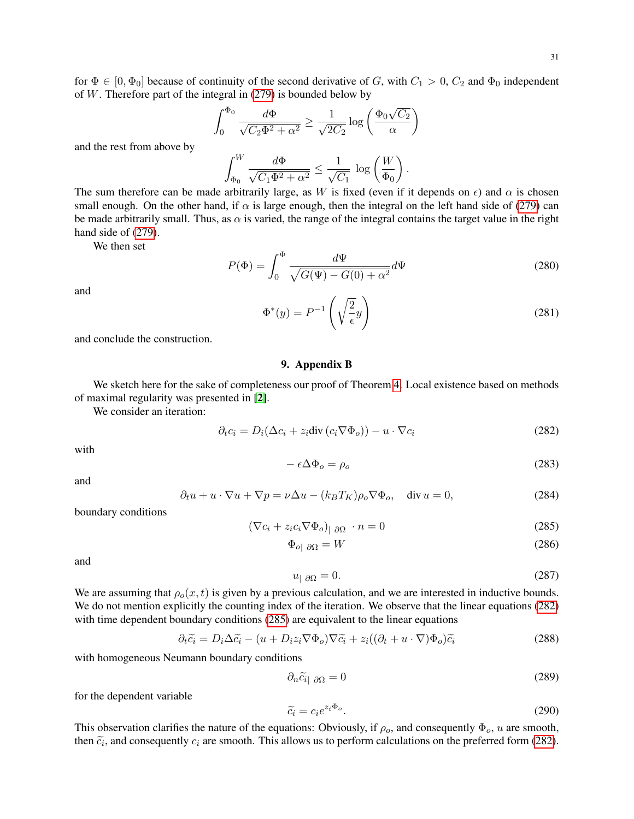for  $\Phi \in [0, \Phi_0]$  because of continuity of the second derivative of G, with  $C_1 > 0$ ,  $C_2$  and  $\Phi_0$  independent of W. Therefore part of the integral in [\(279\)](#page-29-2) is bounded below by

$$
\int_0^{\Phi_0} \frac{d\Phi}{\sqrt{C_2 \Phi^2 + \alpha^2}} \ge \frac{1}{\sqrt{2C_2}} \log \left( \frac{\Phi_0 \sqrt{C_2}}{\alpha} \right)
$$

and the rest from above by

$$
\int_{\Phi_0}^{W} \frac{d\Phi}{\sqrt{C_1 \Phi^2 + \alpha^2}} \le \frac{1}{\sqrt{C_1}} \log\left(\frac{W}{\Phi_0}\right).
$$

The sum therefore can be made arbitrarily large, as W is fixed (even if it depends on  $\epsilon$ ) and  $\alpha$  is chosen small enough. On the other hand, if  $\alpha$  is large enough, then the integral on the left hand side of [\(279\)](#page-29-2) can be made arbitrarily small. Thus, as  $\alpha$  is varied, the range of the integral contains the target value in the right hand side of [\(279\)](#page-29-2).

We then set

$$
P(\Phi) = \int_0^{\Phi} \frac{d\Psi}{\sqrt{G(\Psi) - G(0) + \alpha^2}} d\Psi \tag{280}
$$

and

$$
\Phi^*(y) = P^{-1}\left(\sqrt{\frac{2}{\epsilon}}y\right) \tag{281}
$$

and conclude the construction.

## 9. Appendix B

We sketch here for the sake of completeness our proof of Theorem [4.](#page-10-5) Local existence based on methods of maximal regularity was presented in [[2](#page-34-7)].

We consider an iteration:

<span id="page-30-0"></span>
$$
\partial_t c_i = D_i(\Delta c_i + z_i \operatorname{div} (c_i \nabla \Phi_o)) - u \cdot \nabla c_i \tag{282}
$$

with

and

<span id="page-30-3"></span>
$$
-\epsilon \Delta \Phi_o = \rho_o \tag{283}
$$

<span id="page-30-4"></span>
$$
\partial_t u + u \cdot \nabla u + \nabla p = \nu \Delta u - (k_B T_K) \rho_o \nabla \Phi_o, \quad \text{div } u = 0,
$$
\n(284)

boundary conditions

<span id="page-30-1"></span>
$$
(\nabla c_i + z_i c_i \nabla \Phi_o)_{|\partial \Omega} \cdot n = 0 \tag{285}
$$

$$
\Phi_{o\vert\ \partial\Omega} = W \tag{286}
$$

and

$$
u_{\parallel\partial\Omega} = 0.\tag{287}
$$

We are assuming that  $\rho_o(x, t)$  is given by a previous calculation, and we are interested in inductive bounds. We do not mention explicitly the counting index of the iteration. We observe that the linear equations [\(282\)](#page-30-0) with time dependent boundary conditions [\(285\)](#page-30-1) are equivalent to the linear equations

$$
\partial_t \tilde{c}_i = D_i \Delta \tilde{c}_i - (u + D_i z_i \nabla \Phi_o) \nabla \tilde{c}_i + z_i ((\partial_t + u \cdot \nabla) \Phi_o) \tilde{c}_i
$$
\n(288)

with homogeneous Neumann boundary conditions

$$
\partial_n \tilde{c}_{i|\partial\Omega} = 0 \tag{289}
$$

for the dependent variable

<span id="page-30-2"></span>
$$
\widetilde{c}_i = c_i e^{z_i \Phi_o}.\tag{290}
$$

This observation clarifies the nature of the equations: Obviously, if  $\rho_o$ , and consequently  $\Phi_o$ , u are smooth, then  $\tilde{c}_i$ , and consequently  $c_i$  are smooth. This allows us to perform calculations on the preferred form [\(282\)](#page-30-0).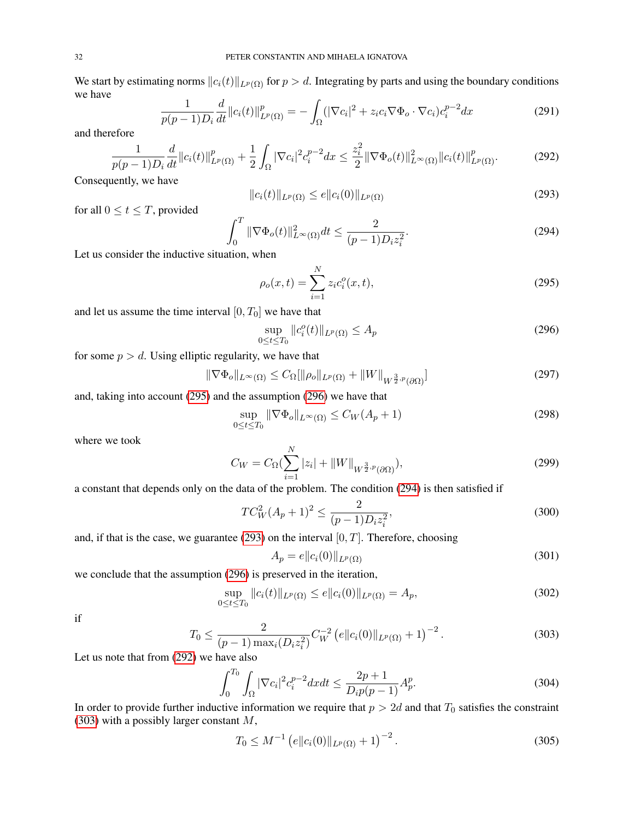We start by estimating norms  $||c_i(t)||_{L^p(\Omega)}$  for  $p > d$ . Integrating by parts and using the boundary conditions we have

$$
\frac{1}{p(p-1)D_i} \frac{d}{dt} ||c_i(t)||_{L^p(\Omega)}^p = -\int_{\Omega} (|\nabla c_i|^2 + z_i c_i \nabla \Phi_o \cdot \nabla c_i) c_i^{p-2} dx \tag{291}
$$

and therefore

<span id="page-31-4"></span>
$$
\frac{1}{p(p-1)D_i}\frac{d}{dt}\|c_i(t)\|_{L^p(\Omega)}^p + \frac{1}{2}\int_{\Omega} |\nabla c_i|^2 c_i^{p-2} dx \le \frac{z_i^2}{2} \|\nabla \Phi_o(t)\|_{L^\infty(\Omega)}^2 \|c_i(t)\|_{L^p(\Omega)}^p. \tag{292}
$$

Consequently, we have

<span id="page-31-3"></span>
$$
||c_i(t)||_{L^p(\Omega)} \le e||c_i(0)||_{L^p(\Omega)}
$$
\n(293)

for all  $0 \le t \le T$ , provided

<span id="page-31-2"></span>
$$
\int_{0}^{T} \|\nabla \Phi_{o}(t)\|_{L^{\infty}(\Omega)}^{2} dt \le \frac{2}{(p-1)D_{i}z_{i}^{2}}.
$$
\n(294)

Let us consider the inductive situation, when

<span id="page-31-0"></span>
$$
\rho_o(x,t) = \sum_{i=1}^{N} z_i c_i^o(x,t),
$$
\n(295)

and let us assume the time interval  $[0, T_0]$  we have that

<span id="page-31-1"></span>
$$
\sup_{0 \le t \le T_0} \|c_i^o(t)\|_{L^p(\Omega)} \le A_p \tag{296}
$$

for some  $p > d$ . Using elliptic regularity, we have that

$$
\|\nabla\Phi_o\|_{L^{\infty}(\Omega)} \le C_{\Omega}[\|\rho_o\|_{L^p(\Omega)} + \|W\|_{W^{\frac{3}{2},p}(\partial\Omega)}]
$$
\n(297)

and, taking into account [\(295\)](#page-31-0) and the assumption [\(296\)](#page-31-1) we have that

<span id="page-31-7"></span>
$$
\sup_{0 \le t \le T_0} \|\nabla \Phi_o\|_{L^\infty(\Omega)} \le C_W(A_p + 1)
$$
\n(298)

where we took

$$
C_W = C_{\Omega} \left( \sum_{i=1}^N |z_i| + \|W\|_{W^{\frac{3}{2},p}(\partial \Omega)} \right),\tag{299}
$$

a constant that depends only on the data of the problem. The condition [\(294\)](#page-31-2) is then satisfied if

$$
TC_W^2(A_p + 1)^2 \le \frac{2}{(p-1)D_iz_i^2},\tag{300}
$$

and, if that is the case, we guarantee [\(293\)](#page-31-3) on the interval  $[0, T]$ . Therefore, choosing

$$
A_p = e \|c_i(0)\|_{L^p(\Omega)}\tag{301}
$$

we conclude that the assumption [\(296\)](#page-31-1) is preserved in the iteration,

<span id="page-31-8"></span>
$$
\sup_{0 \le t \le T_0} ||c_i(t)||_{L^p(\Omega)} \le e ||c_i(0)||_{L^p(\Omega)} = A_p,
$$
\n(302)

if

<span id="page-31-5"></span>
$$
T_0 \le \frac{2}{(p-1)\max_i(D_iz_i^2)} C_W^{-2} \left( e \| c_i(0) \|_{L^p(\Omega)} + 1 \right)^{-2}.
$$
 (303)

Let us note that from [\(292\)](#page-31-4) we have also

$$
\int_0^{T_0} \int_{\Omega} |\nabla c_i|^2 c_i^{p-2} dx dt \le \frac{2p+1}{D_i p(p-1)} A_p^p. \tag{304}
$$

In order to provide further inductive information we require that  $p > 2d$  and that  $T_0$  satisfies the constraint [\(303\)](#page-31-5) with a possibly larger constant M,

<span id="page-31-6"></span>
$$
T_0 \le M^{-1} \left( e \| c_i(0) \|_{L^p(\Omega)} + 1 \right)^{-2}.
$$
\n(305)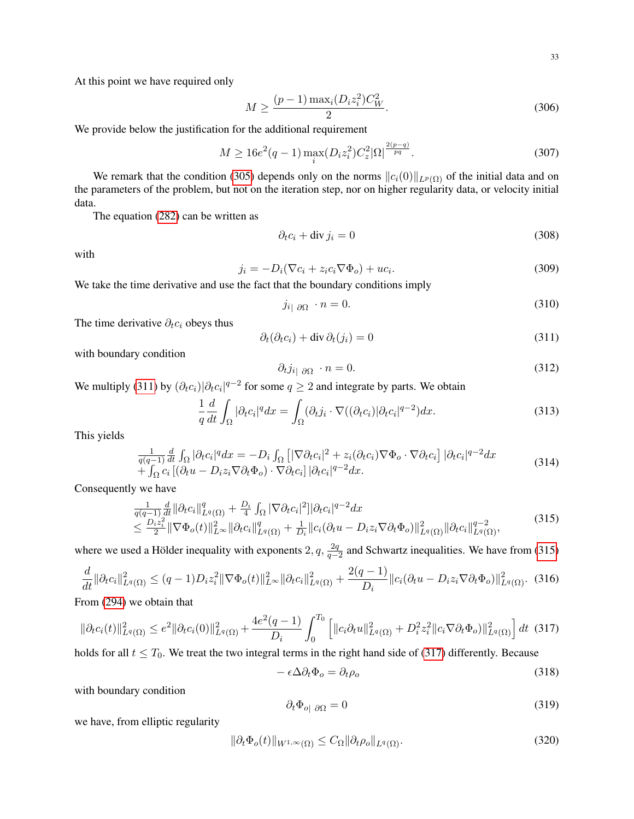At this point we have required only

<span id="page-32-4"></span>
$$
M \ge \frac{(p-1)\max_{i}(D_{i}z_{i}^{2})C_{W}^{2}}{2}.
$$
\n(306)

We provide below the justification for the additional requirement

<span id="page-32-3"></span>
$$
M \ge 16e^2(q-1)\max_{i} (D_iz_i^2)C_z^2|\Omega|^{\frac{2(p-q)}{pq}}.
$$
\n(307)

We remark that the condition [\(305\)](#page-31-6) depends only on the norms  $||c_i(0)||_{L^p(\Omega)}$  of the initial data and on the parameters of the problem, but not on the iteration step, nor on higher regularity data, or velocity initial data.

The equation [\(282\)](#page-30-0) can be written as

$$
\partial_t c_i + \text{div } j_i = 0 \tag{308}
$$

with

$$
j_i = -D_i(\nabla c_i + z_i c_i \nabla \Phi_o) + uc_i.
$$
\n(309)

We take the time derivative and use the fact that the boundary conditions imply

$$
j_{i\,|\partial\Omega} \cdot n = 0. \tag{310}
$$

The time derivative  $\partial_t c_i$  obeys thus

<span id="page-32-0"></span>
$$
\partial_t(\partial_t c_i) + \operatorname{div} \partial_t(j_i) = 0 \tag{311}
$$

with boundary condition

$$
\partial_t j_{i| \partial \Omega} \cdot n = 0. \tag{312}
$$

We multiply [\(311\)](#page-32-0) by  $(\partial_t c_i)|\partial_t c_i|^{q-2}$  for some  $q \ge 2$  and integrate by parts. We obtain

$$
\frac{1}{q}\frac{d}{dt}\int_{\Omega}|\partial_{t}c_{i}|^{q}dx = \int_{\Omega}(\partial_{t}j_{i}\cdot\nabla((\partial_{t}c_{i})|\partial_{t}c_{i}|^{q-2})dx.
$$
\n(313)

This yields

$$
\frac{1}{q(q-1)}\frac{d}{dt}\int_{\Omega}|\partial_{t}c_{i}|^{q}dx = -D_{i}\int_{\Omega}\left[|\nabla\partial_{t}c_{i}|^{2} + z_{i}(\partial_{t}c_{i})\nabla\Phi_{o}\cdot\nabla\partial_{t}c_{i}\right]|\partial_{t}c_{i}|^{q-2}dx \n+\int_{\Omega}c_{i}\left[(\partial_{t}u - D_{i}z_{i}\nabla\partial_{t}\Phi_{o})\cdot\nabla\partial_{t}c_{i}\right]|\partial_{t}c_{i}|^{q-2}dx.
$$
\n(314)

Consequently we have

<span id="page-32-1"></span>
$$
\frac{1}{q(q-1)}\frac{d}{dt}\|\partial_t c_i\|_{L^q(\Omega)}^q + \frac{D_i}{4}\int_{\Omega} |\nabla \partial_t c_i|^2 ||\partial_t c_i|^{q-2} dx \n\leq \frac{D_i z_i^2}{2} \|\nabla \Phi_o(t)\|_{L^\infty}^2 \|\partial_t c_i\|_{L^q(\Omega)}^q + \frac{1}{D_i} \|c_i(\partial_t u - D_i z_i \nabla \partial_t \Phi_o)\|_{L^q(\Omega)}^2 \|\partial_t c_i\|_{L^q(\Omega)}^{q-2},
$$
\n(315)

where we used a Hölder inequality with exponents  $2, q, \frac{2q}{q-1}$  $\frac{2q}{q-2}$  and Schwartz inequalities. We have from [\(315\)](#page-32-1)

$$
\frac{d}{dt} \|\partial_t c_i\|_{L^q(\Omega)}^2 \le (q-1)D_iz_i^2 \|\nabla \Phi_o(t)\|_{L^\infty}^2 \|\partial_t c_i\|_{L^q(\Omega)}^2 + \frac{2(q-1)}{D_i} \|c_i(\partial_t u - D_i z_i \nabla \partial_t \Phi_o)\|_{L^q(\Omega)}^2. \tag{316}
$$

From [\(294\)](#page-31-2) we obtain that

<span id="page-32-2"></span>
$$
\|\partial_t c_i(t)\|_{L^q(\Omega)}^2 \le e^2 \|\partial_t c_i(0)\|_{L^q(\Omega)}^2 + \frac{4e^2(q-1)}{D_i} \int_0^{T_0} \left[ \|c_i \partial_t u\|_{L^q(\Omega)}^2 + D_i^2 z_i^2 \|c_i \nabla \partial_t \Phi_0\|_{L^q(\Omega)}^2 \right] dt \tag{317}
$$

holds for all  $t \leq T_0$ . We treat the two integral terms in the right hand side of [\(317\)](#page-32-2) differently. Because

$$
-\epsilon \Delta \partial_t \Phi_o = \partial_t \rho_o \tag{318}
$$

with boundary condition

$$
\partial_t \Phi_{o| \partial \Omega} = 0 \tag{319}
$$

we have, from elliptic regularity

$$
\|\partial_t \Phi_o(t)\|_{W^{1,\infty}(\Omega)} \le C_\Omega \|\partial_t \rho_o\|_{L^q(\Omega)}.
$$
\n(320)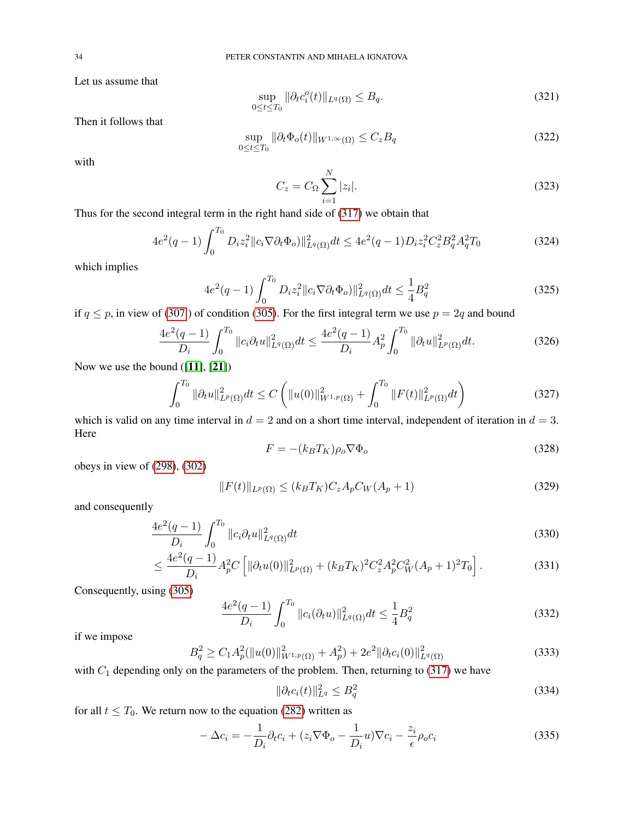Let us assume that

$$
\sup_{0 \le t \le T_0} \|\partial_t c_i^o(t)\|_{L^q(\Omega)} \le B_q. \tag{321}
$$

Then it follows that

$$
\sup_{0 \le t \le T_0} \|\partial_t \Phi_o(t)\|_{W^{1,\infty}(\Omega)} \le C_z B_q \tag{322}
$$

with

$$
C_z = C_\Omega \sum_{i=1}^N |z_i|.
$$
\n(323)

Thus for the second integral term in the right hand side of [\(317\)](#page-32-2) we obtain that

$$
4e^{2}(q-1)\int_{0}^{T_{0}}D_{i}z_{i}^{2}\|c_{i}\nabla\partial_{t}\Phi_{o})\|_{L^{q}(\Omega)}^{2}dt \leq 4e^{2}(q-1)D_{i}z_{i}^{2}C_{z}^{2}B_{q}^{2}A_{q}^{2}T_{0}
$$
\n(324)

which implies

$$
4e^{2}(q-1)\int_{0}^{T_{0}}D_{i}z_{i}^{2}\|c_{i}\nabla\partial_{t}\Phi_{o}\|_{L^{q}(\Omega)}^{2}dt \leq \frac{1}{4}B_{q}^{2}
$$
\n(325)

if  $q \leq p$ , in view of [\(307](#page-32-3)) of condition [\(305\)](#page-31-6). For the first integral term we use  $p = 2q$  and bound

$$
\frac{4e^2(q-1)}{D_i} \int_0^{T_0} \|c_i \partial_t u\|_{L^q(\Omega)}^2 dt \le \frac{4e^2(q-1)}{D_i} A_p^2 \int_0^{T_0} \|\partial_t u\|_{L^p(\Omega)}^2 dt. \tag{326}
$$

Now we use the bound ([[11](#page-35-10)], [[21](#page-35-11)])

<span id="page-33-1"></span>
$$
\int_0^{T_0} \|\partial_t u\|_{L^p(\Omega)}^2 dt \le C \left( \|u(0)\|_{W^{1,p}(\Omega)}^2 + \int_0^{T_0} \|F(t)\|_{L^p(\Omega)}^2 dt \right)
$$
(327)

which is valid on any time interval in  $d = 2$  and on a short time interval, independent of iteration in  $d = 3$ . Here

$$
F = -(k_B T_K) \rho_o \nabla \Phi_o \tag{328}
$$

obeys in view of [\(298\)](#page-31-7), [\(302\)](#page-31-8)

$$
||F(t)||_{L^{p}(\Omega)} \leq (k_B T_K) C_z A_p C_W (A_p + 1)
$$
\n(329)

and consequently

$$
\frac{4e^2(q-1)}{D_i} \int_0^{T_0} \|c_i \partial_t u\|_{L^q(\Omega)}^2 dt \tag{330}
$$

$$
\leq \frac{4e^2(q-1)}{D_i} A_p^2 C \left[ \| \partial_t u(0) \|_{L^p(\Omega)}^2 + (k_B T_K)^2 C_z^2 A_p^2 C_W^2 (A_p + 1)^2 T_0 \right]. \tag{331}
$$

Consequently, using [\(305\)](#page-31-6)

$$
\frac{4e^2(q-1)}{D_i} \int_0^{T_0} \|c_i(\partial_t u)\|_{L^q(\Omega)}^2 dt \le \frac{1}{4} B_q^2 \tag{332}
$$

if we impose

$$
B_q^2 \ge C_1 A_p^2 (\|u(0)\|_{W^{1,p}(\Omega)}^2 + A_p^2) + 2e^2 \|\partial_t c_i(0)\|_{L^q(\Omega)}^2
$$
\n(333)

with  $C_1$  depending only on the parameters of the problem. Then, returning to [\(317\)](#page-32-2) we have

<span id="page-33-0"></span>
$$
\|\partial_t c_i(t)\|_{L^q}^2 \le B_q^2 \tag{334}
$$

for all  $t \leq T_0$ . We return now to the equation [\(282\)](#page-30-0) written as

$$
-\Delta c_i = -\frac{1}{D_i} \partial_t c_i + (z_i \nabla \Phi_o - \frac{1}{D_i} u) \nabla c_i - \frac{z_i}{\epsilon} \rho_o c_i
$$
\n(335)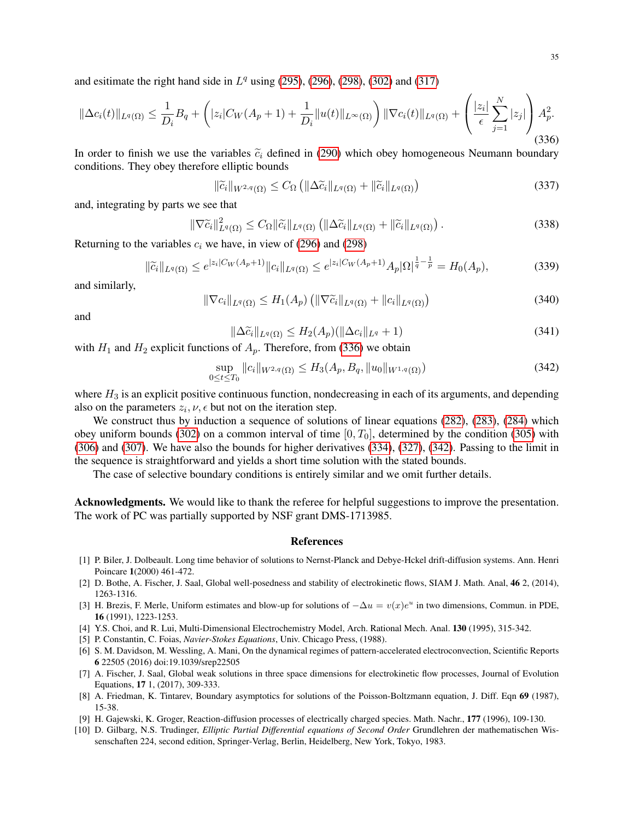and esitimate the right hand side in  $L^q$  using [\(295\)](#page-31-0), [\(296\)](#page-31-1), [\(298\)](#page-31-7), [\(302\)](#page-31-8) and [\(317\)](#page-32-2)

<span id="page-34-10"></span>
$$
\|\Delta c_i(t)\|_{L^q(\Omega)} \le \frac{1}{D_i} B_q + \left( |z_i| C_W(A_p + 1) + \frac{1}{D_i} \|u(t)\|_{L^\infty(\Omega)} \right) \|\nabla c_i(t)\|_{L^q(\Omega)} + \left( \frac{|z_i|}{\epsilon} \sum_{j=1}^N |z_j| \right) A_p^2. \tag{336}
$$

In order to finish we use the variables  $\tilde{c}_i$  defined in [\(290\)](#page-30-2) which obey homogeneous Neumann boundary conditions. They obey therefore elliptic bounds

$$
\|\widetilde{c}_{i}\|_{W^{2,q}(\Omega)} \leq C_{\Omega} \left( \|\Delta \widetilde{c}_{i}\|_{L^{q}(\Omega)} + \|\widetilde{c}_{i}\|_{L^{q}(\Omega)} \right) \tag{337}
$$

and, integrating by parts we see that

$$
\|\nabla \widetilde{c}_i\|_{L^q(\Omega)}^2 \le C_\Omega \|\widetilde{c}_i\|_{L^q(\Omega)} \left( \|\Delta \widetilde{c}_i\|_{L^q(\Omega)} + \|\widetilde{c}_i\|_{L^q(\Omega)} \right). \tag{338}
$$

Returning to the variables  $c_i$  we have, in view of [\(296\)](#page-31-1) and [\(298\)](#page-31-7)

$$
\|\tilde{c}_i\|_{L^q(\Omega)} \le e^{|z_i|C_W(A_p+1)} \|c_i\|_{L^q(\Omega)} \le e^{|z_i|C_W(A_p+1)} A_p |\Omega|^{\frac{1}{q}-\frac{1}{p}} = H_0(A_p),\tag{339}
$$

and similarly,

$$
\|\nabla c_i\|_{L^q(\Omega)} \le H_1(A_p) \left( \|\nabla \widetilde{c}_i\|_{L^q(\Omega)} + \|c_i\|_{L^q(\Omega)} \right) \tag{340}
$$

and

$$
\|\Delta \widetilde{c}_i\|_{L^q(\Omega)} \le H_2(A_p) (\|\Delta c_i\|_{L^q} + 1)
$$
\n(341)

with  $H_1$  and  $H_2$  explicit functions of  $A_p$ . Therefore, from [\(336\)](#page-34-10) we obtain

<span id="page-34-11"></span>
$$
\sup_{0 \le t \le T_0} ||c_i||_{W^{2,q}(\Omega)} \le H_3(A_p, B_q, ||u_0||_{W^{1,q}(\Omega)}) \tag{342}
$$

where  $H_3$  is an explicit positive continuous function, nondecreasing in each of its arguments, and depending also on the parameters  $z_i$ ,  $\nu$ ,  $\epsilon$  but not on the iteration step.

We construct thus by induction a sequence of solutions of linear equations [\(282\)](#page-30-0), [\(283\)](#page-30-3), [\(284\)](#page-30-4) which obey uniform bounds [\(302\)](#page-31-8) on a common interval of time  $[0, T_0]$ , determined by the condition [\(305\)](#page-31-6) with [\(306\)](#page-32-4) and [\(307\)](#page-32-3). We have also the bounds for higher derivatives [\(334\)](#page-33-0), [\(327\)](#page-33-1), [\(342\)](#page-34-11). Passing to the limit in the sequence is straightforward and yields a short time solution with the stated bounds.

The case of selective boundary conditions is entirely similar and we omit further details.

Acknowledgments. We would like to thank the referee for helpful suggestions to improve the presentation. The work of PC was partially supported by NSF grant DMS-1713985.

### References

- <span id="page-34-3"></span>[1] P. Biler, J. Dolbeault. Long time behavior of solutions to Nernst-Planck and Debye-Hckel drift-diffusion systems. Ann. Henri Poincare 1(2000) 461-472.
- <span id="page-34-7"></span>[2] D. Bothe, A. Fischer, J. Saal, Global well-posedness and stability of electrokinetic flows, SIAM J. Math. Anal, 46 2, (2014), 1263-1316.
- <span id="page-34-8"></span>[3] H. Brezis, F. Merle, Uniform estimates and blow-up for solutions of  $-\Delta u = v(x)e^u$  in two dimensions, Commun. in PDE, 16 (1991), 1223-1253.
- <span id="page-34-4"></span>[4] Y.S. Choi, and R. Lui, Multi-Dimensional Electrochemistry Model, Arch. Rational Mech. Anal. 130 (1995), 315-342.
- <span id="page-34-9"></span>[5] P. Constantin, C. Foias, *Navier-Stokes Equations*, Univ. Chicago Press, (1988).
- <span id="page-34-0"></span>[6] S. M. Davidson, M. Wessling, A. Mani, On the dynamical regimes of pattern-accelerated electroconvection, Scientific Reports 6 22505 (2016) doi:19.1039/srep22505
- <span id="page-34-6"></span>[7] A. Fischer, J. Saal, Global weak solutions in three space dimensions for electrokinetic flow processes, Journal of Evolution Equations, 17 1, (2017), 309-333.
- <span id="page-34-2"></span>[8] A. Friedman, K. Tintarev, Boundary asymptotics for solutions of the Poisson-Boltzmann equation, J. Diff. Eqn 69 (1987), 15-38.
- <span id="page-34-5"></span>[9] H. Gajewski, K. Groger, Reaction-diffusion processes of electrically charged species. Math. Nachr., 177 (1996), 109-130.
- <span id="page-34-1"></span>[10] D. Gilbarg, N.S. Trudinger, *Elliptic Partial Differential equations of Second Order* Grundlehren der mathematischen Wissenschaften 224, second edition, Springer-Verlag, Berlin, Heidelberg, New York, Tokyo, 1983.